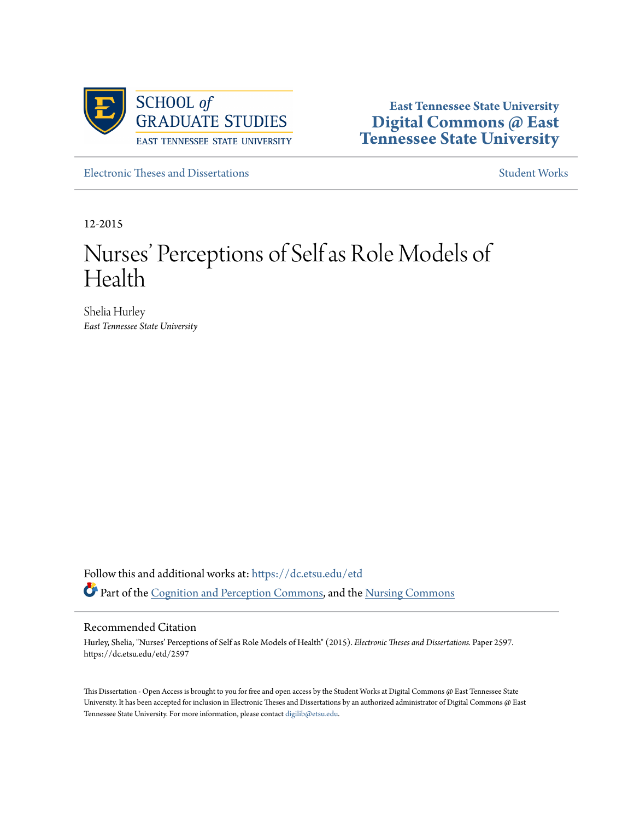

**East Tennessee State University [Digital Commons @ East](https://dc.etsu.edu?utm_source=dc.etsu.edu%2Fetd%2F2597&utm_medium=PDF&utm_campaign=PDFCoverPages) [Tennessee State University](https://dc.etsu.edu?utm_source=dc.etsu.edu%2Fetd%2F2597&utm_medium=PDF&utm_campaign=PDFCoverPages)**

[Electronic Theses and Dissertations](https://dc.etsu.edu/etd?utm_source=dc.etsu.edu%2Fetd%2F2597&utm_medium=PDF&utm_campaign=PDFCoverPages) [Student Works](https://dc.etsu.edu/student-works?utm_source=dc.etsu.edu%2Fetd%2F2597&utm_medium=PDF&utm_campaign=PDFCoverPages) Student Works Student Works

12-2015

# Nurses' Perceptions of Self as Role Models of Health

Shelia Hurley *East Tennessee State University*

Follow this and additional works at: [https://dc.etsu.edu/etd](https://dc.etsu.edu/etd?utm_source=dc.etsu.edu%2Fetd%2F2597&utm_medium=PDF&utm_campaign=PDFCoverPages) Part of the [Cognition and Perception Commons](http://network.bepress.com/hgg/discipline/407?utm_source=dc.etsu.edu%2Fetd%2F2597&utm_medium=PDF&utm_campaign=PDFCoverPages), and the [Nursing Commons](http://network.bepress.com/hgg/discipline/718?utm_source=dc.etsu.edu%2Fetd%2F2597&utm_medium=PDF&utm_campaign=PDFCoverPages)

### Recommended Citation

Hurley, Shelia, "Nurses' Perceptions of Self as Role Models of Health" (2015). *Electronic Theses and Dissertations.* Paper 2597. https://dc.etsu.edu/etd/2597

This Dissertation - Open Access is brought to you for free and open access by the Student Works at Digital Commons @ East Tennessee State University. It has been accepted for inclusion in Electronic Theses and Dissertations by an authorized administrator of Digital Commons @ East Tennessee State University. For more information, please contact [digilib@etsu.edu.](mailto:digilib@etsu.edu)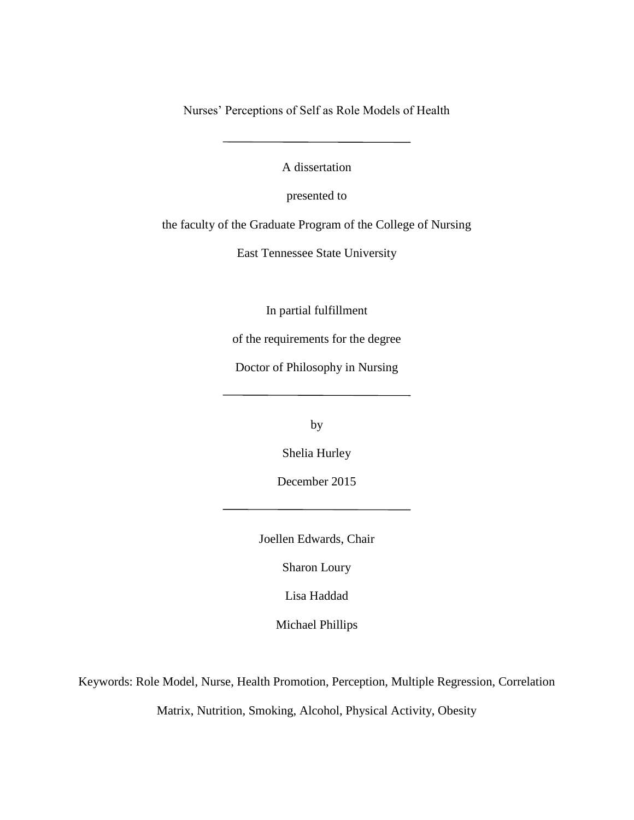Nurses' Perceptions of Self as Role Models of Health

A dissertation

presented to

the faculty of the Graduate Program of the College of Nursing

East Tennessee State University

In partial fulfillment

of the requirements for the degree

Doctor of Philosophy in Nursing

by

Shelia Hurley

December 2015

Joellen Edwards, Chair

Sharon Loury

Lisa Haddad

Michael Phillips

Keywords: Role Model, Nurse, Health Promotion, Perception, Multiple Regression, Correlation

Matrix, Nutrition, Smoking, Alcohol, Physical Activity, Obesity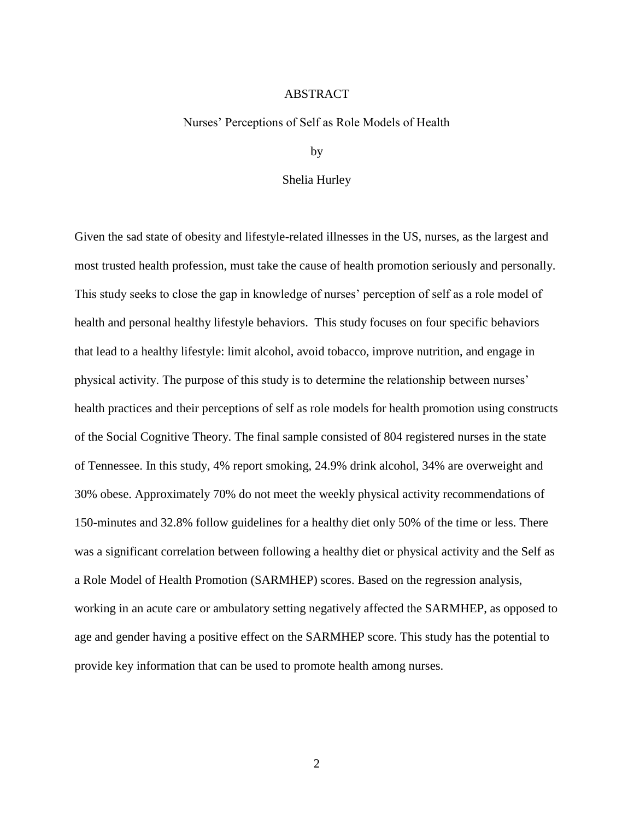# ABSTRACT

### <span id="page-2-0"></span>Nurses' Perceptions of Self as Role Models of Health

by

## Shelia Hurley

Given the sad state of obesity and lifestyle-related illnesses in the US, nurses, as the largest and most trusted health profession, must take the cause of health promotion seriously and personally. This study seeks to close the gap in knowledge of nurses' perception of self as a role model of health and personal healthy lifestyle behaviors. This study focuses on four specific behaviors that lead to a healthy lifestyle: limit alcohol, avoid tobacco, improve nutrition, and engage in physical activity. The purpose of this study is to determine the relationship between nurses' health practices and their perceptions of self as role models for health promotion using constructs of the Social Cognitive Theory. The final sample consisted of 804 registered nurses in the state of Tennessee. In this study, 4% report smoking, 24.9% drink alcohol, 34% are overweight and 30% obese. Approximately 70% do not meet the weekly physical activity recommendations of 150-minutes and 32.8% follow guidelines for a healthy diet only 50% of the time or less. There was a significant correlation between following a healthy diet or physical activity and the Self as a Role Model of Health Promotion (SARMHEP) scores. Based on the regression analysis, working in an acute care or ambulatory setting negatively affected the SARMHEP, as opposed to age and gender having a positive effect on the SARMHEP score. This study has the potential to provide key information that can be used to promote health among nurses.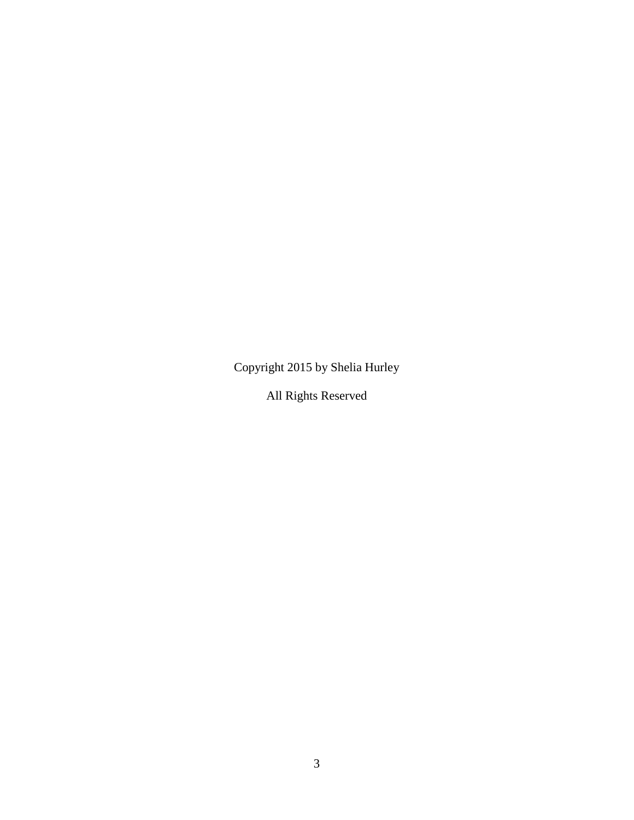Copyright 2015 by Shelia Hurley

All Rights Reserved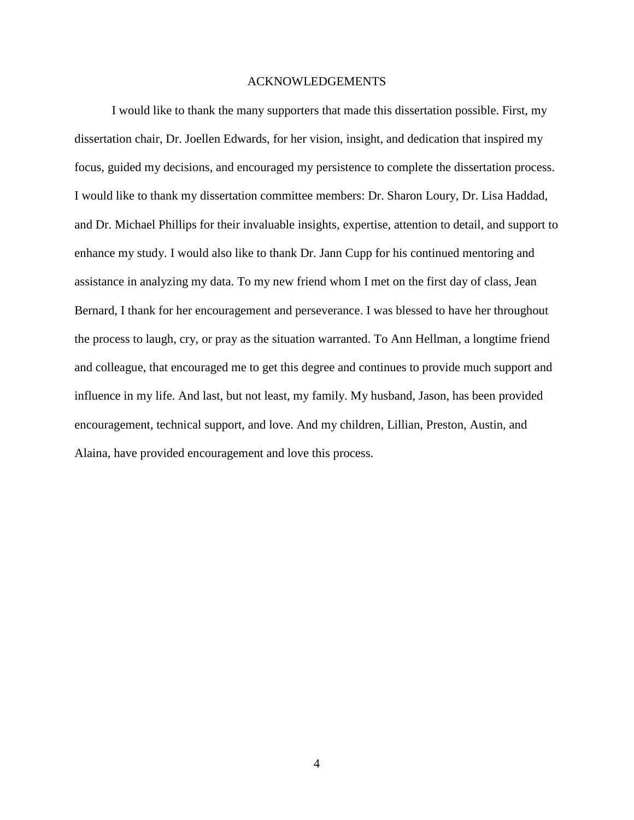#### <span id="page-4-0"></span>ACKNOWLEDGEMENTS

I would like to thank the many supporters that made this dissertation possible. First, my dissertation chair, Dr. Joellen Edwards, for her vision, insight, and dedication that inspired my focus, guided my decisions, and encouraged my persistence to complete the dissertation process. I would like to thank my dissertation committee members: Dr. Sharon Loury, Dr. Lisa Haddad, and Dr. Michael Phillips for their invaluable insights, expertise, attention to detail, and support to enhance my study. I would also like to thank Dr. Jann Cupp for his continued mentoring and assistance in analyzing my data. To my new friend whom I met on the first day of class, Jean Bernard, I thank for her encouragement and perseverance. I was blessed to have her throughout the process to laugh, cry, or pray as the situation warranted. To Ann Hellman, a longtime friend and colleague, that encouraged me to get this degree and continues to provide much support and influence in my life. And last, but not least, my family. My husband, Jason, has been provided encouragement, technical support, and love. And my children, Lillian, Preston, Austin, and Alaina, have provided encouragement and love this process.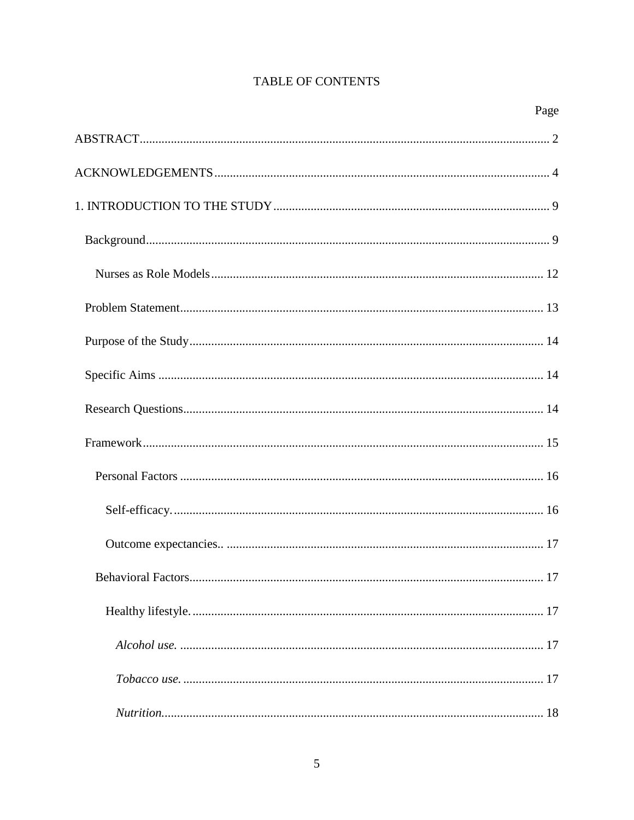# **TABLE OF CONTENTS**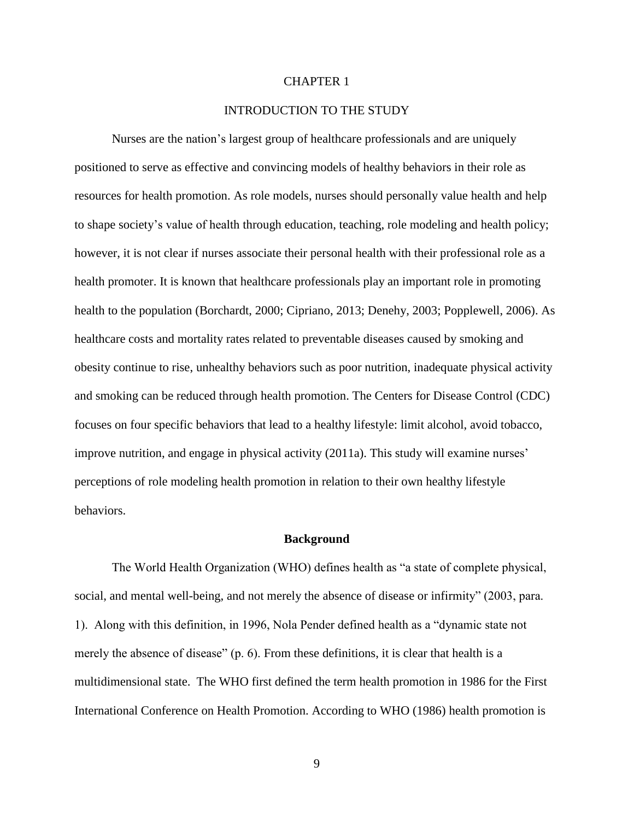# CHAPTER 1

# INTRODUCTION TO THE STUDY

<span id="page-9-0"></span>Nurses are the nation's largest group of healthcare professionals and are uniquely positioned to serve as effective and convincing models of healthy behaviors in their role as resources for health promotion. As role models, nurses should personally value health and help to shape society's value of health through education, teaching, role modeling and health policy; however, it is not clear if nurses associate their personal health with their professional role as a health promoter. It is known that healthcare professionals play an important role in promoting health to the population (Borchardt, 2000; Cipriano, 2013; Denehy, 2003; Popplewell, 2006). As healthcare costs and mortality rates related to preventable diseases caused by smoking and obesity continue to rise, unhealthy behaviors such as poor nutrition, inadequate physical activity and smoking can be reduced through health promotion. The Centers for Disease Control (CDC) focuses on four specific behaviors that lead to a healthy lifestyle: limit alcohol, avoid tobacco, improve nutrition, and engage in physical activity (2011a). This study will examine nurses' perceptions of role modeling health promotion in relation to their own healthy lifestyle behaviors.

#### **Background**

<span id="page-9-1"></span>The World Health Organization (WHO) defines health as "a state of complete physical, social, and mental well-being, and not merely the absence of disease or infirmity" (2003, para. 1). Along with this definition, in 1996, Nola Pender defined health as a "dynamic state not merely the absence of disease" (p. 6). From these definitions, it is clear that health is a multidimensional state. The WHO first defined the term health promotion in 1986 for the First International Conference on Health Promotion. According to WHO (1986) health promotion is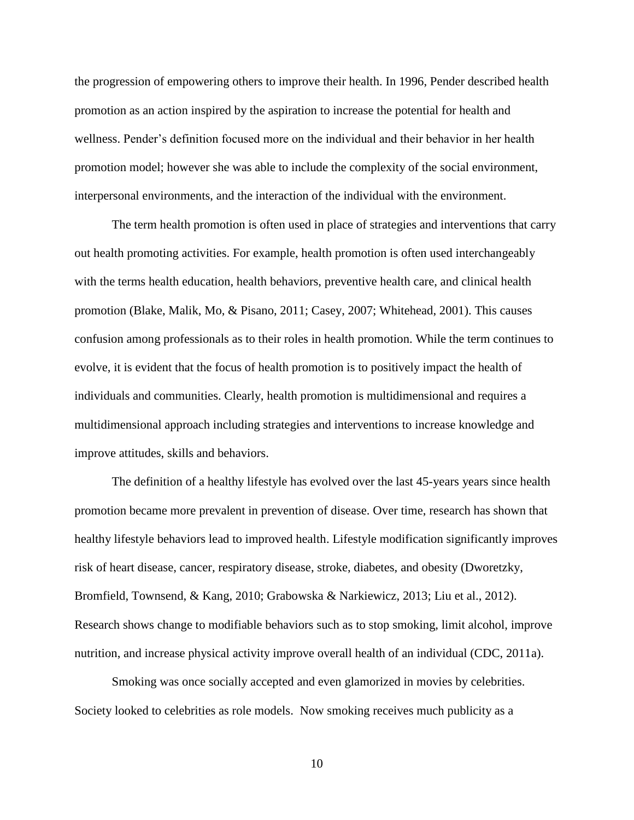the progression of empowering others to improve their health. In 1996, Pender described health promotion as an action inspired by the aspiration to increase the potential for health and wellness. Pender's definition focused more on the individual and their behavior in her health promotion model; however she was able to include the complexity of the social environment, interpersonal environments, and the interaction of the individual with the environment.

The term health promotion is often used in place of strategies and interventions that carry out health promoting activities. For example, health promotion is often used interchangeably with the terms health education, health behaviors, preventive health care, and clinical health promotion (Blake, Malik, Mo, & Pisano, 2011; Casey, 2007; Whitehead, 2001). This causes confusion among professionals as to their roles in health promotion. While the term continues to evolve, it is evident that the focus of health promotion is to positively impact the health of individuals and communities. Clearly, health promotion is multidimensional and requires a multidimensional approach including strategies and interventions to increase knowledge and improve attitudes, skills and behaviors.

The definition of a healthy lifestyle has evolved over the last 45-years years since health promotion became more prevalent in prevention of disease. Over time, research has shown that healthy lifestyle behaviors lead to improved health. Lifestyle modification significantly improves risk of heart disease, cancer, respiratory disease, stroke, diabetes, and obesity (Dworetzky, Bromfield, Townsend, & Kang, 2010; Grabowska & Narkiewicz, 2013; Liu et al., 2012). Research shows change to modifiable behaviors such as to stop smoking, limit alcohol, improve nutrition, and increase physical activity improve overall health of an individual (CDC, 2011a).

Smoking was once socially accepted and even glamorized in movies by celebrities. Society looked to celebrities as role models. Now smoking receives much publicity as a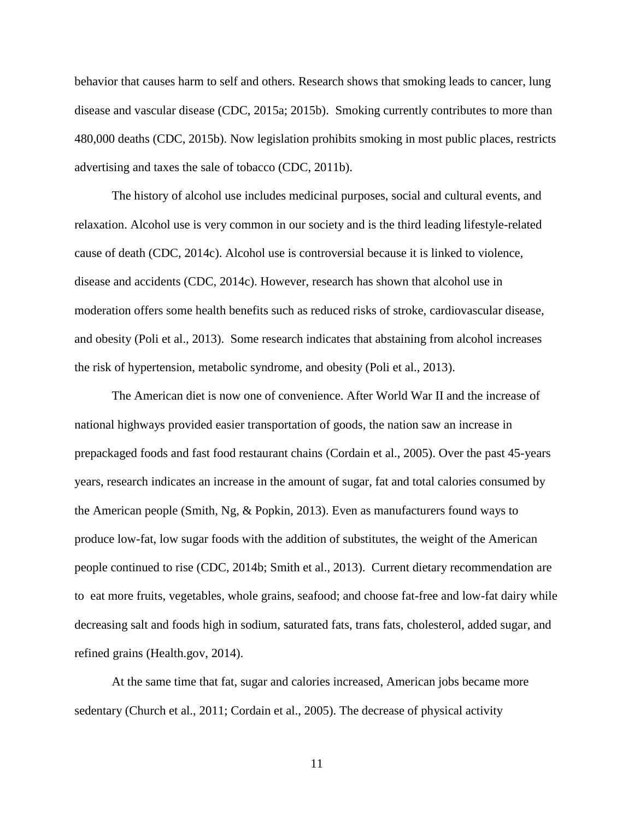behavior that causes harm to self and others. Research shows that smoking leads to cancer, lung disease and vascular disease (CDC, 2015a; 2015b). Smoking currently contributes to more than 480,000 deaths (CDC, 2015b). Now legislation prohibits smoking in most public places, restricts advertising and taxes the sale of tobacco (CDC, 2011b).

The history of alcohol use includes medicinal purposes, social and cultural events, and relaxation. Alcohol use is very common in our society and is the third leading lifestyle-related cause of death (CDC, 2014c). Alcohol use is controversial because it is linked to violence, disease and accidents (CDC, 2014c). However, research has shown that alcohol use in moderation offers some health benefits such as reduced risks of stroke, cardiovascular disease, and obesity (Poli et al., 2013). Some research indicates that abstaining from alcohol increases the risk of hypertension, metabolic syndrome, and obesity (Poli et al., 2013).

The American diet is now one of convenience. After World War II and the increase of national highways provided easier transportation of goods, the nation saw an increase in prepackaged foods and fast food restaurant chains (Cordain et al., 2005). Over the past 45-years years, research indicates an increase in the amount of sugar, fat and total calories consumed by the American people (Smith, Ng, & Popkin, 2013). Even as manufacturers found ways to produce low-fat, low sugar foods with the addition of substitutes, the weight of the American people continued to rise (CDC, 2014b; Smith et al., 2013). Current dietary recommendation are to eat more fruits, vegetables, whole grains, seafood; and choose fat-free and low-fat dairy while decreasing salt and foods high in sodium, saturated fats, trans fats, cholesterol, added sugar, and refined grains (Health.gov, 2014).

At the same time that fat, sugar and calories increased, American jobs became more sedentary (Church et al., 2011; Cordain et al., 2005). The decrease of physical activity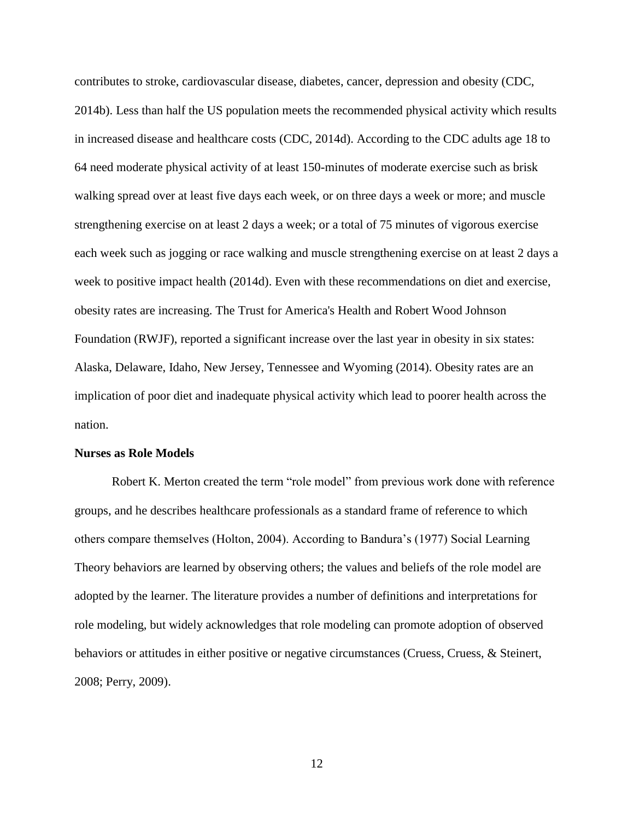contributes to stroke, cardiovascular disease, diabetes, cancer, depression and obesity (CDC, 2014b). Less than half the US population meets the recommended physical activity which results in increased disease and healthcare costs (CDC, 2014d). According to the CDC adults age 18 to 64 need moderate physical activity of at least 150-minutes of moderate exercise such as brisk walking spread over at least five days each week, or on three days a week or more; and muscle strengthening exercise on at least 2 days a week; or a total of 75 minutes of vigorous exercise each week such as jogging or race walking and muscle strengthening exercise on at least 2 days a week to positive impact health (2014d). Even with these recommendations on diet and exercise, obesity rates are increasing. The Trust for America's Health and Robert Wood Johnson Foundation (RWJF), reported a significant increase over the last year in obesity in six states: Alaska, Delaware, Idaho, New Jersey, Tennessee and Wyoming (2014). Obesity rates are an implication of poor diet and inadequate physical activity which lead to poorer health across the nation.

## <span id="page-12-0"></span>**Nurses as Role Models**

Robert K. Merton created the term "role model" from previous work done with reference groups, and he describes healthcare professionals as a standard frame of reference to which others compare themselves (Holton, 2004). According to Bandura's (1977) Social Learning Theory behaviors are learned by observing others; the values and beliefs of the role model are adopted by the learner. The literature provides a number of definitions and interpretations for role modeling, but widely acknowledges that role modeling can promote adoption of observed behaviors or attitudes in either positive or negative circumstances (Cruess, Cruess, & Steinert, 2008; Perry, 2009).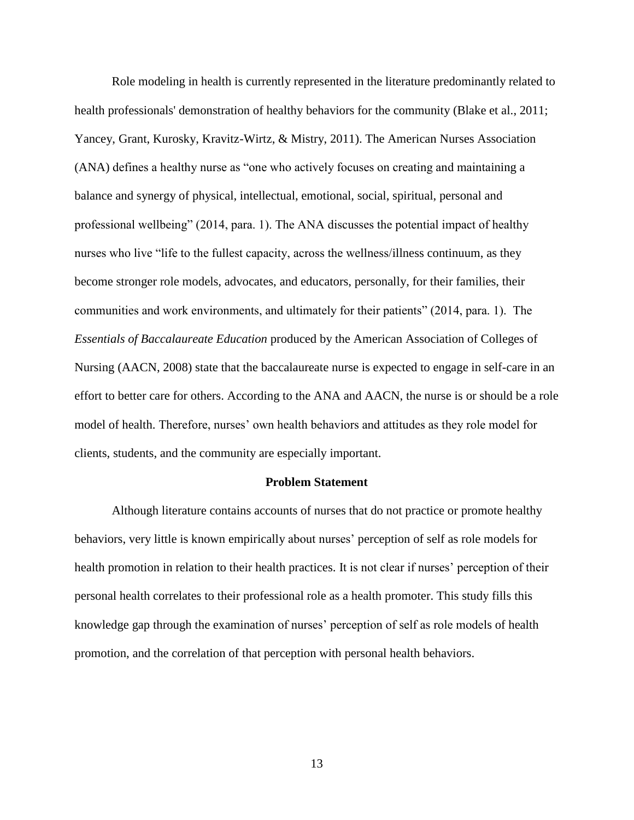Role modeling in health is currently represented in the literature predominantly related to health professionals' demonstration of healthy behaviors for the community (Blake et al., 2011; Yancey, Grant, Kurosky, Kravitz-Wirtz, & Mistry, 2011). The American Nurses Association (ANA) defines a healthy nurse as "one who actively focuses on creating and maintaining a balance and synergy of physical, intellectual, emotional, social, spiritual, personal and professional wellbeing" (2014, para. 1). The ANA discusses the potential impact of healthy nurses who live "life to the fullest capacity, across the wellness/illness continuum, as they become stronger role models, advocates, and educators, personally, for their families, their communities and work environments, and ultimately for their patients" (2014, para. 1). The *Essentials of Baccalaureate Education* produced by the American Association of Colleges of Nursing (AACN, 2008) state that the baccalaureate nurse is expected to engage in self-care in an effort to better care for others. According to the ANA and AACN, the nurse is or should be a role model of health. Therefore, nurses' own health behaviors and attitudes as they role model for clients, students, and the community are especially important.

#### **Problem Statement**

<span id="page-13-0"></span>Although literature contains accounts of nurses that do not practice or promote healthy behaviors, very little is known empirically about nurses' perception of self as role models for health promotion in relation to their health practices. It is not clear if nurses' perception of their personal health correlates to their professional role as a health promoter. This study fills this knowledge gap through the examination of nurses' perception of self as role models of health promotion, and the correlation of that perception with personal health behaviors.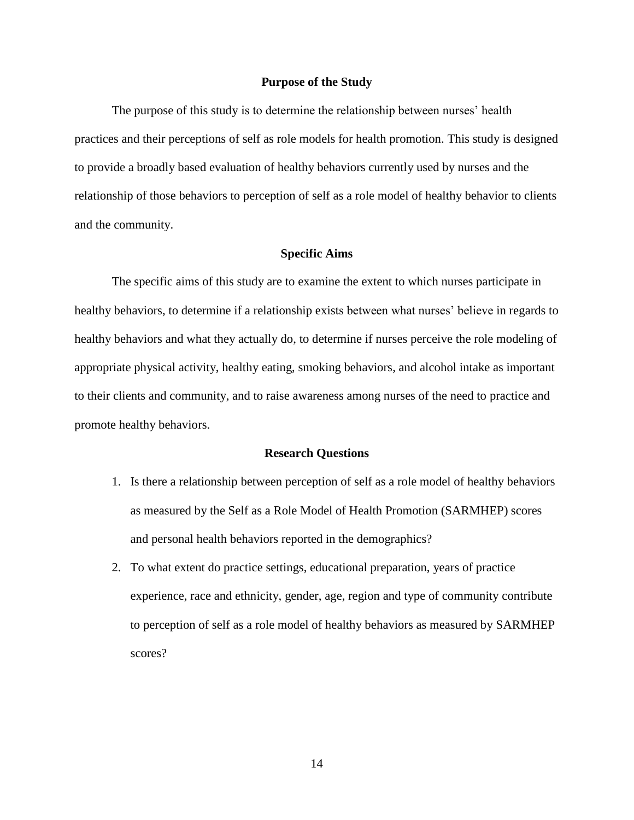# **Purpose of the Study**

<span id="page-14-0"></span>The purpose of this study is to determine the relationship between nurses' health practices and their perceptions of self as role models for health promotion. This study is designed to provide a broadly based evaluation of healthy behaviors currently used by nurses and the relationship of those behaviors to perception of self as a role model of healthy behavior to clients and the community.

## **Specific Aims**

<span id="page-14-1"></span>The specific aims of this study are to examine the extent to which nurses participate in healthy behaviors, to determine if a relationship exists between what nurses' believe in regards to healthy behaviors and what they actually do, to determine if nurses perceive the role modeling of appropriate physical activity, healthy eating, smoking behaviors, and alcohol intake as important to their clients and community, and to raise awareness among nurses of the need to practice and promote healthy behaviors.

# **Research Questions**

- <span id="page-14-2"></span>1. Is there a relationship between perception of self as a role model of healthy behaviors as measured by the Self as a Role Model of Health Promotion (SARMHEP) scores and personal health behaviors reported in the demographics?
- 2. To what extent do practice settings, educational preparation, years of practice experience, race and ethnicity, gender, age, region and type of community contribute to perception of self as a role model of healthy behaviors as measured by SARMHEP scores?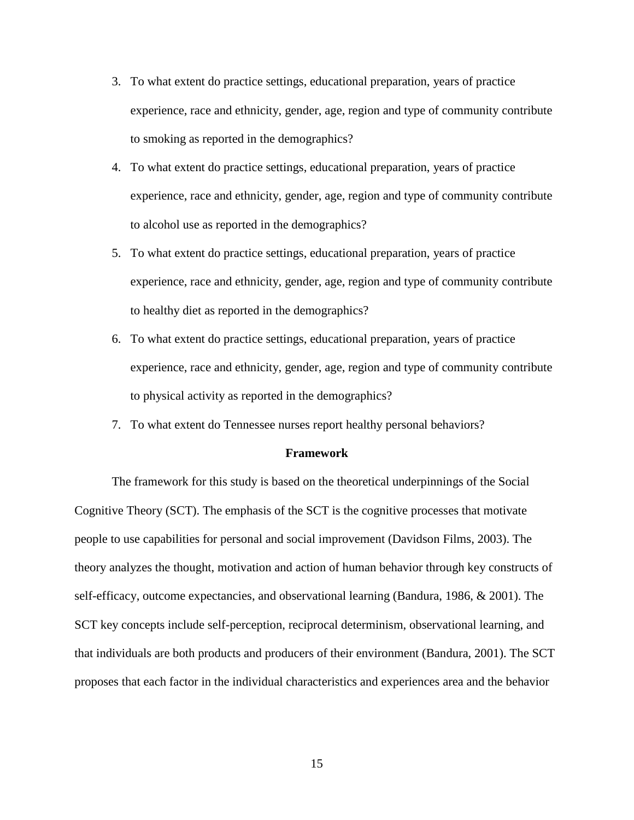- 3. To what extent do practice settings, educational preparation, years of practice experience, race and ethnicity, gender, age, region and type of community contribute to smoking as reported in the demographics?
- 4. To what extent do practice settings, educational preparation, years of practice experience, race and ethnicity, gender, age, region and type of community contribute to alcohol use as reported in the demographics?
- 5. To what extent do practice settings, educational preparation, years of practice experience, race and ethnicity, gender, age, region and type of community contribute to healthy diet as reported in the demographics?
- 6. To what extent do practice settings, educational preparation, years of practice experience, race and ethnicity, gender, age, region and type of community contribute to physical activity as reported in the demographics?
- 7. To what extent do Tennessee nurses report healthy personal behaviors?

#### <span id="page-15-0"></span>**Framework**

The framework for this study is based on the theoretical underpinnings of the Social Cognitive Theory (SCT). The emphasis of the SCT is the cognitive processes that motivate people to use capabilities for personal and social improvement (Davidson Films, 2003). The theory analyzes the thought, motivation and action of human behavior through key constructs of self-efficacy, outcome expectancies, and observational learning (Bandura, 1986, & 2001). The SCT key concepts include self-perception, reciprocal determinism, observational learning, and that individuals are both products and producers of their environment (Bandura, 2001). The SCT proposes that each factor in the individual characteristics and experiences area and the behavior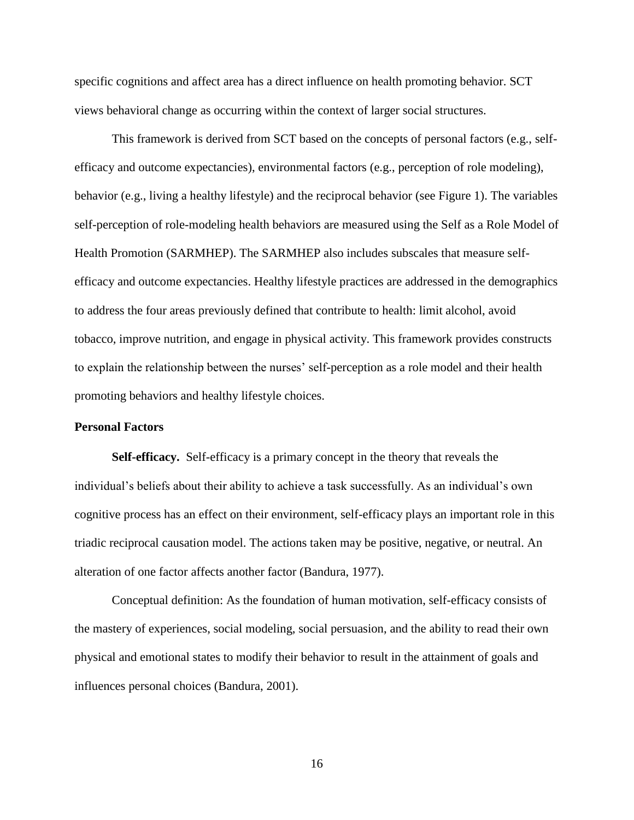specific cognitions and affect area has a direct influence on health promoting behavior. SCT views behavioral change as occurring within the context of larger social structures.

This framework is derived from SCT based on the concepts of personal factors (e.g., selfefficacy and outcome expectancies), environmental factors (e.g., perception of role modeling), behavior (e.g., living a healthy lifestyle) and the reciprocal behavior (see Figure 1). The variables self-perception of role-modeling health behaviors are measured using the Self as a Role Model of Health Promotion (SARMHEP). The SARMHEP also includes subscales that measure selfefficacy and outcome expectancies. Healthy lifestyle practices are addressed in the demographics to address the four areas previously defined that contribute to health: limit alcohol, avoid tobacco, improve nutrition, and engage in physical activity. This framework provides constructs to explain the relationship between the nurses' self-perception as a role model and their health promoting behaviors and healthy lifestyle choices.

# <span id="page-16-0"></span>**Personal Factors**

<span id="page-16-1"></span>**Self-efficacy.** Self-efficacy is a primary concept in the theory that reveals the individual's beliefs about their ability to achieve a task successfully. As an individual's own cognitive process has an effect on their environment, self-efficacy plays an important role in this triadic reciprocal causation model. The actions taken may be positive, negative, or neutral. An alteration of one factor affects another factor (Bandura, 1977).

Conceptual definition: As the foundation of human motivation, self-efficacy consists of the mastery of experiences, social modeling, social persuasion, and the ability to read their own physical and emotional states to modify their behavior to result in the attainment of goals and influences personal choices (Bandura, 2001).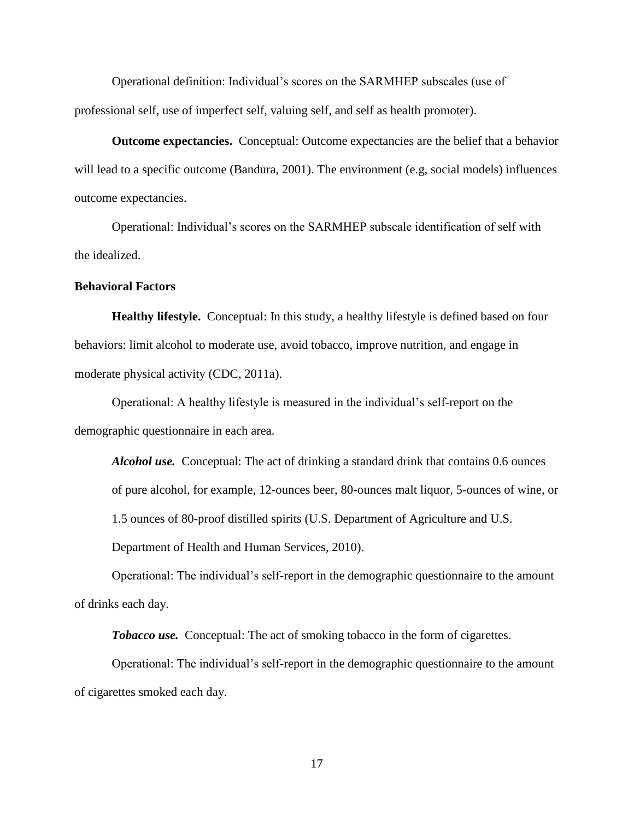Operational definition: Individual's scores on the SARMHEP subscales (use of professional self, use of imperfect self, valuing self, and self as health promoter).

<span id="page-17-0"></span>**Outcome expectancies.** Conceptual: Outcome expectancies are the belief that a behavior will lead to a specific outcome (Bandura, 2001). The environment (e.g, social models) influences outcome expectancies.

Operational: Individual's scores on the SARMHEP subscale identification of self with the idealized.

# <span id="page-17-1"></span>**Behavioral Factors**

<span id="page-17-2"></span>**Healthy lifestyle.** Conceptual: In this study, a healthy lifestyle is defined based on four behaviors: limit alcohol to moderate use, avoid tobacco, improve nutrition, and engage in moderate physical activity (CDC, 2011a).

Operational: A healthy lifestyle is measured in the individual's self-report on the demographic questionnaire in each area.

<span id="page-17-3"></span>*Alcohol use.* Conceptual: The act of drinking a standard drink that contains 0.6 ounces of pure alcohol, for example, 12-ounces beer, 80-ounces malt liquor, 5-ounces of wine, or

Department of Health and Human Services, 2010).

Operational: The individual's self-report in the demographic questionnaire to the amount of drinks each day.

1.5 ounces of 80-proof distilled spirits (U.S. Department of Agriculture and U.S.

*Tobacco use.* Conceptual: The act of smoking tobacco in the form of cigarettes.

<span id="page-17-4"></span>Operational: The individual's self-report in the demographic questionnaire to the amount of cigarettes smoked each day.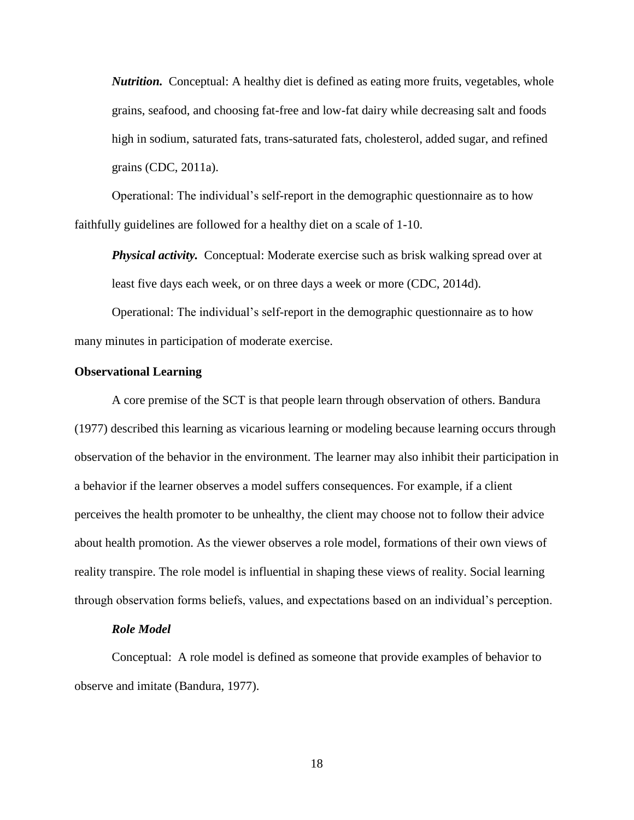<span id="page-18-0"></span>*Nutrition.* Conceptual: A healthy diet is defined as eating more fruits, vegetables, whole grains, seafood, and choosing fat-free and low-fat dairy while decreasing salt and foods high in sodium, saturated fats, trans-saturated fats, cholesterol, added sugar, and refined grains (CDC, 2011a).

Operational: The individual's self-report in the demographic questionnaire as to how faithfully guidelines are followed for a healthy diet on a scale of 1-10.

<span id="page-18-1"></span>*Physical activity.* Conceptual: Moderate exercise such as brisk walking spread over at least five days each week, or on three days a week or more (CDC, 2014d).

Operational: The individual's self-report in the demographic questionnaire as to how many minutes in participation of moderate exercise.

# <span id="page-18-2"></span>**Observational Learning**

A core premise of the SCT is that people learn through observation of others. Bandura (1977) described this learning as vicarious learning or modeling because learning occurs through observation of the behavior in the environment. The learner may also inhibit their participation in a behavior if the learner observes a model suffers consequences. For example, if a client perceives the health promoter to be unhealthy, the client may choose not to follow their advice about health promotion. As the viewer observes a role model, formations of their own views of reality transpire. The role model is influential in shaping these views of reality. Social learning through observation forms beliefs, values, and expectations based on an individual's perception.

## *Role Model*

<span id="page-18-3"></span>Conceptual: A role model is defined as someone that provide examples of behavior to observe and imitate (Bandura, 1977).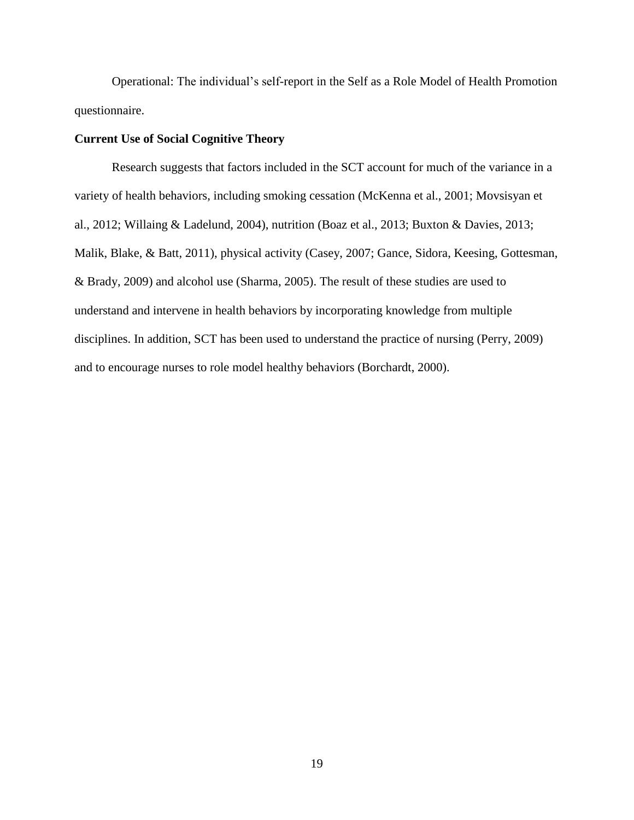Operational: The individual's self-report in the Self as a Role Model of Health Promotion questionnaire.

# <span id="page-19-0"></span>**Current Use of Social Cognitive Theory**

Research suggests that factors included in the SCT account for much of the variance in a variety of health behaviors, including smoking cessation (McKenna et al., 2001; Movsisyan et al., 2012; Willaing & Ladelund, 2004), nutrition (Boaz et al., 2013; Buxton & Davies, 2013; Malik, Blake, & Batt, 2011), physical activity (Casey, 2007; Gance, Sidora, Keesing, Gottesman, & Brady, 2009) and alcohol use (Sharma, 2005). The result of these studies are used to understand and intervene in health behaviors by incorporating knowledge from multiple disciplines. In addition, SCT has been used to understand the practice of nursing (Perry, 2009) and to encourage nurses to role model healthy behaviors (Borchardt, 2000).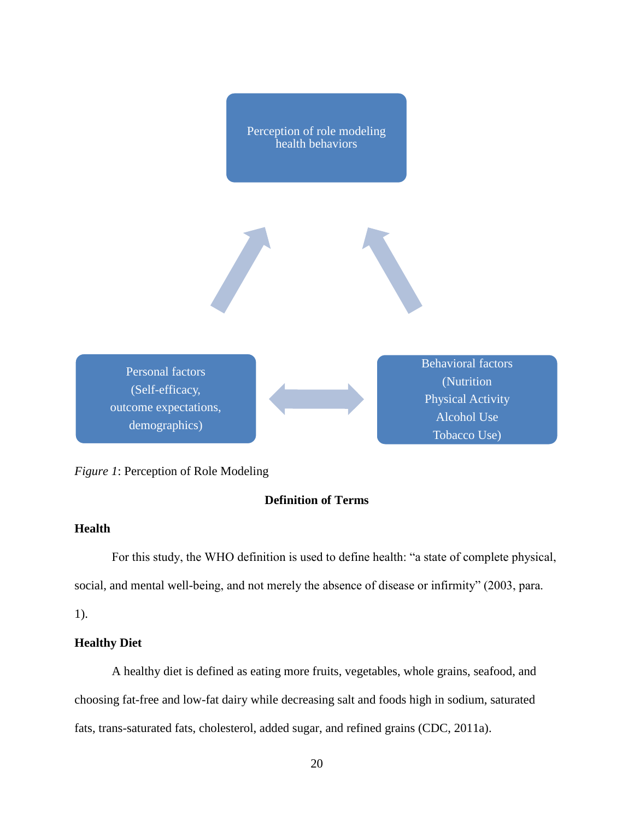Perception of role modeling health behaviors



Personal factors (Self-efficacy, outcome expectations, demographics)

Behavioral factors (Nutrition Physical Activity Alcohol Use Tobacco Use)

# <span id="page-20-0"></span>*Figure 1*: Perception of Role Modeling

# <span id="page-20-1"></span>**Definition of Terms**

# <span id="page-20-2"></span>**Health**

For this study, the WHO definition is used to define health: "a state of complete physical, social, and mental well-being, and not merely the absence of disease or infirmity" (2003, para.

1).

# <span id="page-20-3"></span>**Healthy Diet**

A healthy diet is defined as eating more fruits, vegetables, whole grains, seafood, and choosing fat-free and low-fat dairy while decreasing salt and foods high in sodium, saturated fats, trans-saturated fats, cholesterol, added sugar, and refined grains (CDC, 2011a).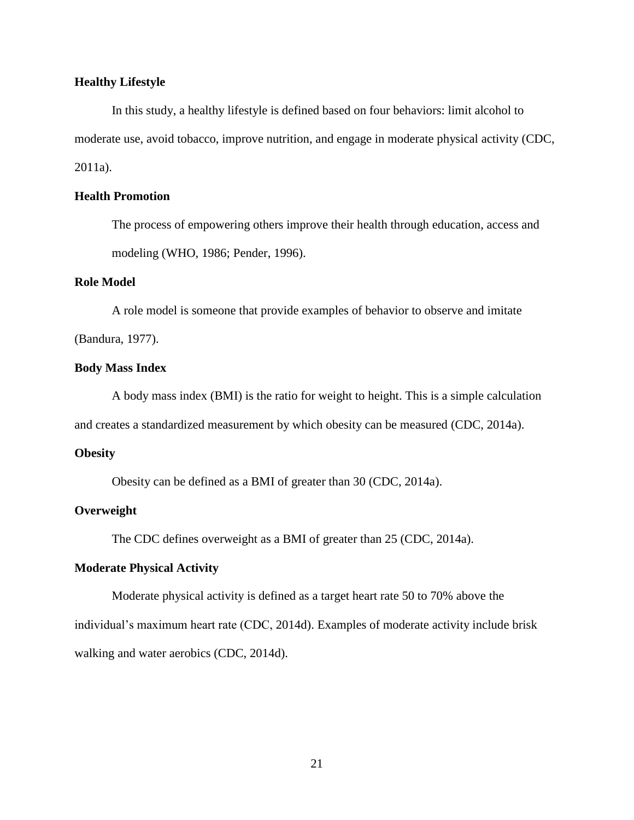# <span id="page-21-0"></span>**Healthy Lifestyle**

In this study, a healthy lifestyle is defined based on four behaviors: limit alcohol to moderate use, avoid tobacco, improve nutrition, and engage in moderate physical activity (CDC, 2011a).

# <span id="page-21-1"></span>**Health Promotion**

The process of empowering others improve their health through education, access and modeling (WHO, 1986; Pender, 1996).

# <span id="page-21-2"></span>**Role Model**

A role model is someone that provide examples of behavior to observe and imitate (Bandura, 1977).

#### <span id="page-21-3"></span>**Body Mass Index**

A body mass index (BMI) is the ratio for weight to height. This is a simple calculation

and creates a standardized measurement by which obesity can be measured (CDC, 2014a).

## <span id="page-21-4"></span>**Obesity**

Obesity can be defined as a BMI of greater than 30 (CDC, 2014a).

# <span id="page-21-5"></span>**Overweight**

The CDC defines overweight as a BMI of greater than 25 (CDC, 2014a).

# <span id="page-21-6"></span>**Moderate Physical Activity**

Moderate physical activity is defined as a target heart rate 50 to 70% above the individual's maximum heart rate (CDC, 2014d). Examples of moderate activity include brisk walking and water aerobics (CDC, 2014d).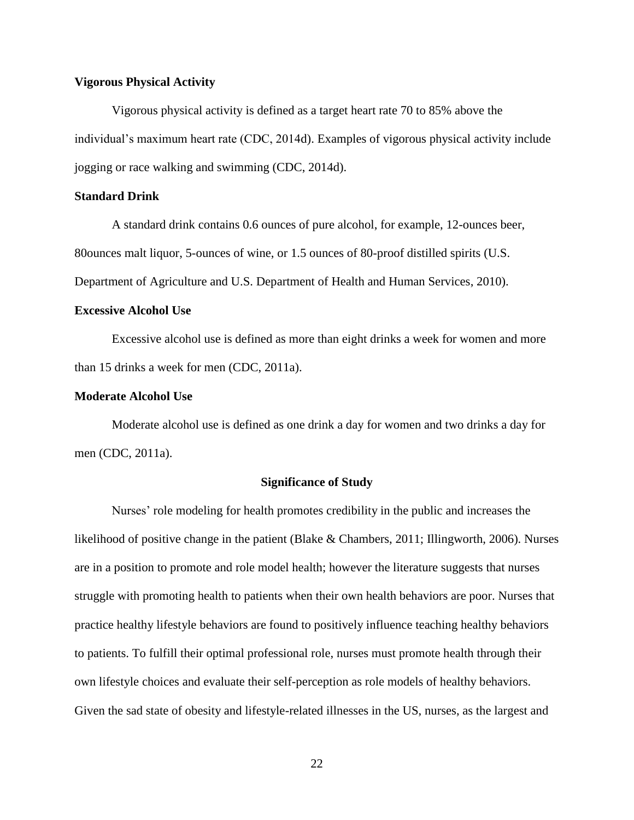# <span id="page-22-0"></span>**Vigorous Physical Activity**

Vigorous physical activity is defined as a target heart rate 70 to 85% above the individual's maximum heart rate (CDC, 2014d). Examples of vigorous physical activity include jogging or race walking and swimming (CDC, 2014d).

# <span id="page-22-1"></span>**Standard Drink**

A standard drink contains 0.6 ounces of pure alcohol, for example, 12-ounces beer, 80ounces malt liquor, 5-ounces of wine, or 1.5 ounces of 80-proof distilled spirits (U.S.

Department of Agriculture and U.S. Department of Health and Human Services, 2010).

# <span id="page-22-2"></span>**Excessive Alcohol Use**

Excessive alcohol use is defined as more than eight drinks a week for women and more than 15 drinks a week for men (CDC, 2011a).

# <span id="page-22-3"></span>**Moderate Alcohol Use**

Moderate alcohol use is defined as one drink a day for women and two drinks a day for men (CDC, 2011a).

# **Significance of Study**

<span id="page-22-4"></span>Nurses' role modeling for health promotes credibility in the public and increases the likelihood of positive change in the patient (Blake & Chambers, 2011; Illingworth, 2006). Nurses are in a position to promote and role model health; however the literature suggests that nurses struggle with promoting health to patients when their own health behaviors are poor. Nurses that practice healthy lifestyle behaviors are found to positively influence teaching healthy behaviors to patients. To fulfill their optimal professional role, nurses must promote health through their own lifestyle choices and evaluate their self-perception as role models of healthy behaviors. Given the sad state of obesity and lifestyle-related illnesses in the US, nurses, as the largest and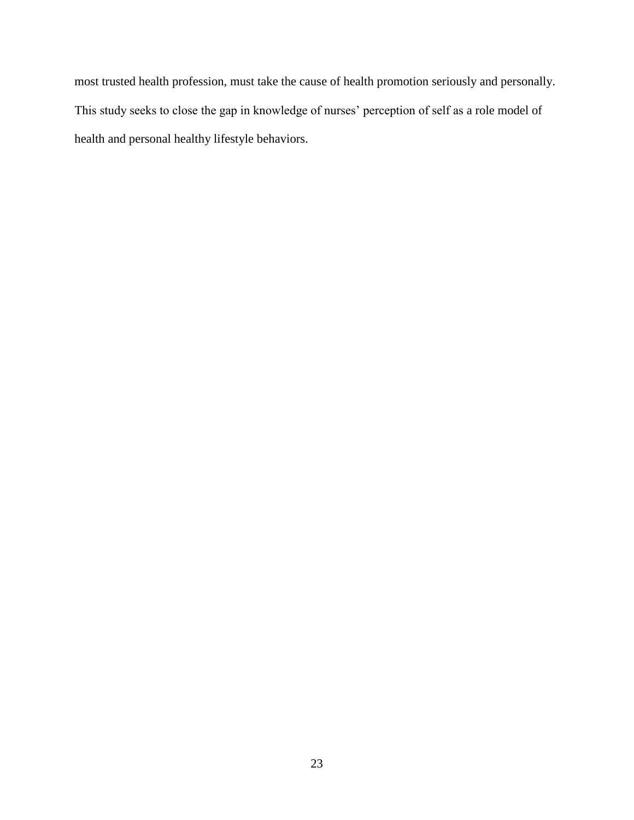most trusted health profession, must take the cause of health promotion seriously and personally. This study seeks to close the gap in knowledge of nurses' perception of self as a role model of health and personal healthy lifestyle behaviors.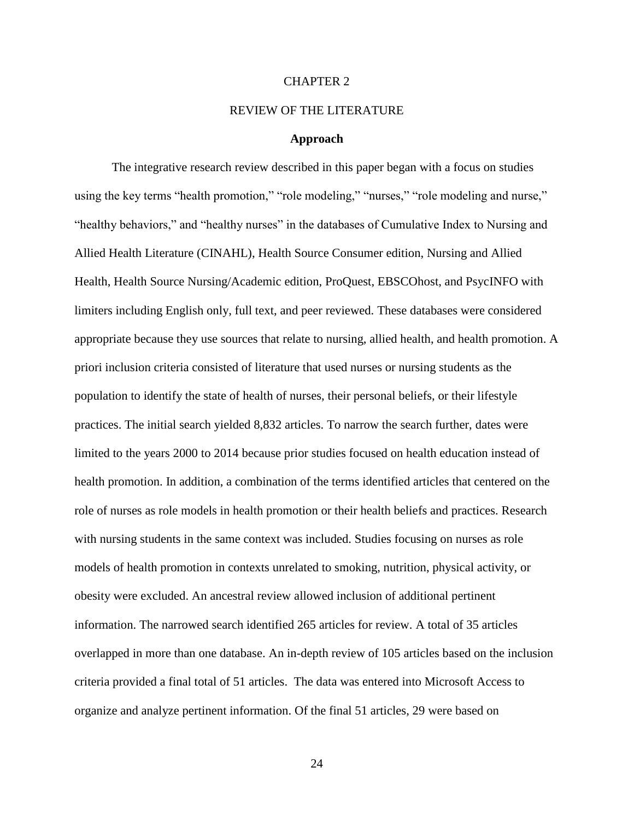# CHAPTER 2

## REVIEW OF THE LITERATURE

# **Approach**

<span id="page-24-1"></span><span id="page-24-0"></span>The integrative research review described in this paper began with a focus on studies using the key terms "health promotion," "role modeling," "nurses," "role modeling and nurse," "healthy behaviors," and "healthy nurses" in the databases of Cumulative Index to Nursing and Allied Health Literature (CINAHL), Health Source Consumer edition, Nursing and Allied Health, Health Source Nursing/Academic edition, ProQuest, EBSCOhost, and PsycINFO with limiters including English only, full text, and peer reviewed. These databases were considered appropriate because they use sources that relate to nursing, allied health, and health promotion. A priori inclusion criteria consisted of literature that used nurses or nursing students as the population to identify the state of health of nurses, their personal beliefs, or their lifestyle practices. The initial search yielded 8,832 articles. To narrow the search further, dates were limited to the years 2000 to 2014 because prior studies focused on health education instead of health promotion. In addition, a combination of the terms identified articles that centered on the role of nurses as role models in health promotion or their health beliefs and practices. Research with nursing students in the same context was included. Studies focusing on nurses as role models of health promotion in contexts unrelated to smoking, nutrition, physical activity, or obesity were excluded. An ancestral review allowed inclusion of additional pertinent information. The narrowed search identified 265 articles for review. A total of 35 articles overlapped in more than one database. An in-depth review of 105 articles based on the inclusion criteria provided a final total of 51 articles. The data was entered into Microsoft Access to organize and analyze pertinent information. Of the final 51 articles, 29 were based on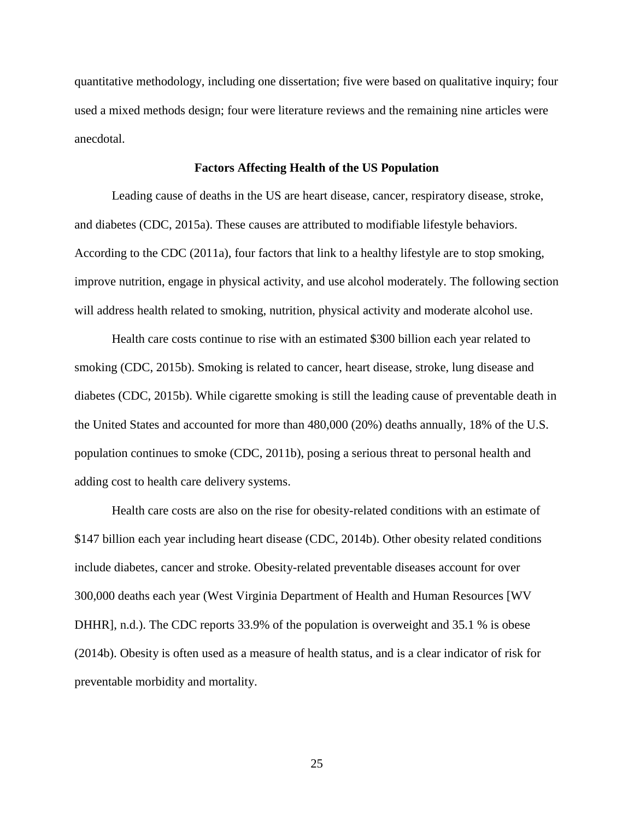quantitative methodology, including one dissertation; five were based on qualitative inquiry; four used a mixed methods design; four were literature reviews and the remaining nine articles were anecdotal.

## **Factors Affecting Health of the US Population**

<span id="page-25-0"></span>Leading cause of deaths in the US are heart disease, cancer, respiratory disease, stroke, and diabetes (CDC, 2015a). These causes are attributed to modifiable lifestyle behaviors. According to the CDC (2011a), four factors that link to a healthy lifestyle are to stop smoking, improve nutrition, engage in physical activity, and use alcohol moderately. The following section will address health related to smoking, nutrition, physical activity and moderate alcohol use.

Health care costs continue to rise with an estimated \$300 billion each year related to smoking (CDC, 2015b). Smoking is related to cancer, heart disease, stroke, lung disease and diabetes (CDC, 2015b). While cigarette smoking is still the leading cause of preventable death in the United States and accounted for more than 480,000 (20%) deaths annually, 18% of the U.S. population continues to smoke (CDC, 2011b), posing a serious threat to personal health and adding cost to health care delivery systems.

Health care costs are also on the rise for obesity-related conditions with an estimate of \$147 billion each year including heart disease (CDC, 2014b). Other obesity related conditions include diabetes, cancer and stroke. Obesity-related preventable diseases account for over 300,000 deaths each year (West Virginia Department of Health and Human Resources [WV DHHR], n.d.). The CDC reports 33.9% of the population is overweight and 35.1 % is obese (2014b). Obesity is often used as a measure of health status, and is a clear indicator of risk for preventable morbidity and mortality.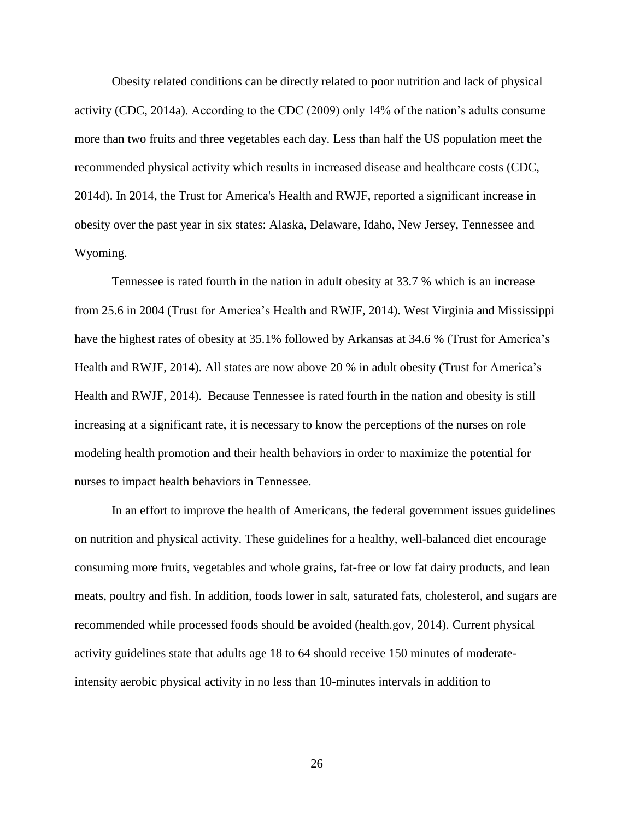Obesity related conditions can be directly related to poor nutrition and lack of physical activity (CDC, 2014a). According to the CDC (2009) only 14% of the nation's adults consume more than two fruits and three vegetables each day. Less than half the US population meet the recommended physical activity which results in increased disease and healthcare costs (CDC, 2014d). In 2014, the Trust for America's Health and RWJF, reported a significant increase in obesity over the past year in six states: Alaska, Delaware, Idaho, New Jersey, Tennessee and Wyoming.

Tennessee is rated fourth in the nation in adult obesity at 33.7 % which is an increase from 25.6 in 2004 (Trust for America's Health and RWJF, 2014). West Virginia and Mississippi have the highest rates of obesity at 35.1% followed by Arkansas at 34.6 % (Trust for America's Health and RWJF, 2014). All states are now above 20 % in adult obesity (Trust for America's Health and RWJF, 2014). Because Tennessee is rated fourth in the nation and obesity is still increasing at a significant rate, it is necessary to know the perceptions of the nurses on role modeling health promotion and their health behaviors in order to maximize the potential for nurses to impact health behaviors in Tennessee.

In an effort to improve the health of Americans, the federal government issues guidelines on nutrition and physical activity. These guidelines for a healthy, well-balanced diet encourage consuming more fruits, vegetables and whole grains, fat-free or low fat dairy products, and lean meats, poultry and fish. In addition, foods lower in salt, saturated fats, cholesterol, and sugars are recommended while processed foods should be avoided (health.gov, 2014). Current physical activity guidelines state that adults age 18 to 64 should receive 150 minutes of moderateintensity aerobic physical activity in no less than 10-minutes intervals in addition to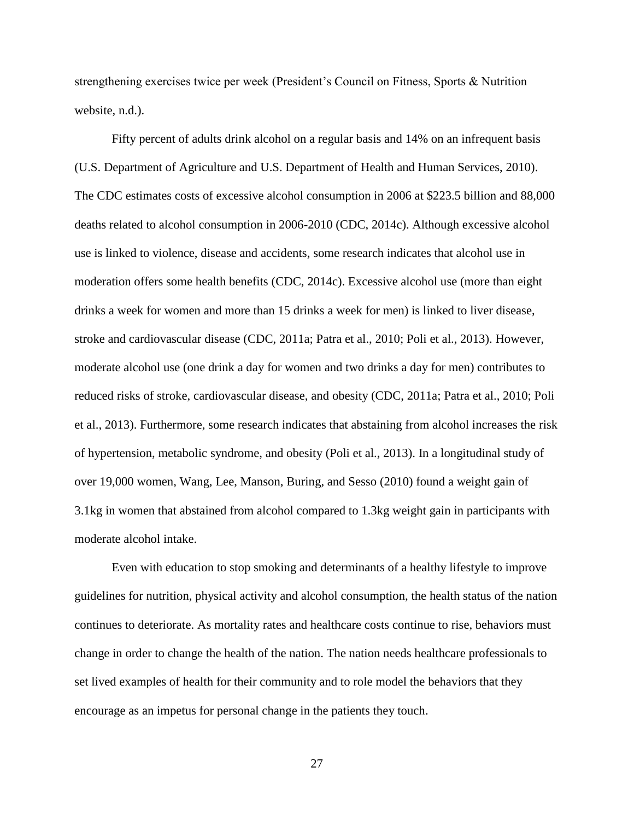strengthening exercises twice per week (President's Council on Fitness, Sports & Nutrition website, n.d.).

Fifty percent of adults drink alcohol on a regular basis and 14% on an infrequent basis (U.S. Department of Agriculture and U.S. Department of Health and Human Services, 2010). The CDC estimates costs of excessive alcohol consumption in 2006 at \$223.5 billion and 88,000 deaths related to alcohol consumption in 2006-2010 (CDC, 2014c). Although excessive alcohol use is linked to violence, disease and accidents, some research indicates that alcohol use in moderation offers some health benefits (CDC, 2014c). Excessive alcohol use (more than eight drinks a week for women and more than 15 drinks a week for men) is linked to liver disease, stroke and cardiovascular disease (CDC, 2011a; Patra et al., 2010; Poli et al., 2013). However, moderate alcohol use (one drink a day for women and two drinks a day for men) contributes to reduced risks of stroke, cardiovascular disease, and obesity (CDC, 2011a; Patra et al., 2010; Poli et al., 2013). Furthermore, some research indicates that abstaining from alcohol increases the risk of hypertension, metabolic syndrome, and obesity (Poli et al., 2013). In a longitudinal study of over 19,000 women, Wang, Lee, Manson, Buring, and Sesso (2010) found a weight gain of 3.1kg in women that abstained from alcohol compared to 1.3kg weight gain in participants with moderate alcohol intake.

Even with education to stop smoking and determinants of a healthy lifestyle to improve guidelines for nutrition, physical activity and alcohol consumption, the health status of the nation continues to deteriorate. As mortality rates and healthcare costs continue to rise, behaviors must change in order to change the health of the nation. The nation needs healthcare professionals to set lived examples of health for their community and to role model the behaviors that they encourage as an impetus for personal change in the patients they touch.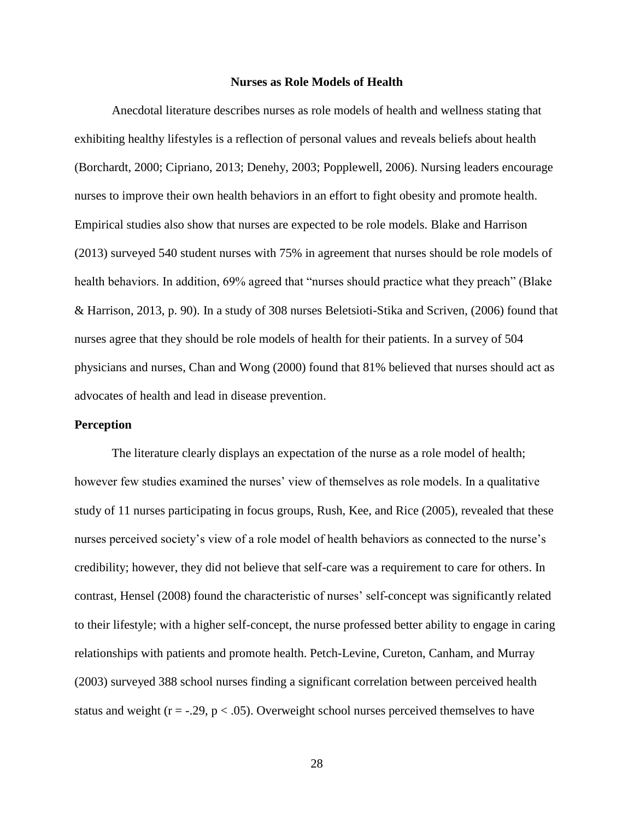#### **Nurses as Role Models of Health**

<span id="page-28-0"></span>Anecdotal literature describes nurses as role models of health and wellness stating that exhibiting healthy lifestyles is a reflection of personal values and reveals beliefs about health (Borchardt, 2000; Cipriano, 2013; Denehy, 2003; Popplewell, 2006). Nursing leaders encourage nurses to improve their own health behaviors in an effort to fight obesity and promote health. Empirical studies also show that nurses are expected to be role models. Blake and Harrison (2013) surveyed 540 student nurses with 75% in agreement that nurses should be role models of health behaviors. In addition, 69% agreed that "nurses should practice what they preach" (Blake & Harrison, 2013, p. 90). In a study of 308 nurses Beletsioti-Stika and Scriven, (2006) found that nurses agree that they should be role models of health for their patients. In a survey of 504 physicians and nurses, Chan and Wong (2000) found that 81% believed that nurses should act as advocates of health and lead in disease prevention.

# <span id="page-28-1"></span>**Perception**

The literature clearly displays an expectation of the nurse as a role model of health; however few studies examined the nurses' view of themselves as role models. In a qualitative study of 11 nurses participating in focus groups, Rush, Kee, and Rice (2005), revealed that these nurses perceived society's view of a role model of health behaviors as connected to the nurse's credibility; however, they did not believe that self-care was a requirement to care for others. In contrast, Hensel (2008) found the characteristic of nurses' self-concept was significantly related to their lifestyle; with a higher self-concept, the nurse professed better ability to engage in caring relationships with patients and promote health. Petch-Levine, Cureton, Canham, and Murray (2003) surveyed 388 school nurses finding a significant correlation between perceived health status and weight ( $r = -0.29$ ,  $p < 0.05$ ). Overweight school nurses perceived themselves to have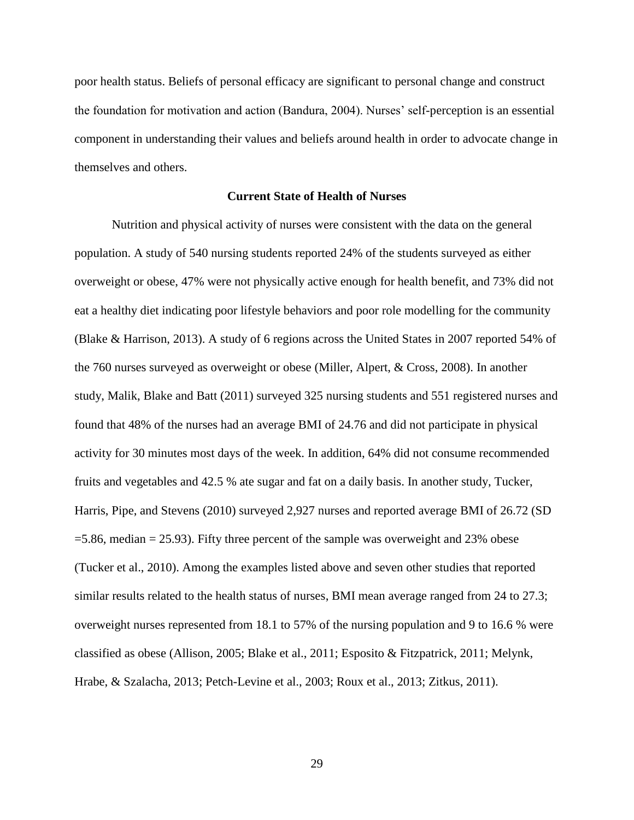poor health status. Beliefs of personal efficacy are significant to personal change and construct the foundation for motivation and action (Bandura, 2004). Nurses' self-perception is an essential component in understanding their values and beliefs around health in order to advocate change in themselves and others.

# **Current State of Health of Nurses**

<span id="page-29-0"></span>Nutrition and physical activity of nurses were consistent with the data on the general population. A study of 540 nursing students reported 24% of the students surveyed as either overweight or obese, 47% were not physically active enough for health benefit, and 73% did not eat a healthy diet indicating poor lifestyle behaviors and poor role modelling for the community (Blake & Harrison, 2013). A study of 6 regions across the United States in 2007 reported 54% of the 760 nurses surveyed as overweight or obese (Miller, Alpert, & Cross, 2008). In another study, Malik, Blake and Batt (2011) surveyed 325 nursing students and 551 registered nurses and found that 48% of the nurses had an average BMI of 24.76 and did not participate in physical activity for 30 minutes most days of the week. In addition, 64% did not consume recommended fruits and vegetables and 42.5 % ate sugar and fat on a daily basis. In another study, Tucker, Harris, Pipe, and Stevens (2010) surveyed 2,927 nurses and reported average BMI of 26.72 (SD  $=5.86$ , median  $= 25.93$ ). Fifty three percent of the sample was overweight and 23% obese (Tucker et al., 2010). Among the examples listed above and seven other studies that reported similar results related to the health status of nurses, BMI mean average ranged from 24 to 27.3; overweight nurses represented from 18.1 to 57% of the nursing population and 9 to 16.6 % were classified as obese (Allison, 2005; Blake et al., 2011; Esposito & Fitzpatrick, 2011; Melynk, Hrabe, & Szalacha, 2013; Petch-Levine et al., 2003; Roux et al., 2013; Zitkus, 2011).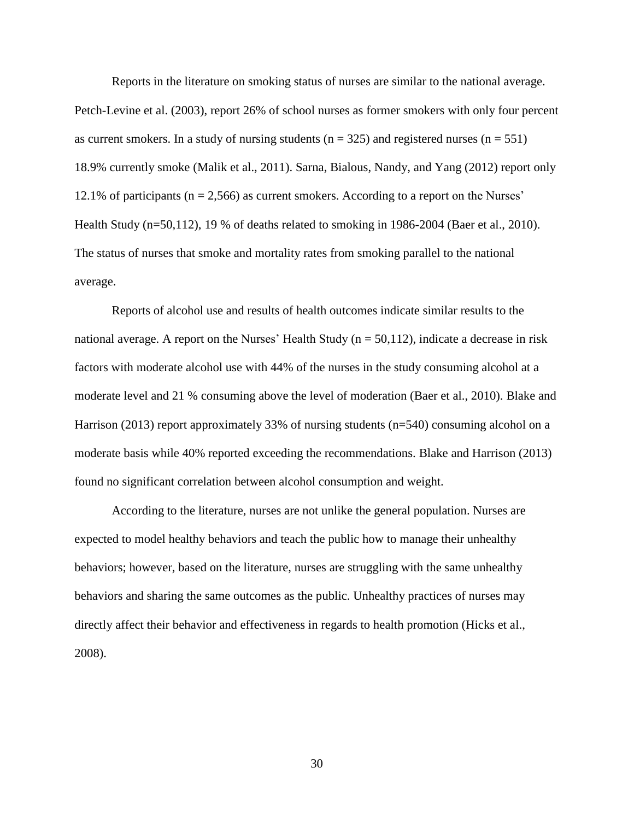Reports in the literature on smoking status of nurses are similar to the national average.

Petch-Levine et al. (2003), report 26% of school nurses as former smokers with only four percent as current smokers. In a study of nursing students ( $n = 325$ ) and registered nurses ( $n = 551$ ) 18.9% currently smoke (Malik et al., 2011). Sarna, Bialous, Nandy, and Yang (2012) report only 12.1% of participants (n = 2,566) as current smokers. According to a report on the Nurses' Health Study (n=50,112), 19 % of deaths related to smoking in 1986-2004 (Baer et al., 2010). The status of nurses that smoke and mortality rates from smoking parallel to the national average.

Reports of alcohol use and results of health outcomes indicate similar results to the national average. A report on the Nurses' Health Study ( $n = 50,112$ ), indicate a decrease in risk factors with moderate alcohol use with 44% of the nurses in the study consuming alcohol at a moderate level and 21 % consuming above the level of moderation (Baer et al., 2010). Blake and Harrison (2013) report approximately 33% of nursing students (n=540) consuming alcohol on a moderate basis while 40% reported exceeding the recommendations. Blake and Harrison (2013) found no significant correlation between alcohol consumption and weight.

According to the literature, nurses are not unlike the general population. Nurses are expected to model healthy behaviors and teach the public how to manage their unhealthy behaviors; however, based on the literature, nurses are struggling with the same unhealthy behaviors and sharing the same outcomes as the public. Unhealthy practices of nurses may directly affect their behavior and effectiveness in regards to health promotion (Hicks et al., 2008).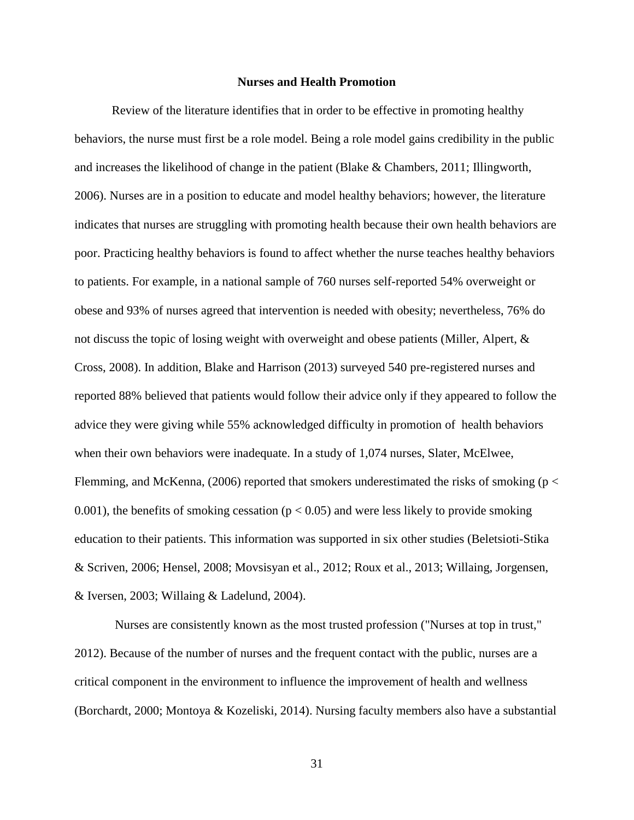## **Nurses and Health Promotion**

<span id="page-31-0"></span>Review of the literature identifies that in order to be effective in promoting healthy behaviors, the nurse must first be a role model. Being a role model gains credibility in the public and increases the likelihood of change in the patient (Blake & Chambers, 2011; Illingworth, 2006). Nurses are in a position to educate and model healthy behaviors; however, the literature indicates that nurses are struggling with promoting health because their own health behaviors are poor. Practicing healthy behaviors is found to affect whether the nurse teaches healthy behaviors to patients. For example, in a national sample of 760 nurses self-reported 54% overweight or obese and 93% of nurses agreed that intervention is needed with obesity; nevertheless, 76% do not discuss the topic of losing weight with overweight and obese patients (Miller, Alpert, & Cross, 2008). In addition, Blake and Harrison (2013) surveyed 540 pre-registered nurses and reported 88% believed that patients would follow their advice only if they appeared to follow the advice they were giving while 55% acknowledged difficulty in promotion of health behaviors when their own behaviors were inadequate. In a study of 1,074 nurses, Slater, McElwee, Flemming, and McKenna,  $(2006)$  reported that smokers underestimated the risks of smoking (p  $\lt$ 0.001), the benefits of smoking cessation ( $p < 0.05$ ) and were less likely to provide smoking education to their patients. This information was supported in six other studies (Beletsioti-Stika & Scriven, 2006; Hensel, 2008; Movsisyan et al., 2012; Roux et al., 2013; Willaing, Jorgensen, & Iversen, 2003; Willaing & Ladelund, 2004).

Nurses are consistently known as the most trusted profession ("Nurses at top in trust," 2012). Because of the number of nurses and the frequent contact with the public, nurses are a critical component in the environment to influence the improvement of health and wellness (Borchardt, 2000; Montoya & Kozeliski, 2014). Nursing faculty members also have a substantial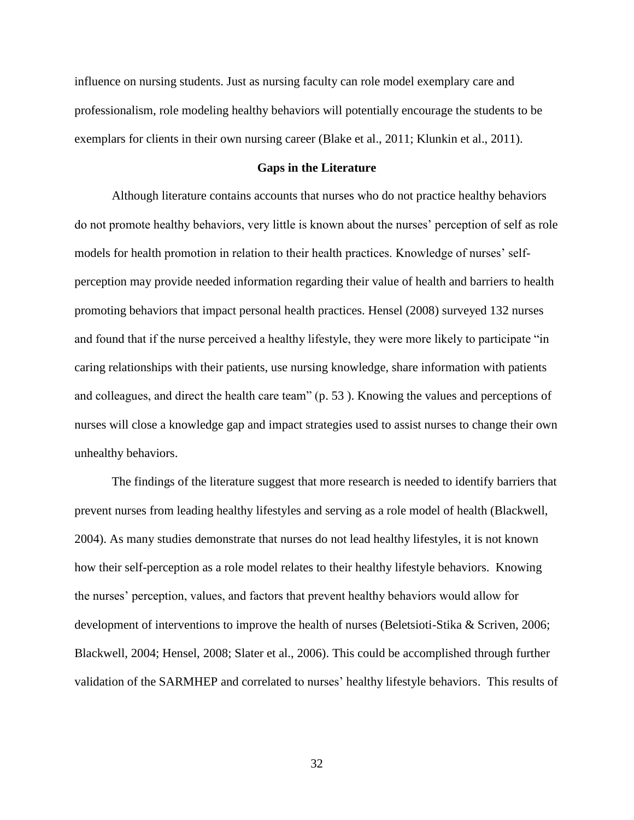influence on nursing students. Just as nursing faculty can role model exemplary care and professionalism, role modeling healthy behaviors will potentially encourage the students to be exemplars for clients in their own nursing career (Blake et al., 2011; Klunkin et al., 2011).

# **Gaps in the Literature**

<span id="page-32-0"></span>Although literature contains accounts that nurses who do not practice healthy behaviors do not promote healthy behaviors, very little is known about the nurses' perception of self as role models for health promotion in relation to their health practices. Knowledge of nurses' selfperception may provide needed information regarding their value of health and barriers to health promoting behaviors that impact personal health practices. Hensel (2008) surveyed 132 nurses and found that if the nurse perceived a healthy lifestyle, they were more likely to participate "in caring relationships with their patients, use nursing knowledge, share information with patients and colleagues, and direct the health care team" (p. 53 ). Knowing the values and perceptions of nurses will close a knowledge gap and impact strategies used to assist nurses to change their own unhealthy behaviors.

The findings of the literature suggest that more research is needed to identify barriers that prevent nurses from leading healthy lifestyles and serving as a role model of health (Blackwell, 2004). As many studies demonstrate that nurses do not lead healthy lifestyles, it is not known how their self-perception as a role model relates to their healthy lifestyle behaviors. Knowing the nurses' perception, values, and factors that prevent healthy behaviors would allow for development of interventions to improve the health of nurses (Beletsioti-Stika & Scriven, 2006; Blackwell, 2004; Hensel, 2008; Slater et al., 2006). This could be accomplished through further validation of the SARMHEP and correlated to nurses' healthy lifestyle behaviors. This results of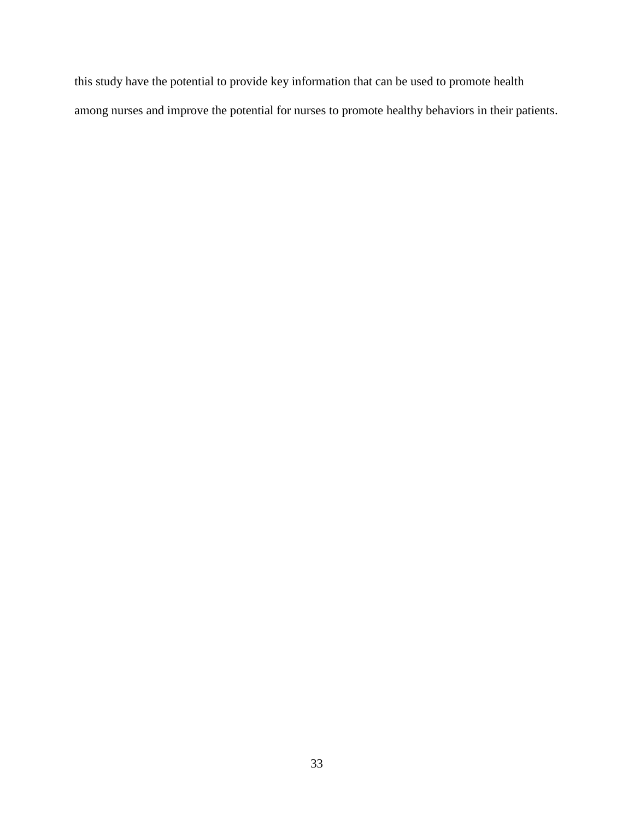this study have the potential to provide key information that can be used to promote health among nurses and improve the potential for nurses to promote healthy behaviors in their patients.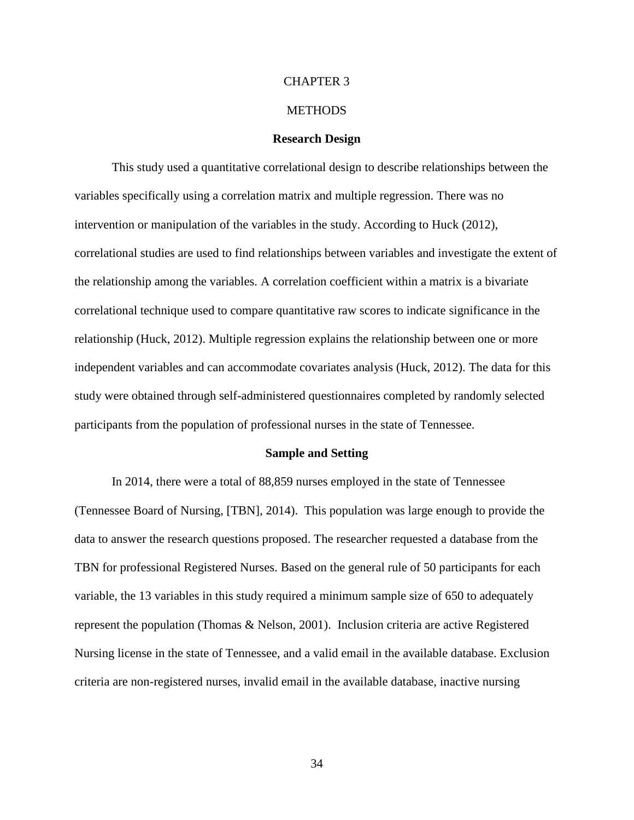# CHAPTER 3

## **METHODS**

## **Research Design**

<span id="page-34-1"></span><span id="page-34-0"></span>This study used a quantitative correlational design to describe relationships between the variables specifically using a correlation matrix and multiple regression. There was no intervention or manipulation of the variables in the study. According to Huck (2012), correlational studies are used to find relationships between variables and investigate the extent of the relationship among the variables. A correlation coefficient within a matrix is a bivariate correlational technique used to compare quantitative raw scores to indicate significance in the relationship (Huck, 2012). Multiple regression explains the relationship between one or more independent variables and can accommodate covariates analysis (Huck, 2012). The data for this study were obtained through self-administered questionnaires completed by randomly selected participants from the population of professional nurses in the state of Tennessee.

#### **Sample and Setting**

<span id="page-34-2"></span>In 2014, there were a total of 88,859 nurses employed in the state of Tennessee (Tennessee Board of Nursing, [TBN], 2014). This population was large enough to provide the data to answer the research questions proposed. The researcher requested a database from the TBN for professional Registered Nurses. Based on the general rule of 50 participants for each variable, the 13 variables in this study required a minimum sample size of 650 to adequately represent the population (Thomas & Nelson, 2001). Inclusion criteria are active Registered Nursing license in the state of Tennessee, and a valid email in the available database. Exclusion criteria are non-registered nurses, invalid email in the available database, inactive nursing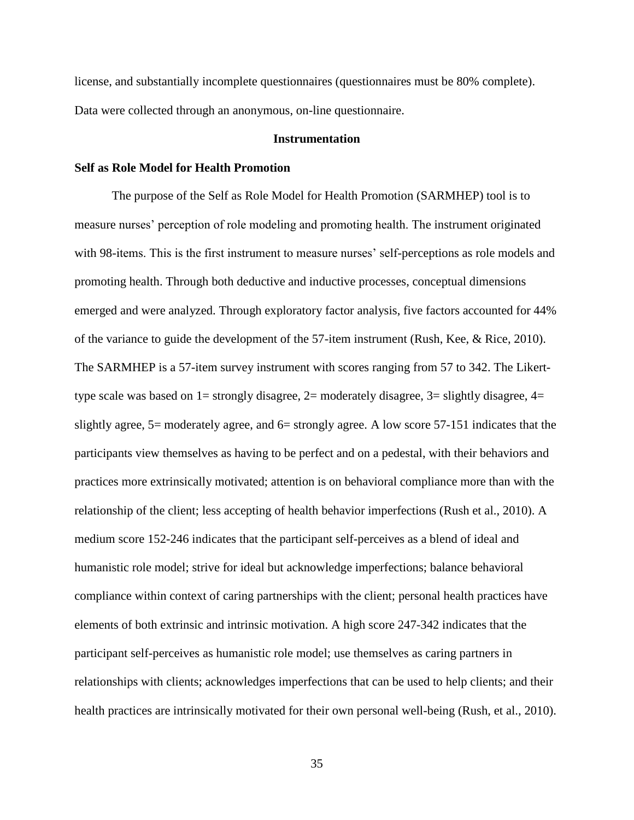license, and substantially incomplete questionnaires (questionnaires must be 80% complete). Data were collected through an anonymous, on-line questionnaire.

# **Instrumentation**

# <span id="page-35-1"></span><span id="page-35-0"></span>**Self as Role Model for Health Promotion**

The purpose of the Self as Role Model for Health Promotion (SARMHEP) tool is to measure nurses' perception of role modeling and promoting health. The instrument originated with 98-items. This is the first instrument to measure nurses' self-perceptions as role models and promoting health. Through both deductive and inductive processes, conceptual dimensions emerged and were analyzed. Through exploratory factor analysis, five factors accounted for 44% of the variance to guide the development of the 57-item instrument (Rush, Kee, & Rice, 2010). The SARMHEP is a 57-item survey instrument with scores ranging from 57 to 342. The Likerttype scale was based on  $1=$  strongly disagree,  $2=$  moderately disagree,  $3=$  slightly disagree,  $4=$ slightly agree, 5= moderately agree, and 6= strongly agree. A low score 57-151 indicates that the participants view themselves as having to be perfect and on a pedestal, with their behaviors and practices more extrinsically motivated; attention is on behavioral compliance more than with the relationship of the client; less accepting of health behavior imperfections (Rush et al., 2010). A medium score 152-246 indicates that the participant self-perceives as a blend of ideal and humanistic role model; strive for ideal but acknowledge imperfections; balance behavioral compliance within context of caring partnerships with the client; personal health practices have elements of both extrinsic and intrinsic motivation. A high score 247-342 indicates that the participant self-perceives as humanistic role model; use themselves as caring partners in relationships with clients; acknowledges imperfections that can be used to help clients; and their health practices are intrinsically motivated for their own personal well-being (Rush, et al., 2010).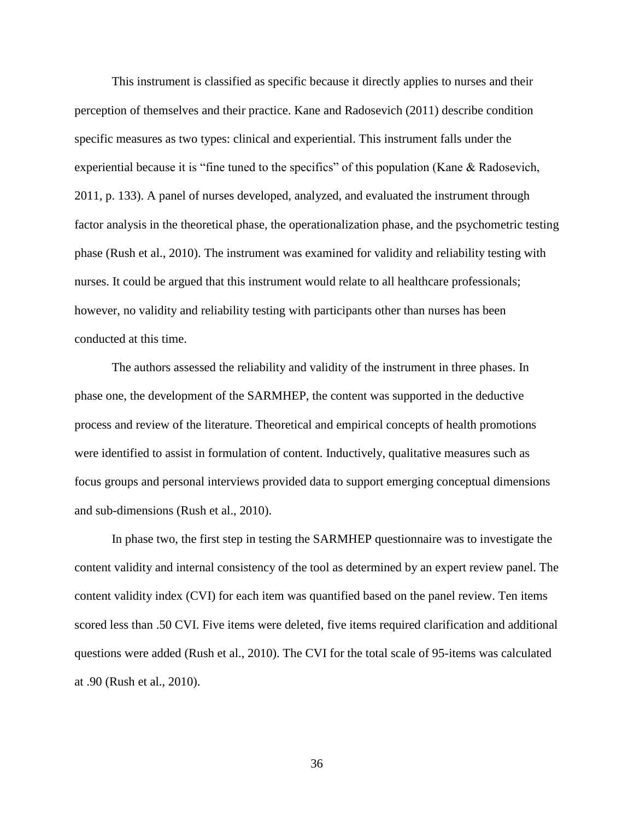This instrument is classified as specific because it directly applies to nurses and their perception of themselves and their practice. Kane and Radosevich (2011) describe condition specific measures as two types: clinical and experiential. This instrument falls under the experiential because it is "fine tuned to the specifics" of this population (Kane & Radosevich, 2011, p. 133). A panel of nurses developed, analyzed, and evaluated the instrument through factor analysis in the theoretical phase, the operationalization phase, and the psychometric testing phase (Rush et al., 2010). The instrument was examined for validity and reliability testing with nurses. It could be argued that this instrument would relate to all healthcare professionals; however, no validity and reliability testing with participants other than nurses has been conducted at this time.

The authors assessed the reliability and validity of the instrument in three phases. In phase one, the development of the SARMHEP, the content was supported in the deductive process and review of the literature. Theoretical and empirical concepts of health promotions were identified to assist in formulation of content. Inductively, qualitative measures such as focus groups and personal interviews provided data to support emerging conceptual dimensions and sub-dimensions (Rush et al., 2010).

In phase two, the first step in testing the SARMHEP questionnaire was to investigate the content validity and internal consistency of the tool as determined by an expert review panel. The content validity index (CVI) for each item was quantified based on the panel review. Ten items scored less than .50 CVI. Five items were deleted, five items required clarification and additional questions were added (Rush et al., 2010). The CVI for the total scale of 95-items was calculated at .90 (Rush et al., 2010).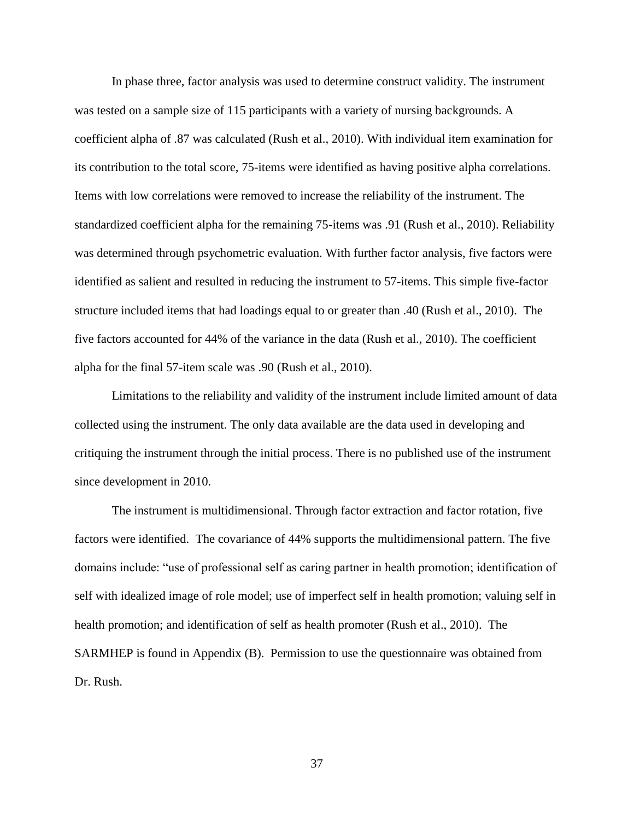In phase three, factor analysis was used to determine construct validity. The instrument was tested on a sample size of 115 participants with a variety of nursing backgrounds. A coefficient alpha of .87 was calculated (Rush et al., 2010). With individual item examination for its contribution to the total score, 75-items were identified as having positive alpha correlations. Items with low correlations were removed to increase the reliability of the instrument. The standardized coefficient alpha for the remaining 75-items was .91 (Rush et al., 2010). Reliability was determined through psychometric evaluation. With further factor analysis, five factors were identified as salient and resulted in reducing the instrument to 57-items. This simple five-factor structure included items that had loadings equal to or greater than .40 (Rush et al., 2010). The five factors accounted for 44% of the variance in the data (Rush et al., 2010). The coefficient alpha for the final 57-item scale was .90 (Rush et al., 2010).

Limitations to the reliability and validity of the instrument include limited amount of data collected using the instrument. The only data available are the data used in developing and critiquing the instrument through the initial process. There is no published use of the instrument since development in 2010.

The instrument is multidimensional. Through factor extraction and factor rotation, five factors were identified. The covariance of 44% supports the multidimensional pattern. The five domains include: "use of professional self as caring partner in health promotion; identification of self with idealized image of role model; use of imperfect self in health promotion; valuing self in health promotion; and identification of self as health promoter (Rush et al., 2010). The SARMHEP is found in Appendix (B). Permission to use the questionnaire was obtained from Dr. Rush.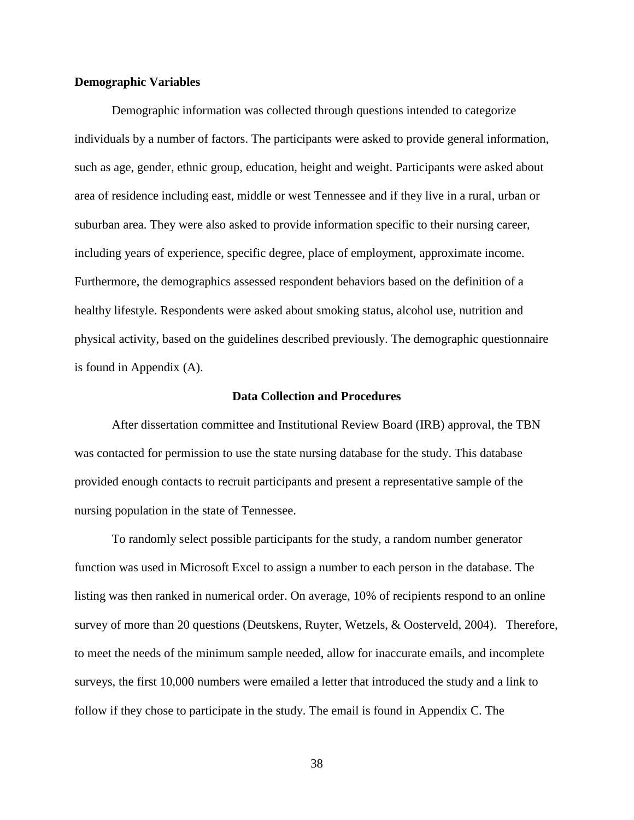### **Demographic Variables**

Demographic information was collected through questions intended to categorize individuals by a number of factors. The participants were asked to provide general information, such as age, gender, ethnic group, education, height and weight. Participants were asked about area of residence including east, middle or west Tennessee and if they live in a rural, urban or suburban area. They were also asked to provide information specific to their nursing career, including years of experience, specific degree, place of employment, approximate income. Furthermore, the demographics assessed respondent behaviors based on the definition of a healthy lifestyle. Respondents were asked about smoking status, alcohol use, nutrition and physical activity, based on the guidelines described previously. The demographic questionnaire is found in Appendix (A).

#### **Data Collection and Procedures**

After dissertation committee and Institutional Review Board (IRB) approval, the TBN was contacted for permission to use the state nursing database for the study. This database provided enough contacts to recruit participants and present a representative sample of the nursing population in the state of Tennessee.

To randomly select possible participants for the study, a random number generator function was used in Microsoft Excel to assign a number to each person in the database. The listing was then ranked in numerical order. On average, 10% of recipients respond to an online survey of more than 20 questions (Deutskens, Ruyter, Wetzels, & Oosterveld, 2004). Therefore, to meet the needs of the minimum sample needed, allow for inaccurate emails, and incomplete surveys, the first 10,000 numbers were emailed a letter that introduced the study and a link to follow if they chose to participate in the study. The email is found in Appendix C. The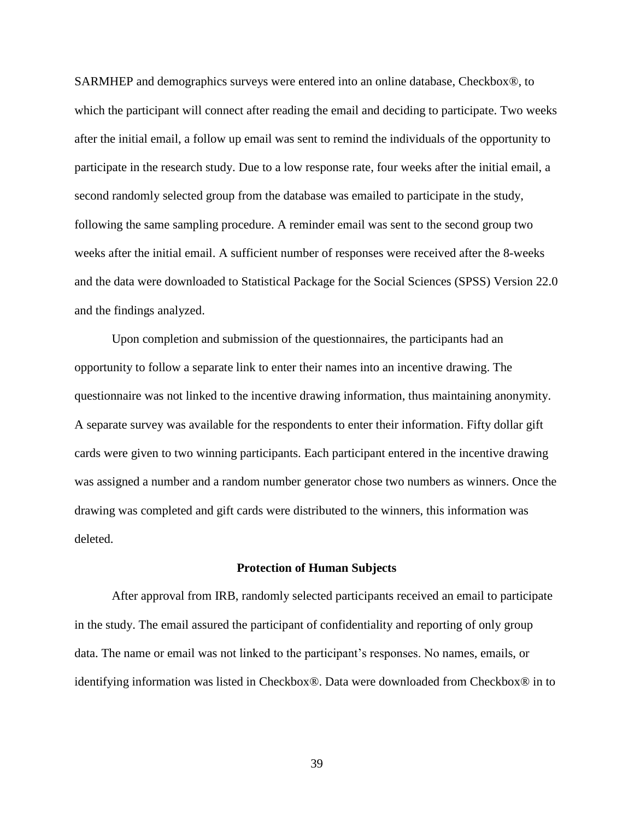SARMHEP and demographics surveys were entered into an online database, Checkbox®, to which the participant will connect after reading the email and deciding to participate. Two weeks after the initial email, a follow up email was sent to remind the individuals of the opportunity to participate in the research study. Due to a low response rate, four weeks after the initial email, a second randomly selected group from the database was emailed to participate in the study, following the same sampling procedure. A reminder email was sent to the second group two weeks after the initial email. A sufficient number of responses were received after the 8-weeks and the data were downloaded to Statistical Package for the Social Sciences (SPSS) Version 22.0 and the findings analyzed.

Upon completion and submission of the questionnaires, the participants had an opportunity to follow a separate link to enter their names into an incentive drawing. The questionnaire was not linked to the incentive drawing information, thus maintaining anonymity. A separate survey was available for the respondents to enter their information. Fifty dollar gift cards were given to two winning participants. Each participant entered in the incentive drawing was assigned a number and a random number generator chose two numbers as winners. Once the drawing was completed and gift cards were distributed to the winners, this information was deleted.

#### **Protection of Human Subjects**

After approval from IRB, randomly selected participants received an email to participate in the study. The email assured the participant of confidentiality and reporting of only group data. The name or email was not linked to the participant's responses. No names, emails, or identifying information was listed in Checkbox®. Data were downloaded from Checkbox® in to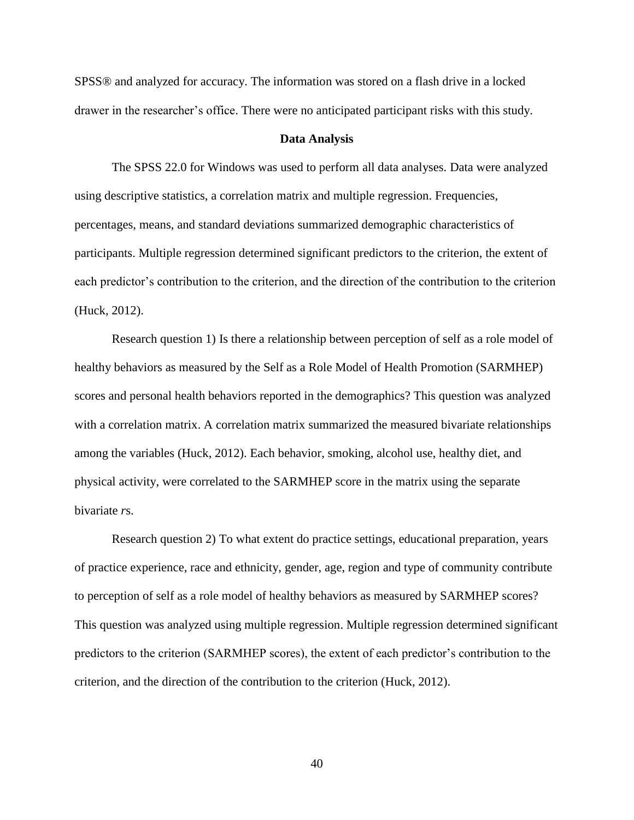SPSS® and analyzed for accuracy. The information was stored on a flash drive in a locked drawer in the researcher's office. There were no anticipated participant risks with this study.

#### **Data Analysis**

The SPSS 22.0 for Windows was used to perform all data analyses. Data were analyzed using descriptive statistics, a correlation matrix and multiple regression. Frequencies, percentages, means, and standard deviations summarized demographic characteristics of participants. Multiple regression determined significant predictors to the criterion, the extent of each predictor's contribution to the criterion, and the direction of the contribution to the criterion (Huck, 2012).

Research question 1) Is there a relationship between perception of self as a role model of healthy behaviors as measured by the Self as a Role Model of Health Promotion (SARMHEP) scores and personal health behaviors reported in the demographics? This question was analyzed with a correlation matrix. A correlation matrix summarized the measured bivariate relationships among the variables (Huck, 2012). Each behavior, smoking, alcohol use, healthy diet, and physical activity, were correlated to the SARMHEP score in the matrix using the separate bivariate *r*s.

Research question 2) To what extent do practice settings, educational preparation, years of practice experience, race and ethnicity, gender, age, region and type of community contribute to perception of self as a role model of healthy behaviors as measured by SARMHEP scores? This question was analyzed using multiple regression. Multiple regression determined significant predictors to the criterion (SARMHEP scores), the extent of each predictor's contribution to the criterion, and the direction of the contribution to the criterion (Huck, 2012).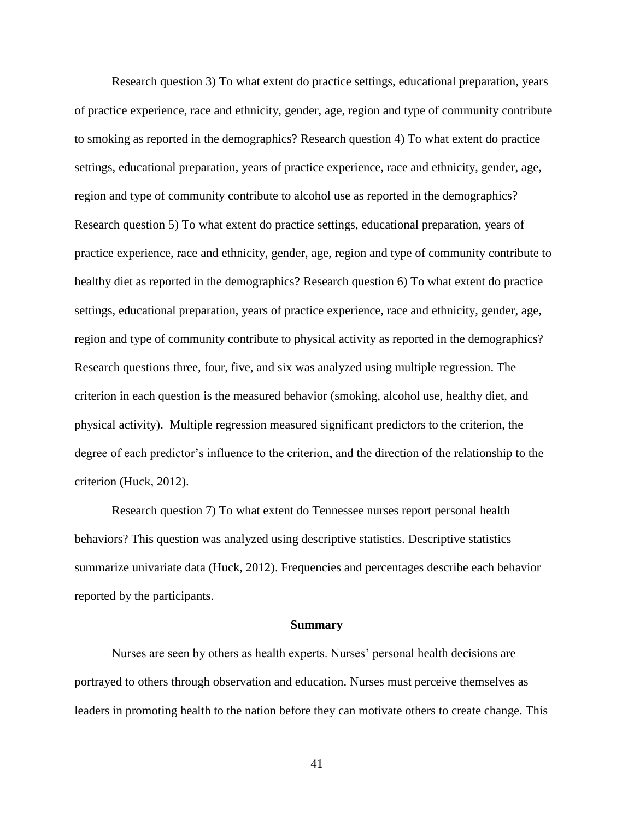Research question 3) To what extent do practice settings, educational preparation, years of practice experience, race and ethnicity, gender, age, region and type of community contribute to smoking as reported in the demographics? Research question 4) To what extent do practice settings, educational preparation, years of practice experience, race and ethnicity, gender, age, region and type of community contribute to alcohol use as reported in the demographics? Research question 5) To what extent do practice settings, educational preparation, years of practice experience, race and ethnicity, gender, age, region and type of community contribute to healthy diet as reported in the demographics? Research question 6) To what extent do practice settings, educational preparation, years of practice experience, race and ethnicity, gender, age, region and type of community contribute to physical activity as reported in the demographics? Research questions three, four, five, and six was analyzed using multiple regression. The criterion in each question is the measured behavior (smoking, alcohol use, healthy diet, and physical activity). Multiple regression measured significant predictors to the criterion, the degree of each predictor's influence to the criterion, and the direction of the relationship to the criterion (Huck, 2012).

Research question 7) To what extent do Tennessee nurses report personal health behaviors? This question was analyzed using descriptive statistics. Descriptive statistics summarize univariate data (Huck, 2012). Frequencies and percentages describe each behavior reported by the participants.

#### **Summary**

Nurses are seen by others as health experts. Nurses' personal health decisions are portrayed to others through observation and education. Nurses must perceive themselves as leaders in promoting health to the nation before they can motivate others to create change. This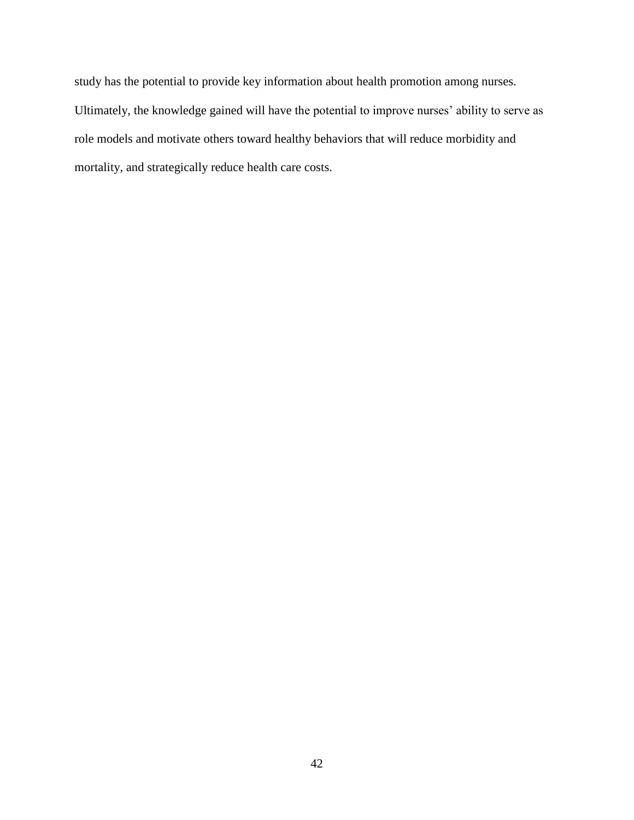study has the potential to provide key information about health promotion among nurses. Ultimately, the knowledge gained will have the potential to improve nurses' ability to serve as role models and motivate others toward healthy behaviors that will reduce morbidity and mortality, and strategically reduce health care costs.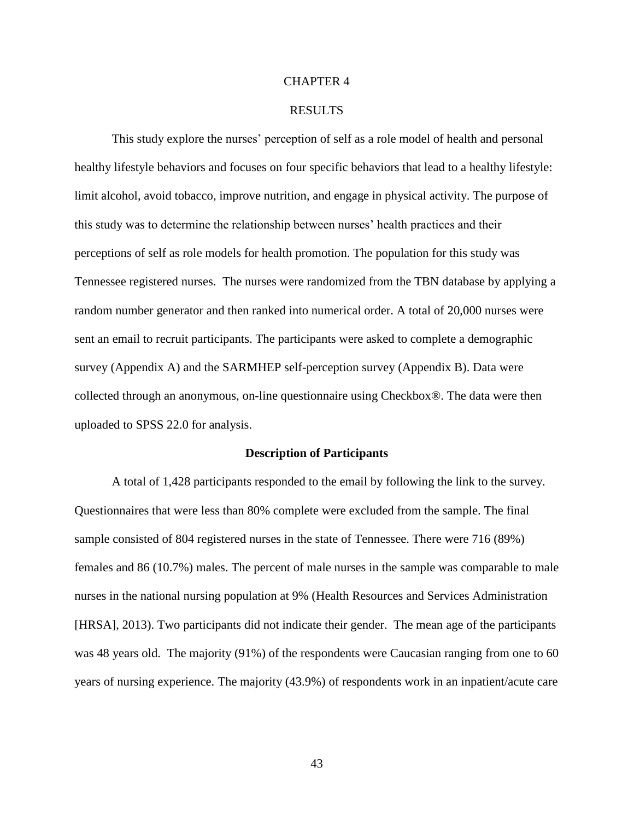### CHAPTER 4

#### RESULTS

This study explore the nurses' perception of self as a role model of health and personal healthy lifestyle behaviors and focuses on four specific behaviors that lead to a healthy lifestyle: limit alcohol, avoid tobacco, improve nutrition, and engage in physical activity. The purpose of this study was to determine the relationship between nurses' health practices and their perceptions of self as role models for health promotion. The population for this study was Tennessee registered nurses. The nurses were randomized from the TBN database by applying a random number generator and then ranked into numerical order. A total of 20,000 nurses were sent an email to recruit participants. The participants were asked to complete a demographic survey (Appendix A) and the SARMHEP self-perception survey (Appendix B). Data were collected through an anonymous, on-line questionnaire using Checkbox®. The data were then uploaded to SPSS 22.0 for analysis.

#### **Description of Participants**

A total of 1,428 participants responded to the email by following the link to the survey. Questionnaires that were less than 80% complete were excluded from the sample. The final sample consisted of 804 registered nurses in the state of Tennessee. There were 716 (89%) females and 86 (10.7%) males. The percent of male nurses in the sample was comparable to male nurses in the national nursing population at 9% (Health Resources and Services Administration [HRSA], 2013). Two participants did not indicate their gender. The mean age of the participants was 48 years old. The majority (91%) of the respondents were Caucasian ranging from one to 60 years of nursing experience. The majority (43.9%) of respondents work in an inpatient/acute care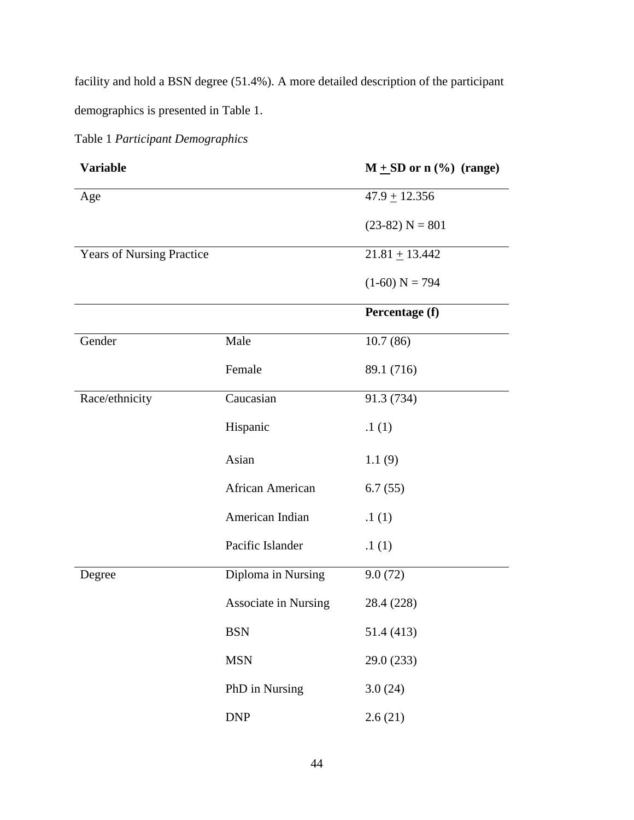facility and hold a BSN degree (51.4%). A more detailed description of the participant demographics is presented in Table 1.

# Table 1 *Participant Demographics*

| <b>Variable</b>                  |                             | $M + SD$ or n $(\% )$ (range) |
|----------------------------------|-----------------------------|-------------------------------|
| Age                              |                             | $47.9 \pm 12.356$             |
|                                  |                             | $(23-82) N = 801$             |
| <b>Years of Nursing Practice</b> |                             | $21.81 + 13.442$              |
|                                  |                             | $(1-60) N = 794$              |
|                                  |                             | Percentage (f)                |
| Gender                           | Male                        | 10.7(86)                      |
|                                  | Female                      | 89.1 (716)                    |
| Race/ethnicity                   | Caucasian                   | 91.3 (734)                    |
|                                  | Hispanic                    | .1(1)                         |
|                                  | Asian                       | 1.1(9)                        |
|                                  | African American            | 6.7(55)                       |
|                                  | American Indian             | .1(1)                         |
|                                  | Pacific Islander            | .1(1)                         |
| Degree                           | Diploma in Nursing          | 9.0(72)                       |
|                                  | <b>Associate in Nursing</b> | 28.4 (228)                    |
|                                  | <b>BSN</b>                  | 51.4 (413)                    |
|                                  | <b>MSN</b>                  | 29.0 (233)                    |
|                                  | PhD in Nursing              | 3.0(24)                       |
|                                  | <b>DNP</b>                  | 2.6(21)                       |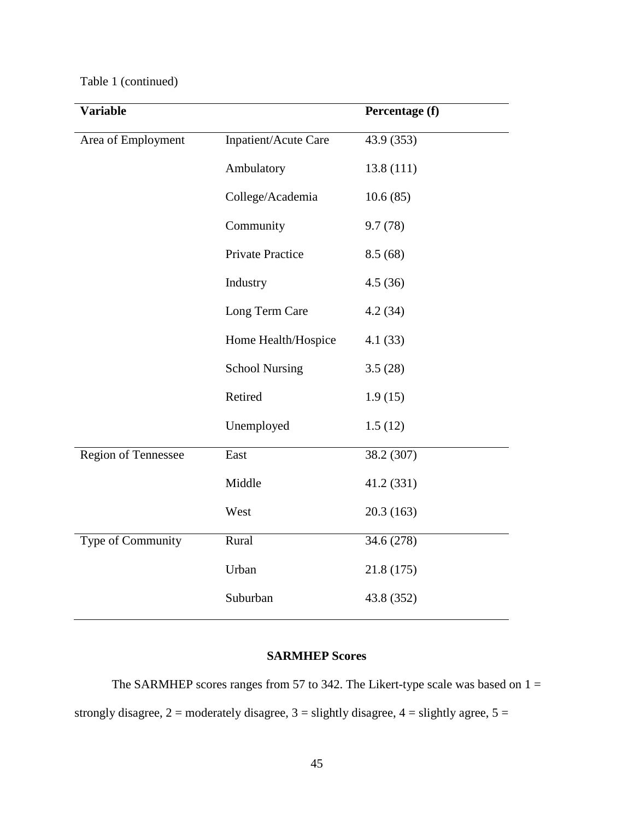# Table 1 (continued)

| <b>Variable</b>     |                       | Percentage (f) |
|---------------------|-----------------------|----------------|
| Area of Employment  | Inpatient/Acute Care  | 43.9 (353)     |
|                     | Ambulatory            | 13.8(111)      |
|                     | College/Academia      | 10.6(85)       |
|                     | Community             | 9.7(78)        |
|                     | Private Practice      | 8.5(68)        |
|                     | Industry              | 4.5(36)        |
|                     | Long Term Care        | 4.2(34)        |
|                     | Home Health/Hospice   | 4.1(33)        |
|                     | <b>School Nursing</b> | 3.5(28)        |
|                     | Retired               | 1.9(15)        |
|                     | Unemployed            | 1.5(12)        |
| Region of Tennessee | East                  | 38.2 (307)     |
|                     | Middle                | 41.2 (331)     |
|                     | West                  | 20.3(163)      |
| Type of Community   | Rural                 | 34.6 (278)     |
|                     | Urban                 | 21.8 (175)     |
|                     | Suburban              | 43.8 (352)     |

# **SARMHEP Scores**

The SARMHEP scores ranges from 57 to 342. The Likert-type scale was based on  $1 =$ strongly disagree,  $2 =$  moderately disagree,  $3 =$  slightly disagree,  $4 =$  slightly agree,  $5 =$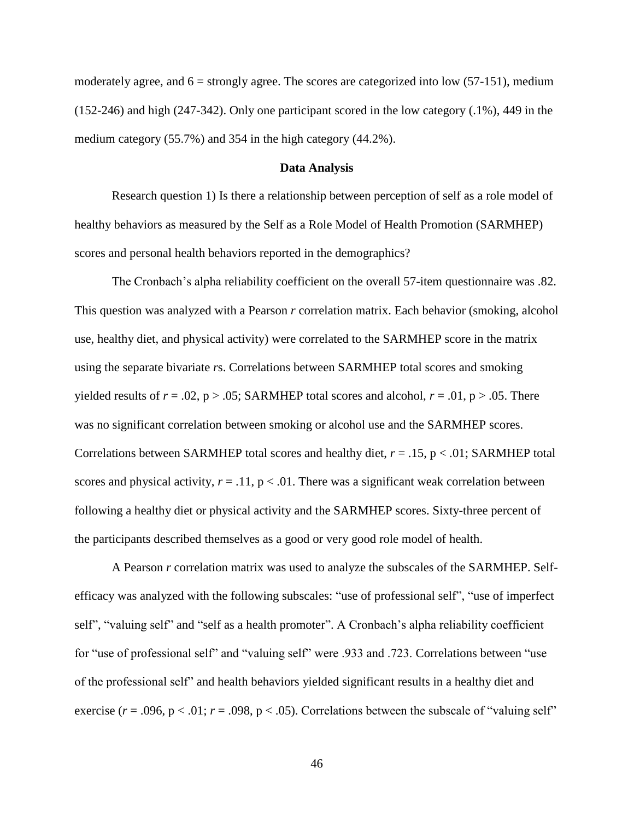moderately agree, and  $6 =$  strongly agree. The scores are categorized into low (57-151), medium (152-246) and high (247-342). Only one participant scored in the low category (.1%), 449 in the medium category (55.7%) and 354 in the high category (44.2%).

### **Data Analysis**

Research question 1) Is there a relationship between perception of self as a role model of healthy behaviors as measured by the Self as a Role Model of Health Promotion (SARMHEP) scores and personal health behaviors reported in the demographics?

The Cronbach's alpha reliability coefficient on the overall 57-item questionnaire was .82. This question was analyzed with a Pearson *r* correlation matrix. Each behavior (smoking, alcohol use, healthy diet, and physical activity) were correlated to the SARMHEP score in the matrix using the separate bivariate *r*s. Correlations between SARMHEP total scores and smoking yielded results of  $r = .02$ ,  $p > .05$ ; SARMHEP total scores and alcohol,  $r = .01$ ,  $p > .05$ . There was no significant correlation between smoking or alcohol use and the SARMHEP scores. Correlations between SARMHEP total scores and healthy diet, *r* = .15, p < .01; SARMHEP total scores and physical activity,  $r = .11$ ,  $p < .01$ . There was a significant weak correlation between following a healthy diet or physical activity and the SARMHEP scores. Sixty-three percent of the participants described themselves as a good or very good role model of health.

A Pearson *r* correlation matrix was used to analyze the subscales of the SARMHEP. Selfefficacy was analyzed with the following subscales: "use of professional self", "use of imperfect self", "valuing self" and "self as a health promoter". A Cronbach's alpha reliability coefficient for "use of professional self" and "valuing self" were .933 and .723. Correlations between "use of the professional self" and health behaviors yielded significant results in a healthy diet and exercise ( $r = .096$ ,  $p < .01$ ;  $r = .098$ ,  $p < .05$ ). Correlations between the subscale of "valuing self"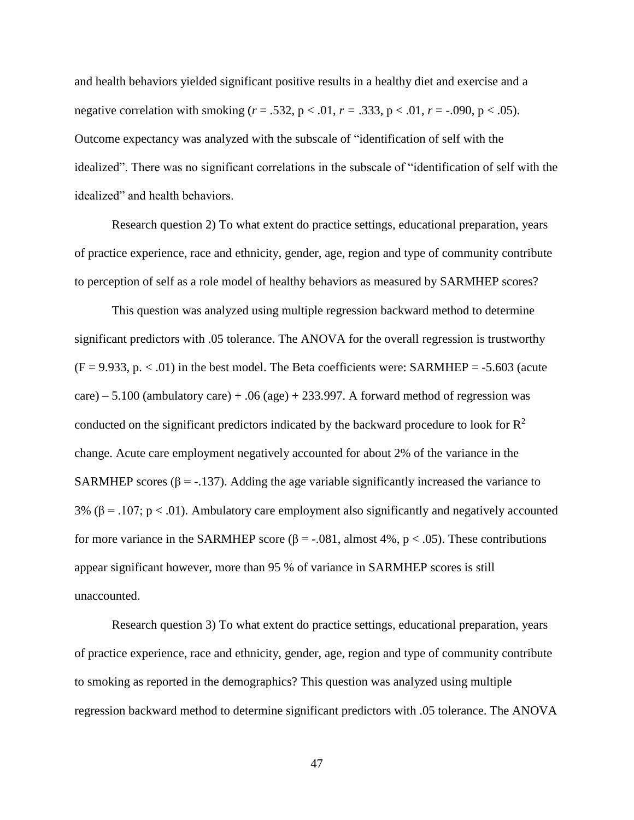and health behaviors yielded significant positive results in a healthy diet and exercise and a negative correlation with smoking ( $r = .532$ ,  $p < .01$ ,  $r = .333$ ,  $p < .01$ ,  $r = .090$ ,  $p < .05$ ). Outcome expectancy was analyzed with the subscale of "identification of self with the idealized". There was no significant correlations in the subscale of "identification of self with the idealized" and health behaviors.

Research question 2) To what extent do practice settings, educational preparation, years of practice experience, race and ethnicity, gender, age, region and type of community contribute to perception of self as a role model of healthy behaviors as measured by SARMHEP scores?

This question was analyzed using multiple regression backward method to determine significant predictors with .05 tolerance. The ANOVA for the overall regression is trustworthy  $(F = 9.933, p. < .01)$  in the best model. The Beta coefficients were: SARMHEP = -5.603 (acute care) – 5.100 (ambulatory care) + .06 (age) + 233.997. A forward method of regression was conducted on the significant predictors indicated by the backward procedure to look for  $\mathbb{R}^2$ change. Acute care employment negatively accounted for about 2% of the variance in the SARMHEP scores ( $\beta$  = -.137). Adding the age variable significantly increased the variance to 3% ( $\beta$  = .107; p < .01). Ambulatory care employment also significantly and negatively accounted for more variance in the SARMHEP score ( $\beta$  = -.081, almost 4%, p < .05). These contributions appear significant however, more than 95 % of variance in SARMHEP scores is still unaccounted.

Research question 3) To what extent do practice settings, educational preparation, years of practice experience, race and ethnicity, gender, age, region and type of community contribute to smoking as reported in the demographics? This question was analyzed using multiple regression backward method to determine significant predictors with .05 tolerance. The ANOVA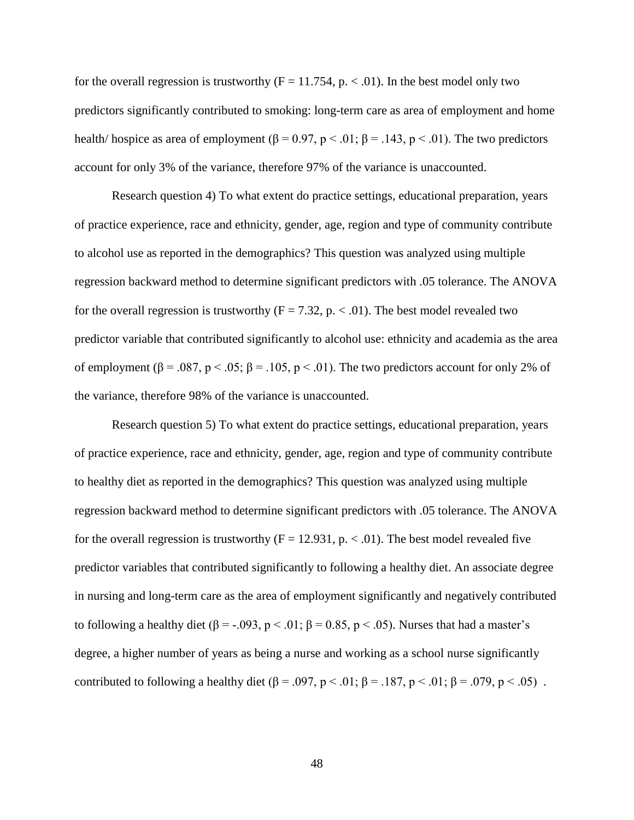for the overall regression is trustworthy  $(F = 11.754, p \cdot \langle 0.01 \rangle)$ . In the best model only two predictors significantly contributed to smoking: long-term care as area of employment and home health/ hospice as area of employment ( $\beta = 0.97$ ,  $p < .01$ ;  $\beta = .143$ ,  $p < .01$ ). The two predictors account for only 3% of the variance, therefore 97% of the variance is unaccounted.

Research question 4) To what extent do practice settings, educational preparation, years of practice experience, race and ethnicity, gender, age, region and type of community contribute to alcohol use as reported in the demographics? This question was analyzed using multiple regression backward method to determine significant predictors with .05 tolerance. The ANOVA for the overall regression is trustworthy ( $F = 7.32$ , p. < .01). The best model revealed two predictor variable that contributed significantly to alcohol use: ethnicity and academia as the area of employment ( $\beta = .087$ ,  $p < .05$ ;  $\beta = .105$ ,  $p < .01$ ). The two predictors account for only 2% of the variance, therefore 98% of the variance is unaccounted.

Research question 5) To what extent do practice settings, educational preparation, years of practice experience, race and ethnicity, gender, age, region and type of community contribute to healthy diet as reported in the demographics? This question was analyzed using multiple regression backward method to determine significant predictors with .05 tolerance. The ANOVA for the overall regression is trustworthy  $(F = 12.931, p. < 0.01)$ . The best model revealed five predictor variables that contributed significantly to following a healthy diet. An associate degree in nursing and long-term care as the area of employment significantly and negatively contributed to following a healthy diet ( $\beta = -0.093$ ,  $p < 0.01$ ;  $\beta = 0.85$ ,  $p < 0.05$ ). Nurses that had a master's degree, a higher number of years as being a nurse and working as a school nurse significantly contributed to following a healthy diet ( $\beta = .097$ ,  $p < .01$ ;  $\beta = .187$ ,  $p < .01$ ;  $\beta = .079$ ,  $p < .05$ ).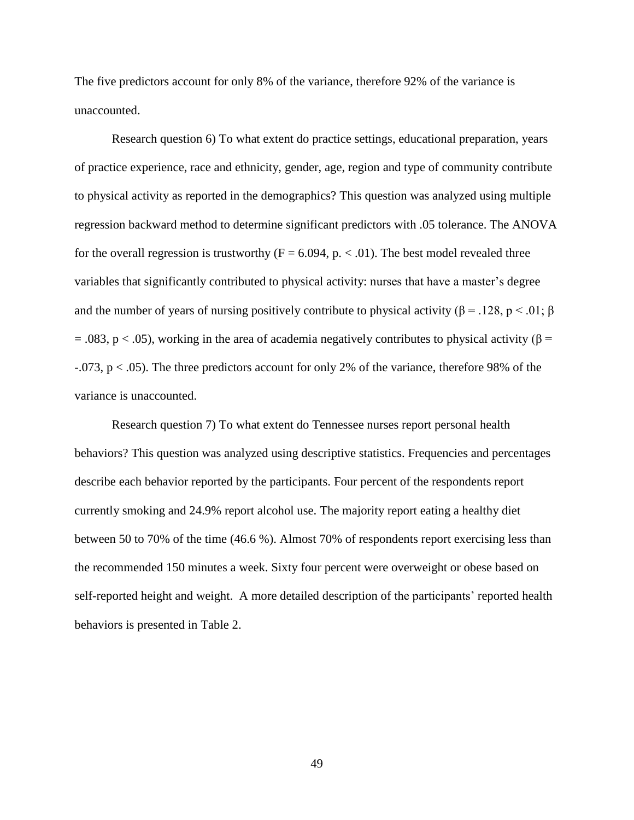The five predictors account for only 8% of the variance, therefore 92% of the variance is unaccounted.

Research question 6) To what extent do practice settings, educational preparation, years of practice experience, race and ethnicity, gender, age, region and type of community contribute to physical activity as reported in the demographics? This question was analyzed using multiple regression backward method to determine significant predictors with .05 tolerance. The ANOVA for the overall regression is trustworthy ( $F = 6.094$ , p. < .01). The best model revealed three variables that significantly contributed to physical activity: nurses that have a master's degree and the number of years of nursing positively contribute to physical activity ( $\beta$  = .128, p < .01;  $\beta$ = .083, p < .05), working in the area of academia negatively contributes to physical activity ( $\beta$  =  $-0.073$ , p  $< 0.05$ ). The three predictors account for only 2% of the variance, therefore 98% of the variance is unaccounted.

Research question 7) To what extent do Tennessee nurses report personal health behaviors? This question was analyzed using descriptive statistics. Frequencies and percentages describe each behavior reported by the participants. Four percent of the respondents report currently smoking and 24.9% report alcohol use. The majority report eating a healthy diet between 50 to 70% of the time (46.6 %). Almost 70% of respondents report exercising less than the recommended 150 minutes a week. Sixty four percent were overweight or obese based on self-reported height and weight. A more detailed description of the participants' reported health behaviors is presented in Table 2.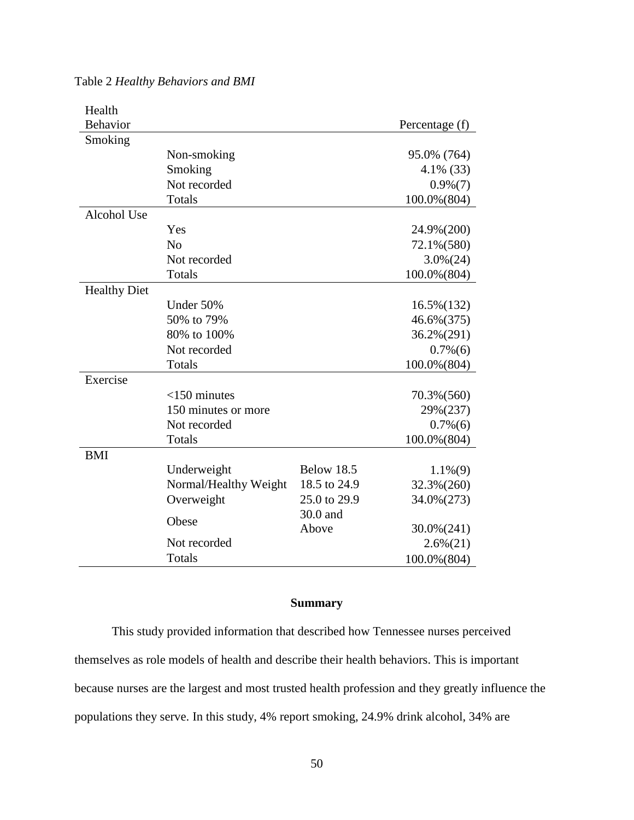| Health              |                       |                   |                |
|---------------------|-----------------------|-------------------|----------------|
| Behavior            |                       |                   | Percentage (f) |
| Smoking             |                       |                   |                |
|                     | Non-smoking           |                   | 95.0% (764)    |
|                     | Smoking               | $4.1\%$ (33)      |                |
|                     | Not recorded          |                   | $0.9\%(7)$     |
|                     | Totals                |                   | 100.0% (804)   |
| Alcohol Use         |                       |                   |                |
|                     | Yes                   |                   | 24.9%(200)     |
|                     | No                    |                   | 72.1%(580)     |
|                     | Not recorded          |                   | $3.0\%(24)$    |
|                     | Totals                |                   | 100.0%(804)    |
| <b>Healthy Diet</b> |                       |                   |                |
|                     | Under 50%             |                   | $16.5\%(132)$  |
|                     | 50% to 79%            | 46.6%(375)        |                |
|                     | 80% to 100%           |                   | 36.2%(291)     |
|                     | Not recorded          |                   | $0.7\%(6)$     |
|                     | Totals                |                   | 100.0% (804)   |
| Exercise            |                       |                   |                |
|                     | $<$ 150 minutes       |                   | 70.3%(560)     |
|                     | 150 minutes or more   |                   | 29%(237)       |
|                     | Not recorded          |                   | $0.7\%(6)$     |
|                     | Totals                |                   | 100.0% (804)   |
| <b>BMI</b>          |                       |                   |                |
|                     | Underweight           | <b>Below 18.5</b> | $1.1\%(9)$     |
|                     | Normal/Healthy Weight | 18.5 to 24.9      | 32.3%(260)     |
|                     | Overweight            | 25.0 to 29.9      | 34.0%(273)     |
|                     |                       | 30.0 and          |                |
|                     | Obese                 | Above             | $30.0\%(241)$  |
|                     | Not recorded          |                   | $2.6\%(21)$    |
|                     | Totals                |                   | 100.0%(804)    |

Table 2 *Healthy Behaviors and BMI*

### **Summary**

This study provided information that described how Tennessee nurses perceived themselves as role models of health and describe their health behaviors. This is important because nurses are the largest and most trusted health profession and they greatly influence the populations they serve. In this study, 4% report smoking, 24.9% drink alcohol, 34% are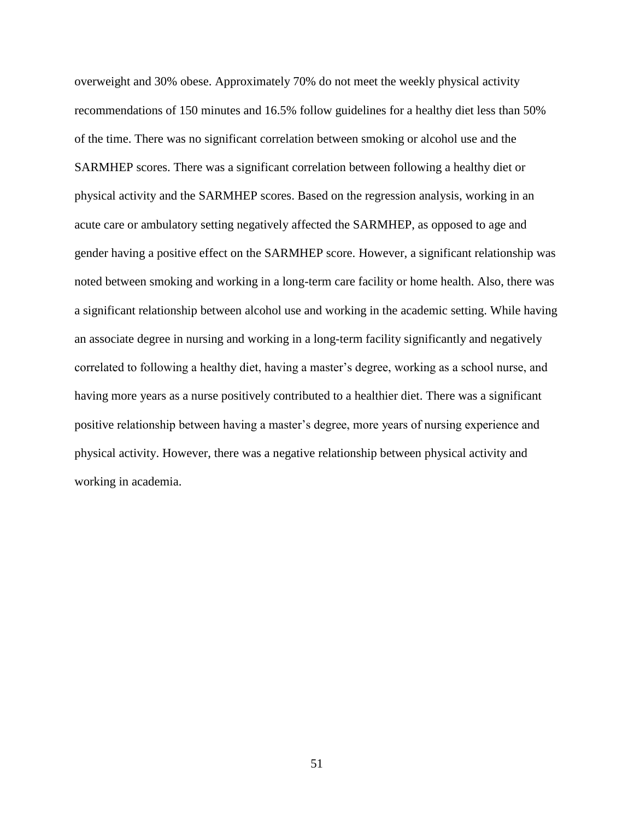overweight and 30% obese. Approximately 70% do not meet the weekly physical activity recommendations of 150 minutes and 16.5% follow guidelines for a healthy diet less than 50% of the time. There was no significant correlation between smoking or alcohol use and the SARMHEP scores. There was a significant correlation between following a healthy diet or physical activity and the SARMHEP scores. Based on the regression analysis, working in an acute care or ambulatory setting negatively affected the SARMHEP, as opposed to age and gender having a positive effect on the SARMHEP score. However, a significant relationship was noted between smoking and working in a long-term care facility or home health. Also, there was a significant relationship between alcohol use and working in the academic setting. While having an associate degree in nursing and working in a long-term facility significantly and negatively correlated to following a healthy diet, having a master's degree, working as a school nurse, and having more years as a nurse positively contributed to a healthier diet. There was a significant positive relationship between having a master's degree, more years of nursing experience and physical activity. However, there was a negative relationship between physical activity and working in academia.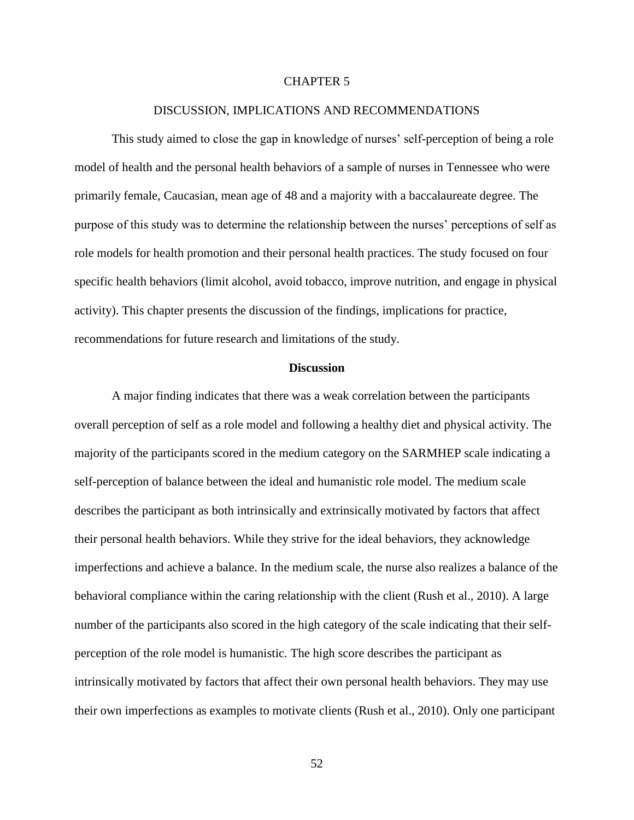### CHAPTER 5

#### DISCUSSION, IMPLICATIONS AND RECOMMENDATIONS

This study aimed to close the gap in knowledge of nurses' self-perception of being a role model of health and the personal health behaviors of a sample of nurses in Tennessee who were primarily female, Caucasian, mean age of 48 and a majority with a baccalaureate degree. The purpose of this study was to determine the relationship between the nurses' perceptions of self as role models for health promotion and their personal health practices. The study focused on four specific health behaviors (limit alcohol, avoid tobacco, improve nutrition, and engage in physical activity). This chapter presents the discussion of the findings, implications for practice, recommendations for future research and limitations of the study.

#### **Discussion**

A major finding indicates that there was a weak correlation between the participants overall perception of self as a role model and following a healthy diet and physical activity. The majority of the participants scored in the medium category on the SARMHEP scale indicating a self-perception of balance between the ideal and humanistic role model. The medium scale describes the participant as both intrinsically and extrinsically motivated by factors that affect their personal health behaviors. While they strive for the ideal behaviors, they acknowledge imperfections and achieve a balance. In the medium scale, the nurse also realizes a balance of the behavioral compliance within the caring relationship with the client (Rush et al., 2010). A large number of the participants also scored in the high category of the scale indicating that their selfperception of the role model is humanistic. The high score describes the participant as intrinsically motivated by factors that affect their own personal health behaviors. They may use their own imperfections as examples to motivate clients (Rush et al., 2010). Only one participant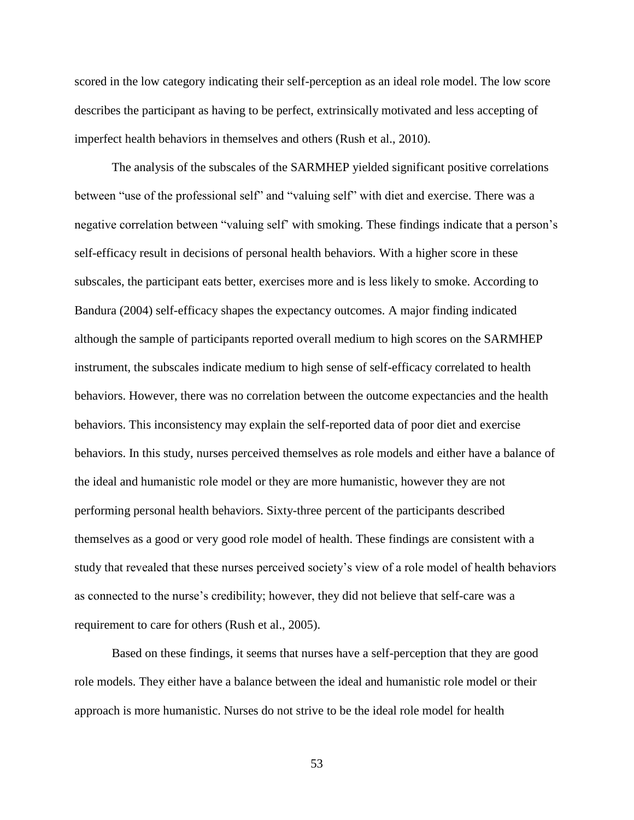scored in the low category indicating their self-perception as an ideal role model. The low score describes the participant as having to be perfect, extrinsically motivated and less accepting of imperfect health behaviors in themselves and others (Rush et al., 2010).

The analysis of the subscales of the SARMHEP yielded significant positive correlations between "use of the professional self" and "valuing self" with diet and exercise. There was a negative correlation between "valuing self' with smoking. These findings indicate that a person's self-efficacy result in decisions of personal health behaviors. With a higher score in these subscales, the participant eats better, exercises more and is less likely to smoke. According to Bandura (2004) self-efficacy shapes the expectancy outcomes. A major finding indicated although the sample of participants reported overall medium to high scores on the SARMHEP instrument, the subscales indicate medium to high sense of self-efficacy correlated to health behaviors. However, there was no correlation between the outcome expectancies and the health behaviors. This inconsistency may explain the self-reported data of poor diet and exercise behaviors. In this study, nurses perceived themselves as role models and either have a balance of the ideal and humanistic role model or they are more humanistic, however they are not performing personal health behaviors. Sixty-three percent of the participants described themselves as a good or very good role model of health. These findings are consistent with a study that revealed that these nurses perceived society's view of a role model of health behaviors as connected to the nurse's credibility; however, they did not believe that self-care was a requirement to care for others (Rush et al., 2005).

Based on these findings, it seems that nurses have a self-perception that they are good role models. They either have a balance between the ideal and humanistic role model or their approach is more humanistic. Nurses do not strive to be the ideal role model for health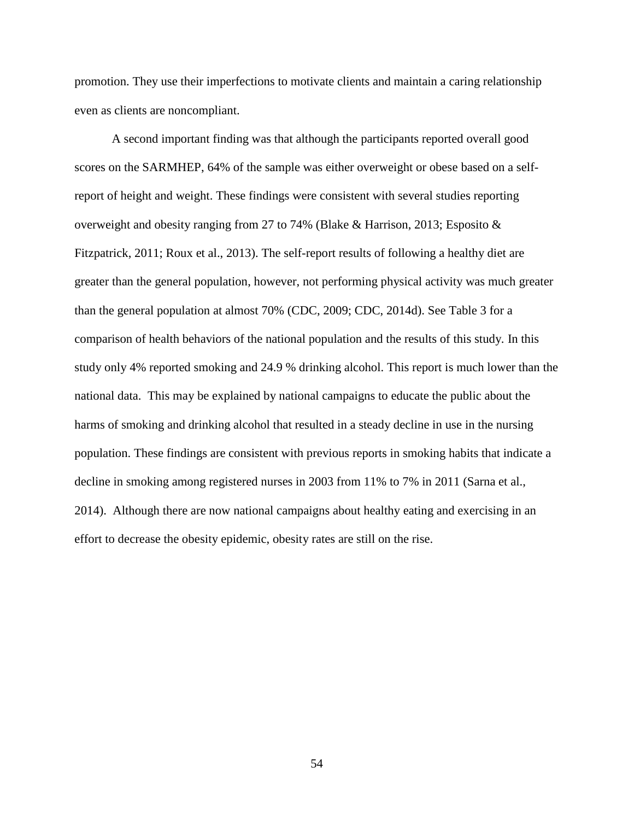promotion. They use their imperfections to motivate clients and maintain a caring relationship even as clients are noncompliant.

A second important finding was that although the participants reported overall good scores on the SARMHEP, 64% of the sample was either overweight or obese based on a selfreport of height and weight. These findings were consistent with several studies reporting overweight and obesity ranging from 27 to 74% (Blake & Harrison, 2013; Esposito & Fitzpatrick, 2011; Roux et al., 2013). The self-report results of following a healthy diet are greater than the general population, however, not performing physical activity was much greater than the general population at almost 70% (CDC, 2009; CDC, 2014d). See Table 3 for a comparison of health behaviors of the national population and the results of this study. In this study only 4% reported smoking and 24.9 % drinking alcohol. This report is much lower than the national data. This may be explained by national campaigns to educate the public about the harms of smoking and drinking alcohol that resulted in a steady decline in use in the nursing population. These findings are consistent with previous reports in smoking habits that indicate a decline in smoking among registered nurses in 2003 from 11% to 7% in 2011 (Sarna et al., 2014). Although there are now national campaigns about healthy eating and exercising in an effort to decrease the obesity epidemic, obesity rates are still on the rise.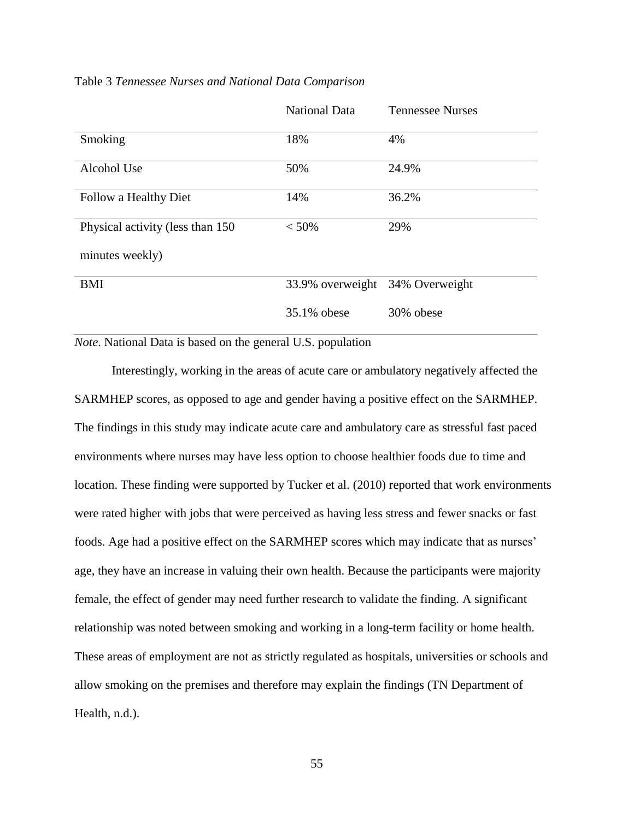|                                   | <b>National Data</b>            | <b>Tennessee Nurses</b> |
|-----------------------------------|---------------------------------|-------------------------|
| Smoking                           | 18%                             | 4%                      |
| Alcohol Use                       | 50%                             | 24.9%                   |
| Follow a Healthy Diet             | 14%                             | 36.2%                   |
| Physical activity (less than 150) | $< 50\%$                        | 29%                     |
| minutes weekly)                   |                                 |                         |
| <b>BMI</b>                        | 33.9% overweight 34% Overweight |                         |
|                                   | 35.1% obese                     | 30% obese               |

### Table 3 *Tennessee Nurses and National Data Comparison*

*Note*. National Data is based on the general U.S. population

Interestingly, working in the areas of acute care or ambulatory negatively affected the SARMHEP scores, as opposed to age and gender having a positive effect on the SARMHEP. The findings in this study may indicate acute care and ambulatory care as stressful fast paced environments where nurses may have less option to choose healthier foods due to time and location. These finding were supported by Tucker et al. (2010) reported that work environments were rated higher with jobs that were perceived as having less stress and fewer snacks or fast foods. Age had a positive effect on the SARMHEP scores which may indicate that as nurses' age, they have an increase in valuing their own health. Because the participants were majority female, the effect of gender may need further research to validate the finding. A significant relationship was noted between smoking and working in a long-term facility or home health. These areas of employment are not as strictly regulated as hospitals, universities or schools and allow smoking on the premises and therefore may explain the findings (TN Department of Health, n.d.).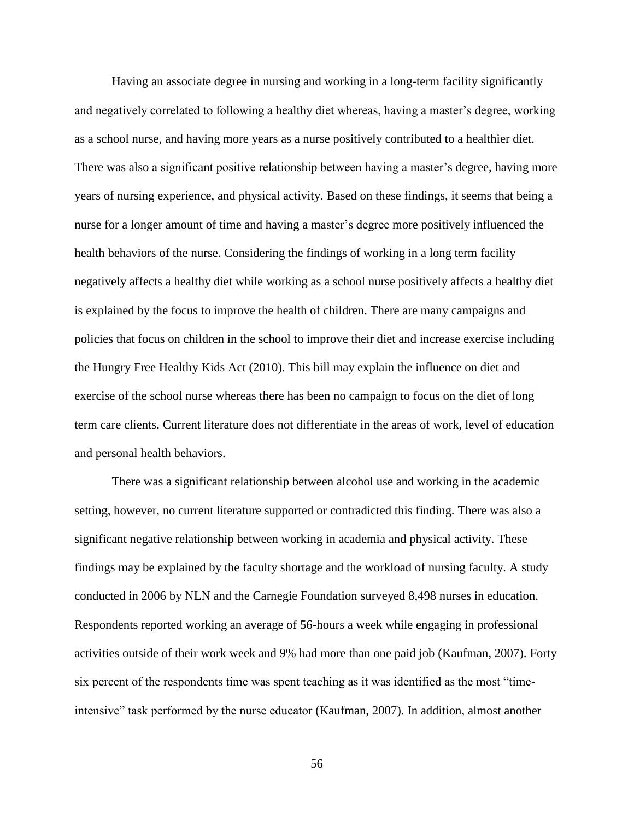Having an associate degree in nursing and working in a long-term facility significantly and negatively correlated to following a healthy diet whereas, having a master's degree, working as a school nurse, and having more years as a nurse positively contributed to a healthier diet. There was also a significant positive relationship between having a master's degree, having more years of nursing experience, and physical activity. Based on these findings, it seems that being a nurse for a longer amount of time and having a master's degree more positively influenced the health behaviors of the nurse. Considering the findings of working in a long term facility negatively affects a healthy diet while working as a school nurse positively affects a healthy diet is explained by the focus to improve the health of children. There are many campaigns and policies that focus on children in the school to improve their diet and increase exercise including the Hungry Free Healthy Kids Act (2010). This bill may explain the influence on diet and exercise of the school nurse whereas there has been no campaign to focus on the diet of long term care clients. Current literature does not differentiate in the areas of work, level of education and personal health behaviors.

There was a significant relationship between alcohol use and working in the academic setting, however, no current literature supported or contradicted this finding. There was also a significant negative relationship between working in academia and physical activity. These findings may be explained by the faculty shortage and the workload of nursing faculty. A study conducted in 2006 by NLN and the Carnegie Foundation surveyed 8,498 nurses in education. Respondents reported working an average of 56-hours a week while engaging in professional activities outside of their work week and 9% had more than one paid job (Kaufman, 2007). Forty six percent of the respondents time was spent teaching as it was identified as the most "timeintensive" task performed by the nurse educator (Kaufman, 2007). In addition, almost another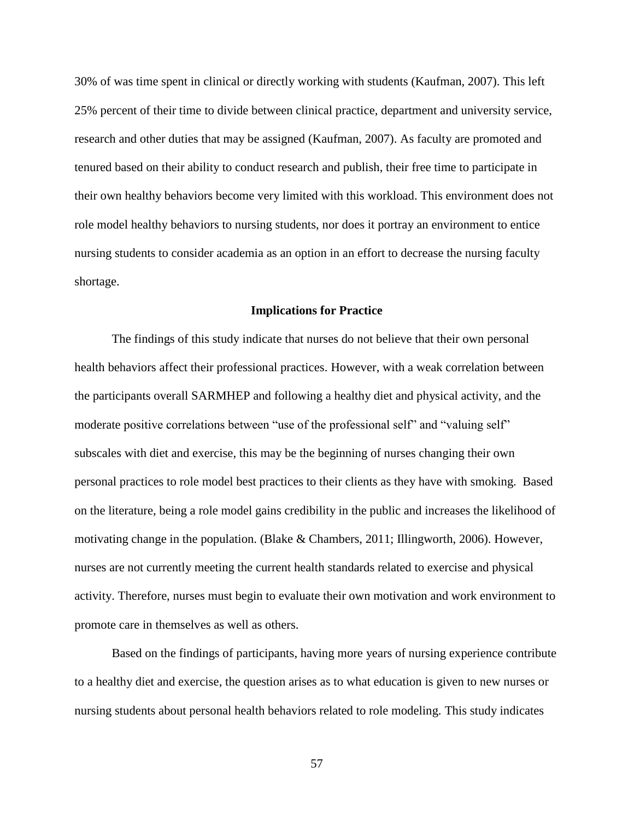30% of was time spent in clinical or directly working with students (Kaufman, 2007). This left 25% percent of their time to divide between clinical practice, department and university service, research and other duties that may be assigned (Kaufman, 2007). As faculty are promoted and tenured based on their ability to conduct research and publish, their free time to participate in their own healthy behaviors become very limited with this workload. This environment does not role model healthy behaviors to nursing students, nor does it portray an environment to entice nursing students to consider academia as an option in an effort to decrease the nursing faculty shortage.

#### **Implications for Practice**

The findings of this study indicate that nurses do not believe that their own personal health behaviors affect their professional practices. However, with a weak correlation between the participants overall SARMHEP and following a healthy diet and physical activity, and the moderate positive correlations between "use of the professional self" and "valuing self" subscales with diet and exercise, this may be the beginning of nurses changing their own personal practices to role model best practices to their clients as they have with smoking. Based on the literature, being a role model gains credibility in the public and increases the likelihood of motivating change in the population. (Blake & Chambers, 2011; Illingworth, 2006). However, nurses are not currently meeting the current health standards related to exercise and physical activity. Therefore, nurses must begin to evaluate their own motivation and work environment to promote care in themselves as well as others.

Based on the findings of participants, having more years of nursing experience contribute to a healthy diet and exercise, the question arises as to what education is given to new nurses or nursing students about personal health behaviors related to role modeling. This study indicates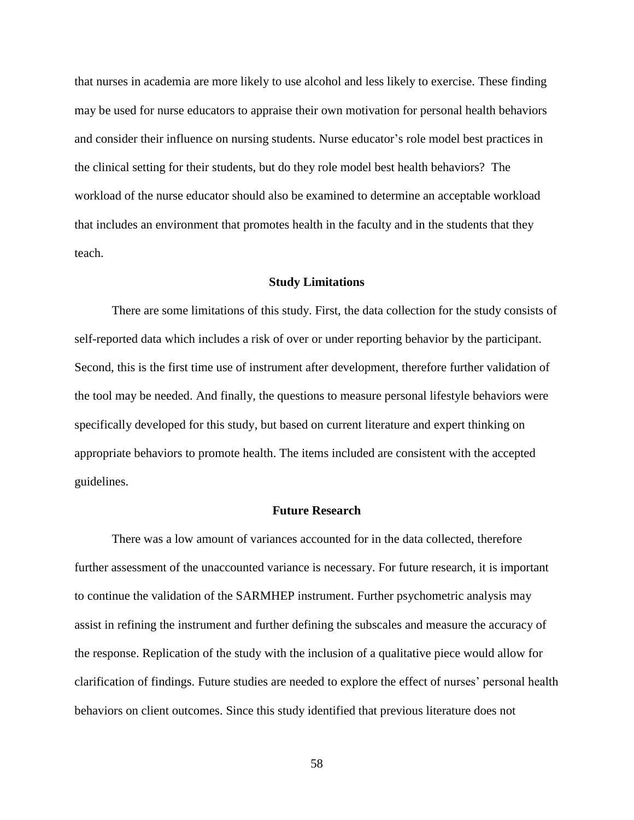that nurses in academia are more likely to use alcohol and less likely to exercise. These finding may be used for nurse educators to appraise their own motivation for personal health behaviors and consider their influence on nursing students. Nurse educator's role model best practices in the clinical setting for their students, but do they role model best health behaviors? The workload of the nurse educator should also be examined to determine an acceptable workload that includes an environment that promotes health in the faculty and in the students that they teach.

#### **Study Limitations**

There are some limitations of this study. First, the data collection for the study consists of self-reported data which includes a risk of over or under reporting behavior by the participant. Second, this is the first time use of instrument after development, therefore further validation of the tool may be needed. And finally, the questions to measure personal lifestyle behaviors were specifically developed for this study, but based on current literature and expert thinking on appropriate behaviors to promote health. The items included are consistent with the accepted guidelines.

#### **Future Research**

There was a low amount of variances accounted for in the data collected, therefore further assessment of the unaccounted variance is necessary. For future research, it is important to continue the validation of the SARMHEP instrument. Further psychometric analysis may assist in refining the instrument and further defining the subscales and measure the accuracy of the response. Replication of the study with the inclusion of a qualitative piece would allow for clarification of findings. Future studies are needed to explore the effect of nurses' personal health behaviors on client outcomes. Since this study identified that previous literature does not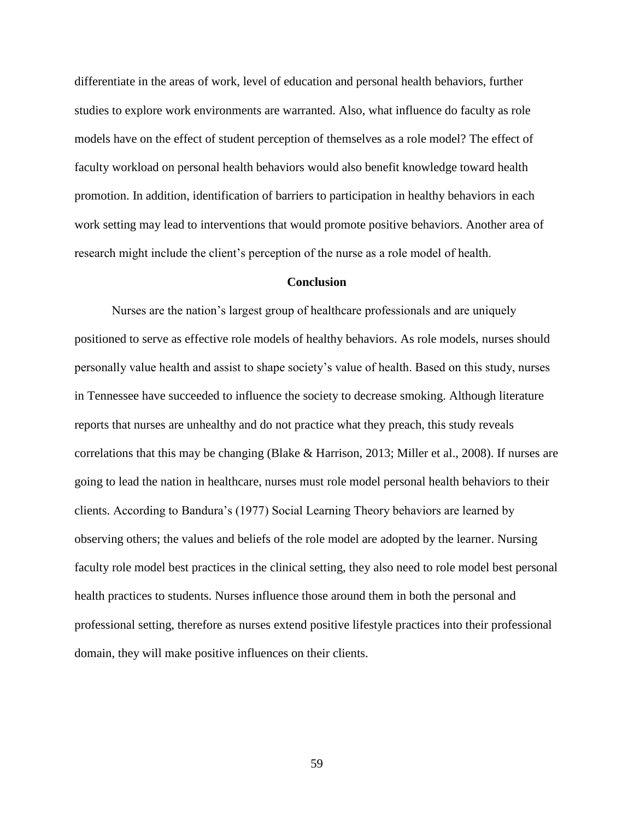differentiate in the areas of work, level of education and personal health behaviors, further studies to explore work environments are warranted. Also, what influence do faculty as role models have on the effect of student perception of themselves as a role model? The effect of faculty workload on personal health behaviors would also benefit knowledge toward health promotion. In addition, identification of barriers to participation in healthy behaviors in each work setting may lead to interventions that would promote positive behaviors. Another area of research might include the client's perception of the nurse as a role model of health.

#### **Conclusion**

Nurses are the nation's largest group of healthcare professionals and are uniquely positioned to serve as effective role models of healthy behaviors. As role models, nurses should personally value health and assist to shape society's value of health. Based on this study, nurses in Tennessee have succeeded to influence the society to decrease smoking. Although literature reports that nurses are unhealthy and do not practice what they preach, this study reveals correlations that this may be changing (Blake & Harrison, 2013; Miller et al., 2008). If nurses are going to lead the nation in healthcare, nurses must role model personal health behaviors to their clients. According to Bandura's (1977) Social Learning Theory behaviors are learned by observing others; the values and beliefs of the role model are adopted by the learner. Nursing faculty role model best practices in the clinical setting, they also need to role model best personal health practices to students. Nurses influence those around them in both the personal and professional setting, therefore as nurses extend positive lifestyle practices into their professional domain, they will make positive influences on their clients.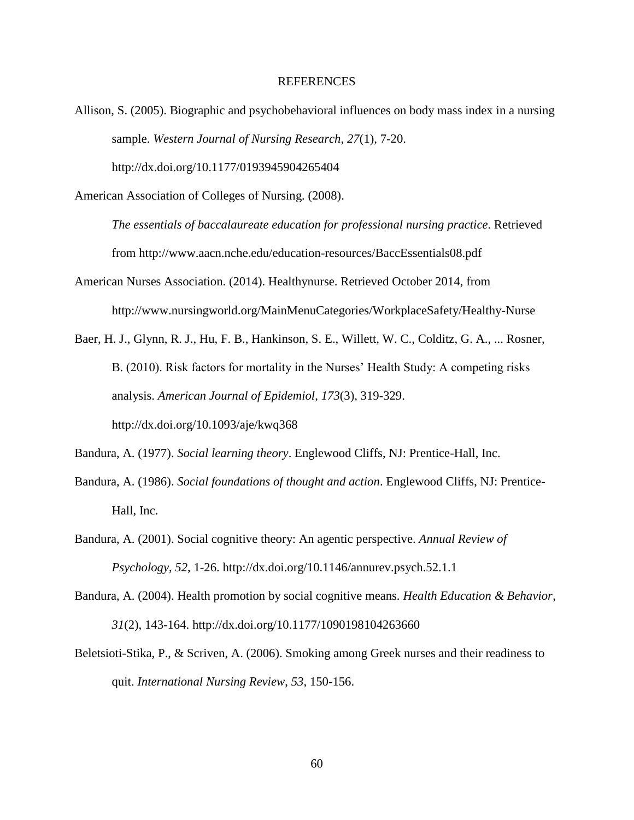#### REFERENCES

Allison, S. (2005). Biographic and psychobehavioral influences on body mass index in a nursing sample. *Western Journal of Nursing Research*, *27*(1), 7-20.

http://dx.doi.org/10.1177/0193945904265404

American Association of Colleges of Nursing. (2008).

*The essentials of baccalaureate education for professional nursing practice*. Retrieved from http://www.aacn.nche.edu/education-resources/BaccEssentials08.pdf

- American Nurses Association. (2014). Healthynurse. Retrieved October 2014, from http://www.nursingworld.org/MainMenuCategories/WorkplaceSafety/Healthy-Nurse
- Baer, H. J., Glynn, R. J., Hu, F. B., Hankinson, S. E., Willett, W. C., Colditz, G. A., ... Rosner, B. (2010). Risk factors for mortality in the Nurses' Health Study: A competing risks analysis. *American Journal of Epidemiol*, *173*(3), 319-329. http://dx.doi.org/10.1093/aje/kwq368

Bandura, A. (1977). *Social learning theory*. Englewood Cliffs, NJ: Prentice-Hall, Inc.

- Bandura, A. (1986). *Social foundations of thought and action*. Englewood Cliffs, NJ: Prentice-Hall, Inc.
- Bandura, A. (2001). Social cognitive theory: An agentic perspective. *Annual Review of Psychology*, *52*, 1-26. http://dx.doi.org/10.1146/annurev.psych.52.1.1
- Bandura, A. (2004). Health promotion by social cognitive means. *Health Education & Behavior*, *31*(2), 143-164. http://dx.doi.org/10.1177/1090198104263660
- Beletsioti-Stika, P., & Scriven, A. (2006). Smoking among Greek nurses and their readiness to quit. *International Nursing Review*, *53*, 150-156.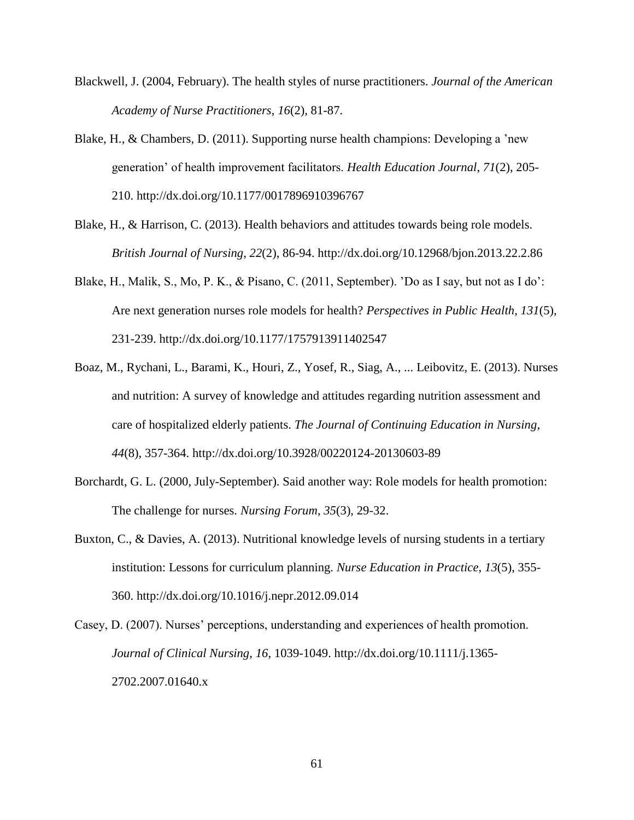- Blackwell, J. (2004, February). The health styles of nurse practitioners. *Journal of the American Academy of Nurse Practitioners*, *16*(2), 81-87.
- Blake, H., & Chambers, D. (2011). Supporting nurse health champions: Developing a 'new generation' of health improvement facilitators. *Health Education Journal*, *71*(2), 205- 210. http://dx.doi.org/10.1177/0017896910396767
- Blake, H., & Harrison, C. (2013). Health behaviors and attitudes towards being role models. *British Journal of Nursing*, *22*(2), 86-94. http://dx.doi.org/10.12968/bjon.2013.22.2.86
- Blake, H., Malik, S., Mo, P. K., & Pisano, C. (2011, September). 'Do as I say, but not as I do': Are next generation nurses role models for health? *Perspectives in Public Health*, *131*(5), 231-239. http://dx.doi.org/10.1177/1757913911402547
- Boaz, M., Rychani, L., Barami, K., Houri, Z., Yosef, R., Siag, A., ... Leibovitz, E. (2013). Nurses and nutrition: A survey of knowledge and attitudes regarding nutrition assessment and care of hospitalized elderly patients. *The Journal of Continuing Education in Nursing*, *44*(8), 357-364. http://dx.doi.org/10.3928/00220124-20130603-89
- Borchardt, G. L. (2000, July-September). Said another way: Role models for health promotion: The challenge for nurses. *Nursing Forum*, *35*(3), 29-32.
- Buxton, C., & Davies, A. (2013). Nutritional knowledge levels of nursing students in a tertiary institution: Lessons for curriculum planning. *Nurse Education in Practice*, *13*(5), 355- 360. http://dx.doi.org/10.1016/j.nepr.2012.09.014
- Casey, D. (2007). Nurses' perceptions, understanding and experiences of health promotion. *Journal of Clinical Nursing*, *16*, 1039-1049. http://dx.doi.org/10.1111/j.1365- 2702.2007.01640.x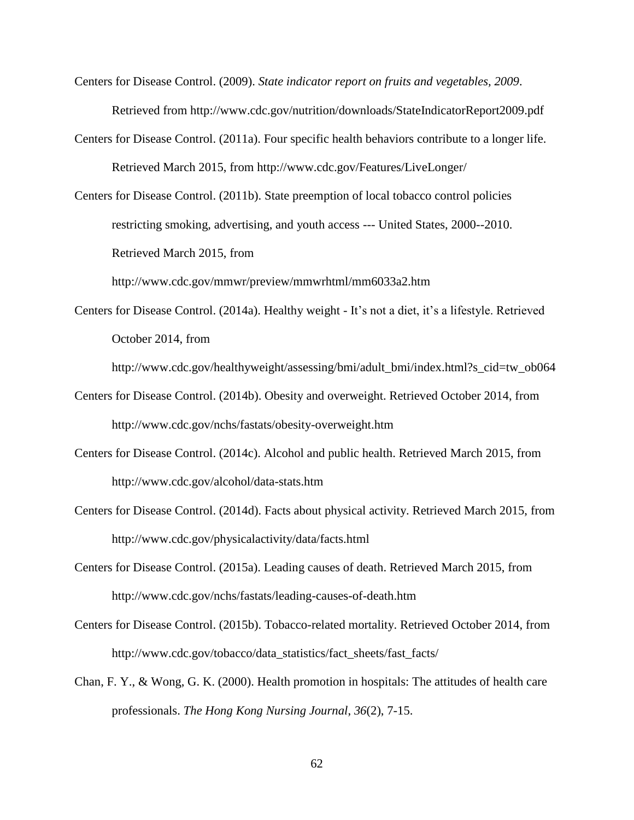- Centers for Disease Control. (2009). *State indicator report on fruits and vegetables, 2009*. Retrieved from http://www.cdc.gov/nutrition/downloads/StateIndicatorReport2009.pdf
- Centers for Disease Control. (2011a). Four specific health behaviors contribute to a longer life. Retrieved March 2015, from http://www.cdc.gov/Features/LiveLonger/
- Centers for Disease Control. (2011b). State preemption of local tobacco control policies restricting smoking, advertising, and youth access --- United States, 2000--2010. Retrieved March 2015, from

http://www.cdc.gov/mmwr/preview/mmwrhtml/mm6033a2.htm

Centers for Disease Control. (2014a). Healthy weight - It's not a diet, it's a lifestyle. Retrieved October 2014, from

http://www.cdc.gov/healthyweight/assessing/bmi/adult\_bmi/index.html?s\_cid=tw\_ob064

- Centers for Disease Control. (2014b). Obesity and overweight. Retrieved October 2014, from http://www.cdc.gov/nchs/fastats/obesity-overweight.htm
- Centers for Disease Control. (2014c). Alcohol and public health. Retrieved March 2015, from http://www.cdc.gov/alcohol/data-stats.htm
- Centers for Disease Control. (2014d). Facts about physical activity. Retrieved March 2015, from http://www.cdc.gov/physicalactivity/data/facts.html
- Centers for Disease Control. (2015a). Leading causes of death. Retrieved March 2015, from http://www.cdc.gov/nchs/fastats/leading-causes-of-death.htm
- Centers for Disease Control. (2015b). Tobacco-related mortality. Retrieved October 2014, from http://www.cdc.gov/tobacco/data\_statistics/fact\_sheets/fast\_facts/
- Chan, F. Y., & Wong, G. K. (2000). Health promotion in hospitals: The attitudes of health care professionals. *The Hong Kong Nursing Journal*, *36*(2), 7-15.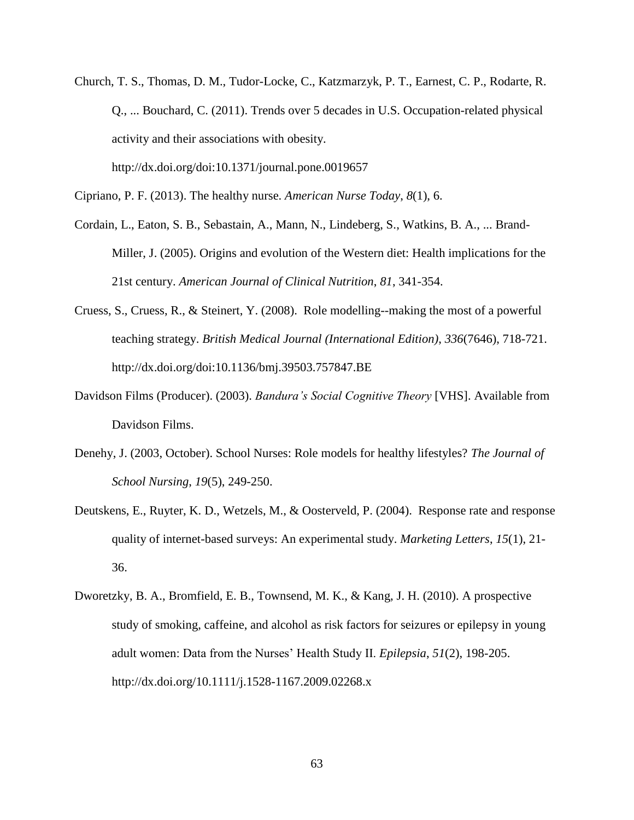Church, T. S., Thomas, D. M., Tudor-Locke, C., Katzmarzyk, P. T., Earnest, C. P., Rodarte, R. Q., ... Bouchard, C. (2011). Trends over 5 decades in U.S. Occupation-related physical activity and their associations with obesity.

http://dx.doi.org/doi:10.1371/journal.pone.0019657

Cipriano, P. F. (2013). The healthy nurse. *American Nurse Today*, *8*(1), 6.

- Cordain, L., Eaton, S. B., Sebastain, A., Mann, N., Lindeberg, S., Watkins, B. A., ... Brand-Miller, J. (2005). Origins and evolution of the Western diet: Health implications for the 21st century. *American Journal of Clinical Nutrition*, *81*, 341-354.
- Cruess, S., Cruess, R., & Steinert, Y. (2008). Role modelling--making the most of a powerful teaching strategy. *British Medical Journal (International Edition)*, *336*(7646), 718-721. http://dx.doi.org/doi:10.1136/bmj.39503.757847.BE
- Davidson Films (Producer). (2003). *Bandura's Social Cognitive Theory* [VHS]. Available from Davidson Films.
- Denehy, J. (2003, October). School Nurses: Role models for healthy lifestyles? *The Journal of School Nursing*, *19*(5), 249-250.
- Deutskens, E., Ruyter, K. D., Wetzels, M., & Oosterveld, P. (2004). Response rate and response quality of internet-based surveys: An experimental study. *Marketing Letters*, *15*(1), 21- 36.
- Dworetzky, B. A., Bromfield, E. B., Townsend, M. K., & Kang, J. H. (2010). A prospective study of smoking, caffeine, and alcohol as risk factors for seizures or epilepsy in young adult women: Data from the Nurses' Health Study II. *Epilepsia*, *51*(2), 198-205. http://dx.doi.org/10.1111/j.1528-1167.2009.02268.x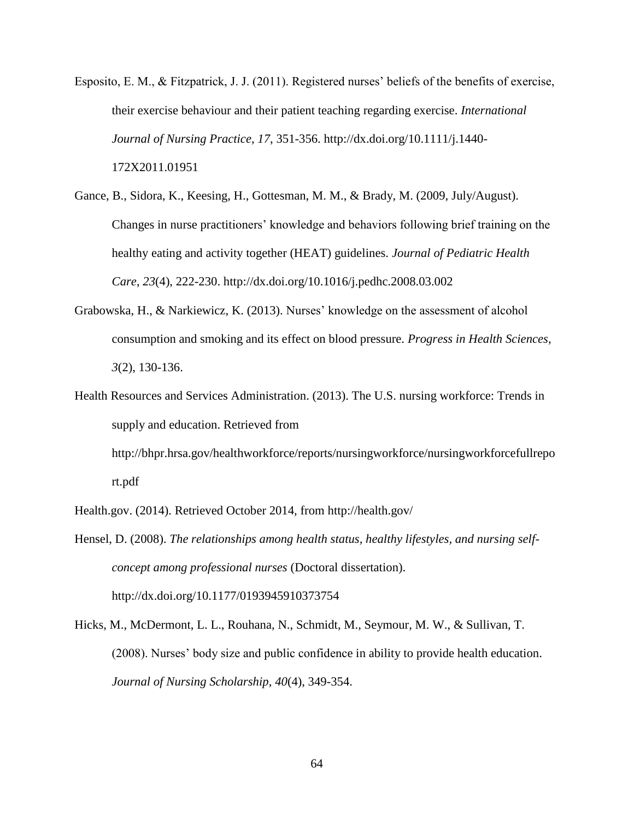- Esposito, E. M., & Fitzpatrick, J. J. (2011). Registered nurses' beliefs of the benefits of exercise, their exercise behaviour and their patient teaching regarding exercise. *International Journal of Nursing Practice*, *17*, 351-356. http://dx.doi.org/10.1111/j.1440- 172X2011.01951
- Gance, B., Sidora, K., Keesing, H., Gottesman, M. M., & Brady, M. (2009, July/August). Changes in nurse practitioners' knowledge and behaviors following brief training on the healthy eating and activity together (HEAT) guidelines. *Journal of Pediatric Health Care*, *23*(4), 222-230. http://dx.doi.org/10.1016/j.pedhc.2008.03.002
- Grabowska, H., & Narkiewicz, K. (2013). Nurses' knowledge on the assessment of alcohol consumption and smoking and its effect on blood pressure. *Progress in Health Sciences*, *3*(2), 130-136.
- Health Resources and Services Administration. (2013). The U.S. nursing workforce: Trends in supply and education. Retrieved from

http://bhpr.hrsa.gov/healthworkforce/reports/nursingworkforce/nursingworkforcefullrepo rt.pdf

Health.gov. (2014). Retrieved October 2014, from http://health.gov/

- Hensel, D. (2008). *The relationships among health status, healthy lifestyles, and nursing selfconcept among professional nurses* (Doctoral dissertation). http://dx.doi.org/10.1177/0193945910373754
- Hicks, M., McDermont, L. L., Rouhana, N., Schmidt, M., Seymour, M. W., & Sullivan, T. (2008). Nurses' body size and public confidence in ability to provide health education. *Journal of Nursing Scholarship*, *40*(4), 349-354.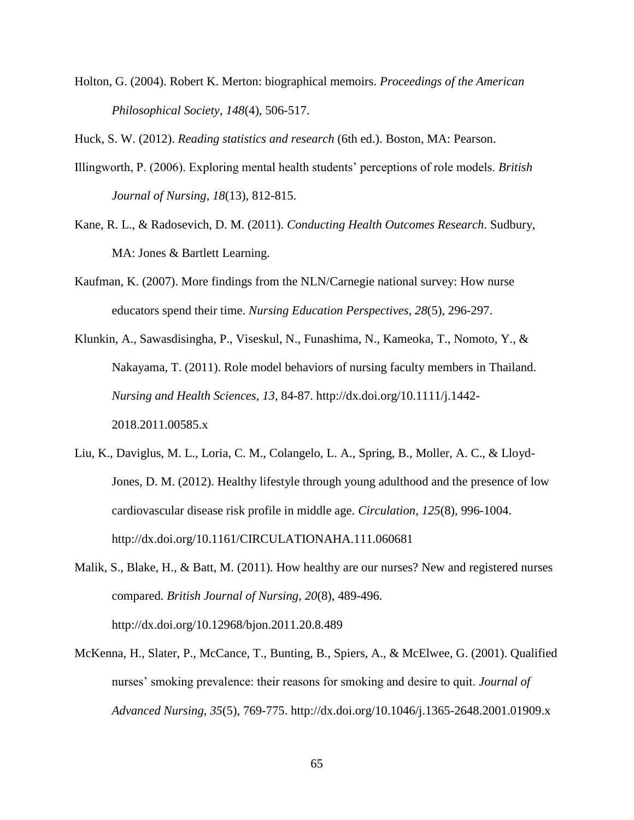Holton, G. (2004). Robert K. Merton: biographical memoirs. *Proceedings of the American Philosophical Society*, *148*(4), 506-517.

Huck, S. W. (2012). *Reading statistics and research* (6th ed.). Boston, MA: Pearson.

- Illingworth, P. (2006). Exploring mental health students' perceptions of role models. *British Journal of Nursing*, *18*(13), 812-815.
- Kane, R. L., & Radosevich, D. M. (2011). *Conducting Health Outcomes Research*. Sudbury, MA: Jones & Bartlett Learning.
- Kaufman, K. (2007). More findings from the NLN/Carnegie national survey: How nurse educators spend their time. *Nursing Education Perspectives*, *28*(5), 296-297.
- Klunkin, A., Sawasdisingha, P., Viseskul, N., Funashima, N., Kameoka, T., Nomoto, Y., & Nakayama, T. (2011). Role model behaviors of nursing faculty members in Thailand. *Nursing and Health Sciences*, *13*, 84-87. http://dx.doi.org/10.1111/j.1442- 2018.2011.00585.x
- Liu, K., Daviglus, M. L., Loria, C. M., Colangelo, L. A., Spring, B., Moller, A. C., & Lloyd-Jones, D. M. (2012). Healthy lifestyle through young adulthood and the presence of low cardiovascular disease risk profile in middle age. *Circulation*, *125*(8), 996-1004. http://dx.doi.org/10.1161/CIRCULATIONAHA.111.060681
- Malik, S., Blake, H., & Batt, M. (2011). How healthy are our nurses? New and registered nurses compared. *British Journal of Nursing*, *20*(8), 489-496. http://dx.doi.org/10.12968/bjon.2011.20.8.489
- McKenna, H., Slater, P., McCance, T., Bunting, B., Spiers, A., & McElwee, G. (2001). Qualified nurses' smoking prevalence: their reasons for smoking and desire to quit. *Journal of Advanced Nursing*, *35*(5), 769-775. http://dx.doi.org/10.1046/j.1365-2648.2001.01909.x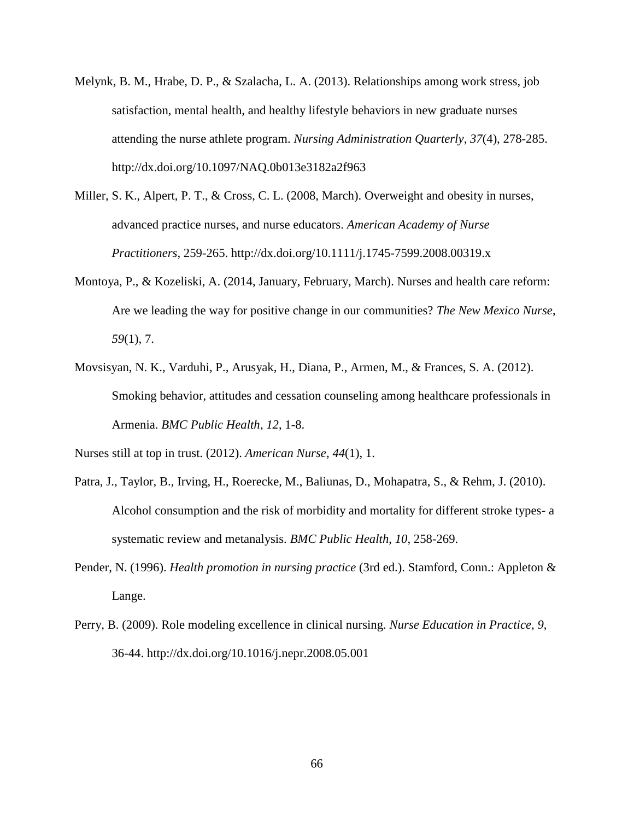- Melynk, B. M., Hrabe, D. P., & Szalacha, L. A. (2013). Relationships among work stress, job satisfaction, mental health, and healthy lifestyle behaviors in new graduate nurses attending the nurse athlete program. *Nursing Administration Quarterly*, *37*(4), 278-285. http://dx.doi.org/10.1097/NAQ.0b013e3182a2f963
- Miller, S. K., Alpert, P. T., & Cross, C. L. (2008, March). Overweight and obesity in nurses, advanced practice nurses, and nurse educators. *American Academy of Nurse Practitioners*, 259-265. http://dx.doi.org/10.1111/j.1745-7599.2008.00319.x
- Montoya, P., & Kozeliski, A. (2014, January, February, March). Nurses and health care reform: Are we leading the way for positive change in our communities? *The New Mexico Nurse*, *59*(1), 7.
- Movsisyan, N. K., Varduhi, P., Arusyak, H., Diana, P., Armen, M., & Frances, S. A. (2012). Smoking behavior, attitudes and cessation counseling among healthcare professionals in Armenia. *BMC Public Health*, *12*, 1-8.

Nurses still at top in trust. (2012). *American Nurse*, *44*(1), 1.

- Patra, J., Taylor, B., Irving, H., Roerecke, M., Baliunas, D., Mohapatra, S., & Rehm, J. (2010). Alcohol consumption and the risk of morbidity and mortality for different stroke types- a systematic review and metanalysis. *BMC Public Health*, *10*, 258-269.
- Pender, N. (1996). *Health promotion in nursing practice* (3rd ed.). Stamford, Conn.: Appleton & Lange.
- Perry, B. (2009). Role modeling excellence in clinical nursing. *Nurse Education in Practice*, *9*, 36-44. http://dx.doi.org/10.1016/j.nepr.2008.05.001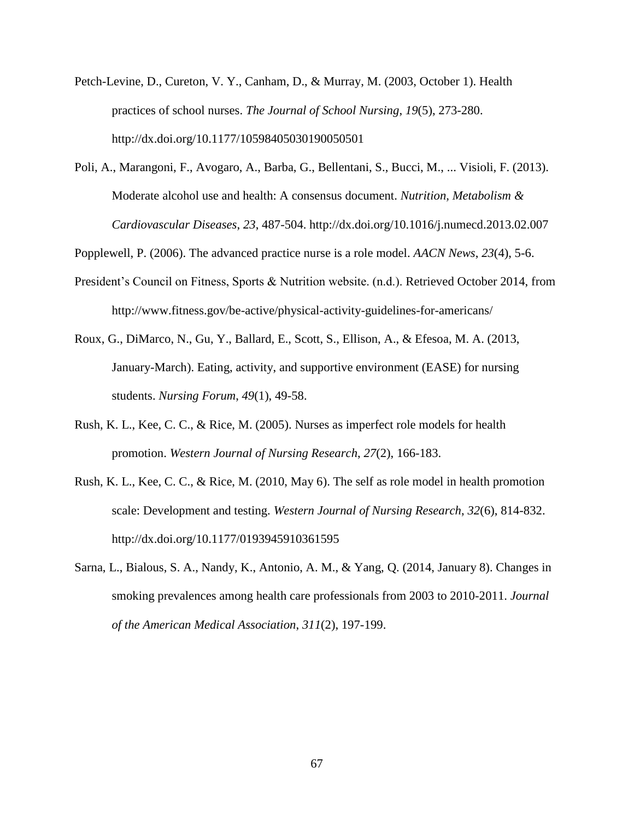- Petch-Levine, D., Cureton, V. Y., Canham, D., & Murray, M. (2003, October 1). Health practices of school nurses. *The Journal of School Nursing*, *19*(5), 273-280. http://dx.doi.org/10.1177/10598405030190050501
- Poli, A., Marangoni, F., Avogaro, A., Barba, G., Bellentani, S., Bucci, M., ... Visioli, F. (2013). Moderate alcohol use and health: A consensus document. *Nutrition, Metabolism & Cardiovascular Diseases*, *23*, 487-504. http://dx.doi.org/10.1016/j.numecd.2013.02.007

Popplewell, P. (2006). The advanced practice nurse is a role model. *AACN News*, *23*(4), 5-6.

- President's Council on Fitness, Sports & Nutrition website. (n.d.). Retrieved October 2014, from http://www.fitness.gov/be-active/physical-activity-guidelines-for-americans/
- Roux, G., DiMarco, N., Gu, Y., Ballard, E., Scott, S., Ellison, A., & Efesoa, M. A. (2013, January-March). Eating, activity, and supportive environment (EASE) for nursing students. *Nursing Forum*, *49*(1), 49-58.
- Rush, K. L., Kee, C. C., & Rice, M. (2005). Nurses as imperfect role models for health promotion. *Western Journal of Nursing Research*, *27*(2), 166-183.
- Rush, K. L., Kee, C. C., & Rice, M. (2010, May 6). The self as role model in health promotion scale: Development and testing. *Western Journal of Nursing Research*, *32*(6), 814-832. http://dx.doi.org/10.1177/0193945910361595
- Sarna, L., Bialous, S. A., Nandy, K., Antonio, A. M., & Yang, Q. (2014, January 8). Changes in smoking prevalences among health care professionals from 2003 to 2010-2011. *Journal of the American Medical Association*, *311*(2), 197-199.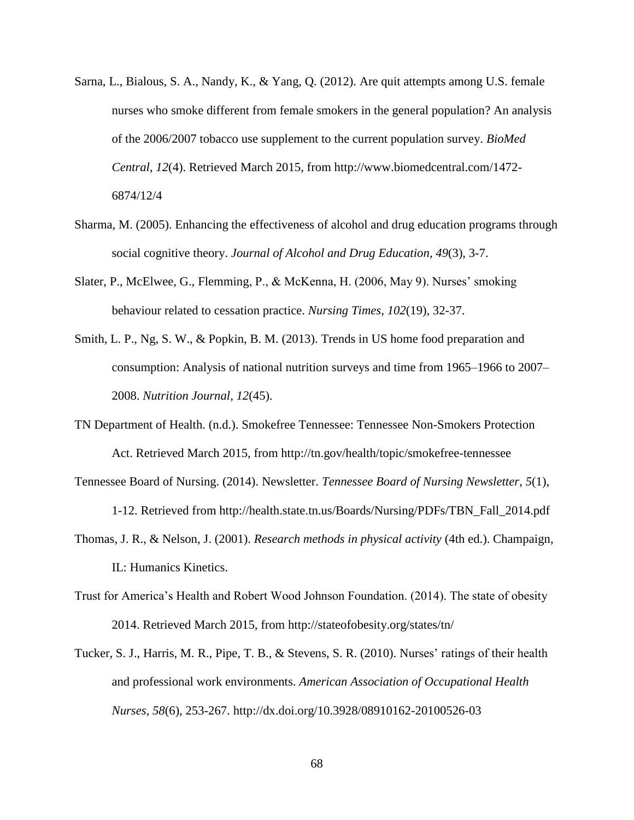- Sarna, L., Bialous, S. A., Nandy, K., & Yang, Q. (2012). Are quit attempts among U.S. female nurses who smoke different from female smokers in the general population? An analysis of the 2006/2007 tobacco use supplement to the current population survey. *BioMed Central*, *12*(4). Retrieved March 2015, from http://www.biomedcentral.com/1472- 6874/12/4
- Sharma, M. (2005). Enhancing the effectiveness of alcohol and drug education programs through social cognitive theory. *Journal of Alcohol and Drug Education*, *49*(3), 3-7.
- Slater, P., McElwee, G., Flemming, P., & McKenna, H. (2006, May 9). Nurses' smoking behaviour related to cessation practice. *Nursing Times*, *102*(19), 32-37.
- Smith, L. P., Ng, S. W., & Popkin, B. M. (2013). Trends in US home food preparation and consumption: Analysis of national nutrition surveys and time from 1965–1966 to 2007– 2008. *Nutrition Journal*, *12*(45).
- TN Department of Health. (n.d.). Smokefree Tennessee: Tennessee Non-Smokers Protection Act. Retrieved March 2015, from http://tn.gov/health/topic/smokefree-tennessee
- Tennessee Board of Nursing. (2014). Newsletter. *Tennessee Board of Nursing Newsletter*, *5*(1), 1-12. Retrieved from http://health.state.tn.us/Boards/Nursing/PDFs/TBN\_Fall\_2014.pdf
- Thomas, J. R., & Nelson, J. (2001). *Research methods in physical activity* (4th ed.). Champaign, IL: Humanics Kinetics.
- Trust for America's Health and Robert Wood Johnson Foundation. (2014). The state of obesity 2014. Retrieved March 2015, from http://stateofobesity.org/states/tn/
- Tucker, S. J., Harris, M. R., Pipe, T. B., & Stevens, S. R. (2010). Nurses' ratings of their health and professional work environments. *American Association of Occupational Health Nurses*, *58*(6), 253-267. http://dx.doi.org/10.3928/08910162-20100526-03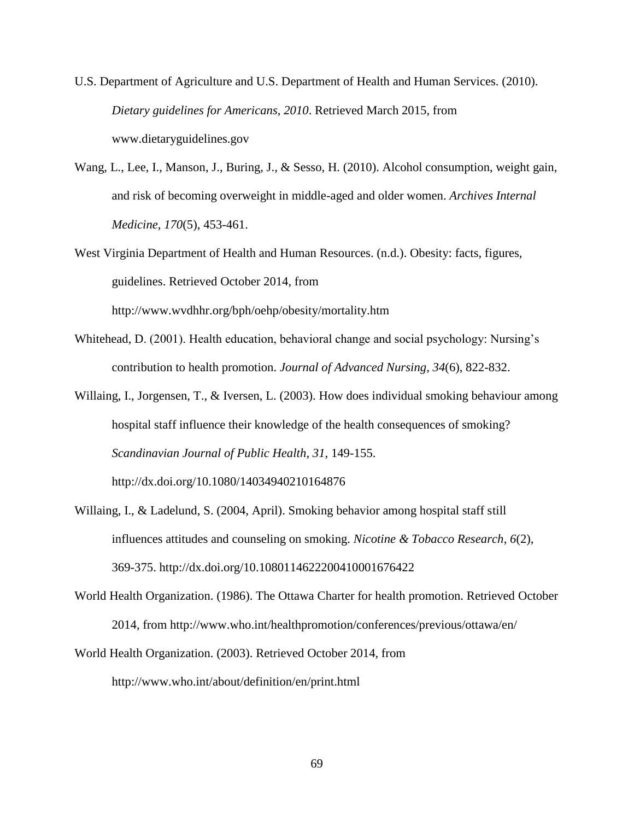- U.S. Department of Agriculture and U.S. Department of Health and Human Services. (2010). *Dietary guidelines for Americans, 2010*. Retrieved March 2015, from www.dietaryguidelines.gov
- Wang, L., Lee, I., Manson, J., Buring, J., & Sesso, H. (2010). Alcohol consumption, weight gain, and risk of becoming overweight in middle-aged and older women. *Archives Internal Medicine*, *170*(5), 453-461.
- West Virginia Department of Health and Human Resources. (n.d.). Obesity: facts, figures, guidelines. Retrieved October 2014, from http://www.wvdhhr.org/bph/oehp/obesity/mortality.htm
- Whitehead, D. (2001). Health education, behavioral change and social psychology: Nursing's contribution to health promotion. *Journal of Advanced Nursing*, *34*(6), 822-832.
- Willaing, I., Jorgensen, T., & Iversen, L. (2003). How does individual smoking behaviour among hospital staff influence their knowledge of the health consequences of smoking? *Scandinavian Journal of Public Health*, *31*, 149-155.

http://dx.doi.org/10.1080/14034940210164876

- Willaing, I., & Ladelund, S. (2004, April). Smoking behavior among hospital staff still influences attitudes and counseling on smoking. *Nicotine & Tobacco Research*, *6*(2), 369-375. http://dx.doi.org/10.1080114622200410001676422
- World Health Organization. (1986). The Ottawa Charter for health promotion. Retrieved October 2014, from http://www.who.int/healthpromotion/conferences/previous/ottawa/en/
- World Health Organization. (2003). Retrieved October 2014, from http://www.who.int/about/definition/en/print.html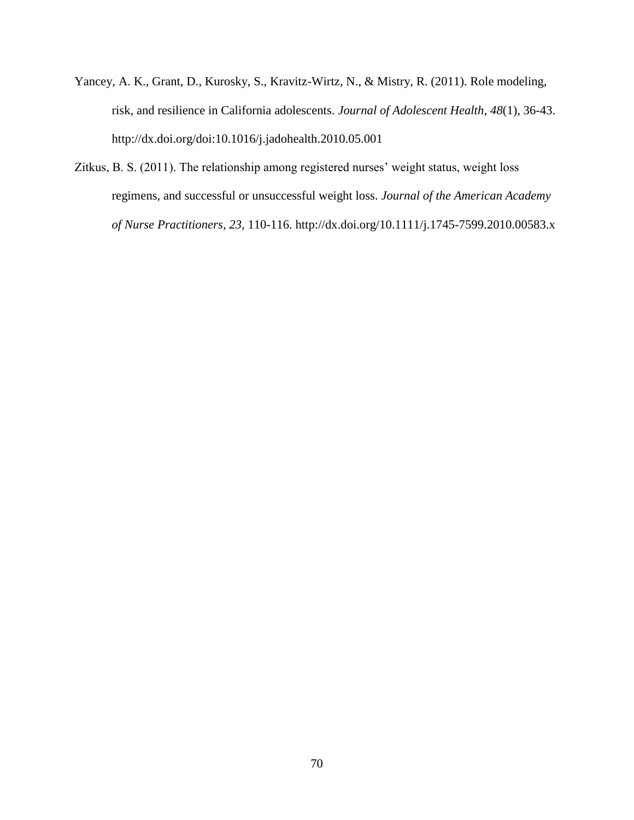- Yancey, A. K., Grant, D., Kurosky, S., Kravitz-Wirtz, N., & Mistry, R. (2011). Role modeling, risk, and resilience in California adolescents. *Journal of Adolescent Health*, *48*(1), 36-43. http://dx.doi.org/doi:10.1016/j.jadohealth.2010.05.001
- Zitkus, B. S. (2011). The relationship among registered nurses' weight status, weight loss regimens, and successful or unsuccessful weight loss. *Journal of the American Academy of Nurse Practitioners*, *23*, 110-116. http://dx.doi.org/10.1111/j.1745-7599.2010.00583.x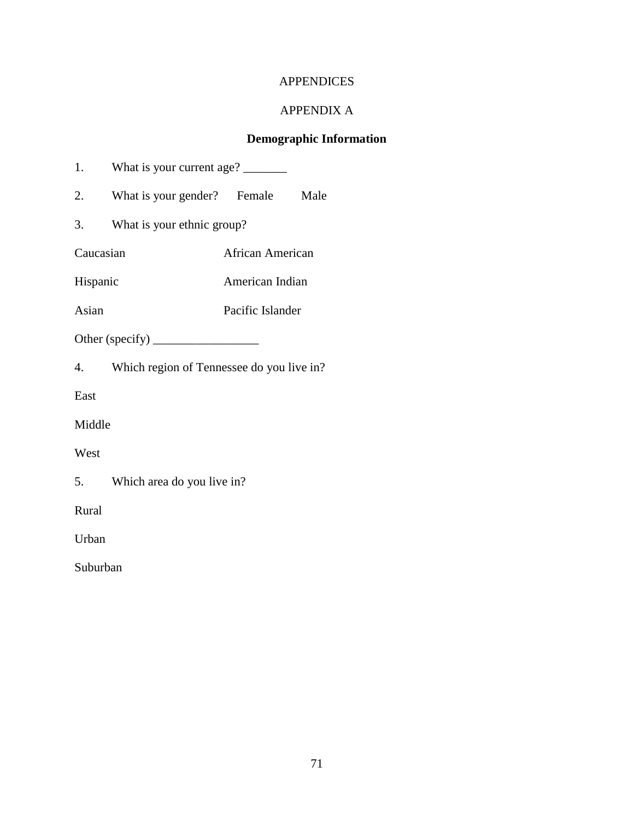## APPENDICES

# APPENDIX A

# **Demographic Information**

|  | What is your current age? |  |
|--|---------------------------|--|
|  |                           |  |

2. What is your gender? Female Male

3. What is your ethnic group?

Caucasian African American

Hispanic American Indian

Asian Pacific Islander

Other (specify) \_\_\_\_\_\_\_\_\_\_\_\_\_\_\_\_\_

4. Which region of Tennessee do you live in?

East

Middle

West

5. Which area do you live in?

Rural

Urban

Suburban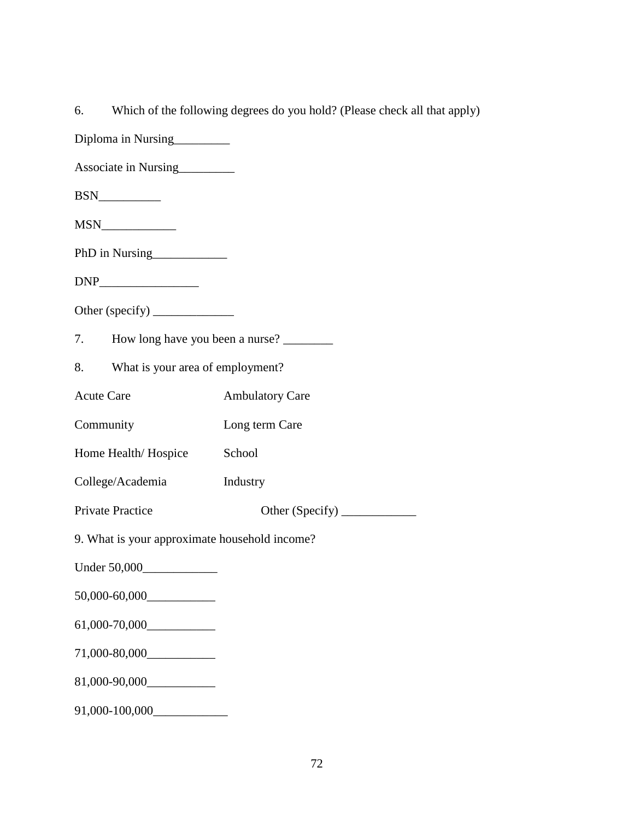- Diploma in Nursing\_\_\_\_\_\_\_\_\_
- Associate in Nursing
- BSN\_\_\_\_\_\_\_\_\_\_
- MSN\_\_\_\_\_\_\_\_\_\_\_\_
- PhD in Nursing
- $DNP$
- Other (specify) \_\_\_\_\_\_\_\_\_\_\_\_\_
- 7. How long have you been a nurse?
- 8. What is your area of employment?
- Acute Care **Ambulatory Care**
- Community Long term Care
- Home Health/Hospice School
- College/Academia Industry

Private Practice Other (Specify) \_\_\_\_\_\_\_\_\_\_\_\_

- 9. What is your approximate household income?
- Under 50,000\_\_\_\_\_\_\_\_\_\_\_\_
- 50,000-60,000\_\_\_\_\_\_\_\_\_\_\_
- 61,000-70,000\_\_\_\_\_\_\_\_\_\_\_
- 71,000-80,000\_\_\_\_\_\_\_\_\_\_\_
- 81,000-90,000\_\_\_\_\_\_\_\_\_\_\_
- 91,000-100,000\_\_\_\_\_\_\_\_\_\_\_\_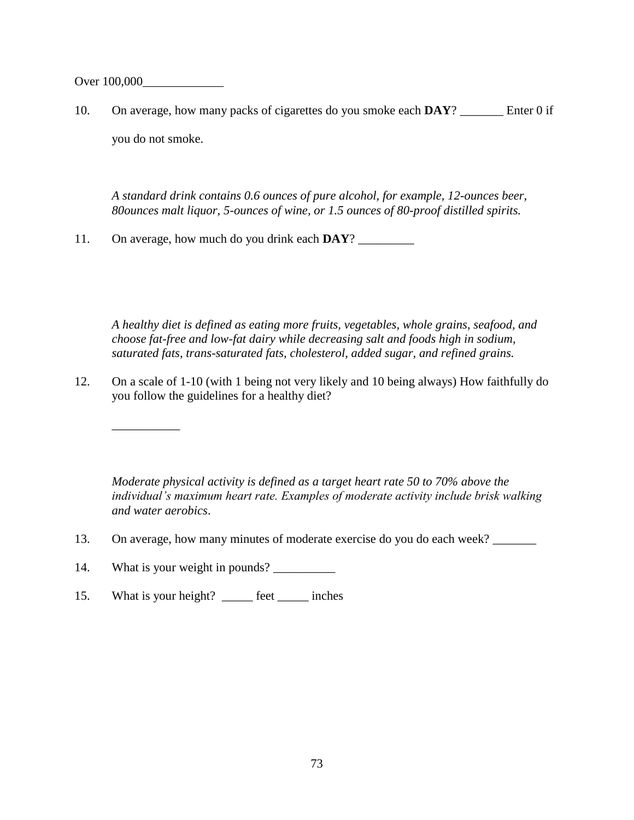Over 100,000

10. On average, how many packs of cigarettes do you smoke each **DAY**? \_\_\_\_\_\_\_ Enter 0 if you do not smoke.

*A standard drink contains 0.6 ounces of pure alcohol, for example, 12-ounces beer, 80ounces malt liquor, 5-ounces of wine, or 1.5 ounces of 80-proof distilled spirits.*

11. On average, how much do you drink each **DAY**? \_\_\_\_\_\_\_\_\_

*A healthy diet is defined as eating more fruits, vegetables, whole grains, seafood, and choose fat-free and low-fat dairy while decreasing salt and foods high in sodium, saturated fats, trans-saturated fats, cholesterol, added sugar, and refined grains.*

12. On a scale of 1-10 (with 1 being not very likely and 10 being always) How faithfully do you follow the guidelines for a healthy diet?

*Moderate physical activity is defined as a target heart rate 50 to 70% above the individual's maximum heart rate. Examples of moderate activity include brisk walking and water aerobics*.

- 13. On average, how many minutes of moderate exercise do you do each week? \_\_\_\_\_\_\_
- 14. What is your weight in pounds? \_\_\_\_\_\_\_\_\_\_

\_\_\_\_\_\_\_\_\_\_\_

15. What is your height? \_\_\_\_\_\_ feet \_\_\_\_\_\_ inches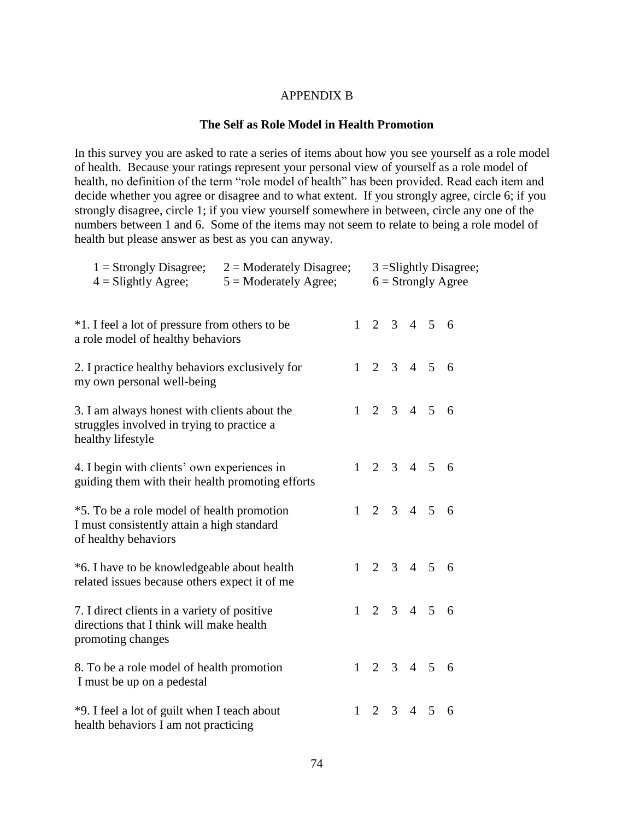#### APPENDIX B

#### **The Self as Role Model in Health Promotion**

In this survey you are asked to rate a series of items about how you see yourself as a role model of health. Because your ratings represent your personal view of yourself as a role model of health, no definition of the term "role model of health" has been provided. Read each item and decide whether you agree or disagree and to what extent. If you strongly agree, circle 6; if you strongly disagree, circle 1; if you view yourself somewhere in between, circle any one of the numbers between 1 and 6. Some of the items may not seem to relate to being a role model of health but please answer as best as you can anyway.

| $4 =$ Slightly Agree;                                                                                            | $1 =$ Strongly Disagree; $2 =$ Moderately Disagree;<br>$5 =$ Moderately Agree; |  |                         |                         |   | $3 =$ Slightly Disagree;<br>$6 =$ Strongly Agree |
|------------------------------------------------------------------------------------------------------------------|--------------------------------------------------------------------------------|--|-------------------------|-------------------------|---|--------------------------------------------------|
| *1. I feel a lot of pressure from others to be<br>a role model of healthy behaviors                              |                                                                                |  |                         | $1 \t2 \t3 \t4 \t5 \t6$ |   |                                                  |
| 2. I practice healthy behaviors exclusively for<br>my own personal well-being                                    |                                                                                |  |                         | 2 3 4 5 6               |   |                                                  |
| 3. I am always honest with clients about the<br>struggles involved in trying to practice a<br>healthy lifestyle  |                                                                                |  | $1 \t2 \t3 \t4 \t5 \t6$ |                         |   |                                                  |
| 4. I begin with clients' own experiences in<br>guiding them with their health promoting efforts                  |                                                                                |  |                         | $1 \t2 \t3 \t4 \t5 \t6$ |   |                                                  |
| *5. To be a role model of health promotion<br>I must consistently attain a high standard<br>of healthy behaviors |                                                                                |  |                         | $1 \t2 \t3 \t4 \t5 \t6$ |   |                                                  |
| *6. I have to be knowledgeable about health<br>related issues because others expect it of me                     |                                                                                |  | $1 \quad$               | 2 3 4 5 6               |   |                                                  |
| 7. I direct clients in a variety of positive<br>directions that I think will make health<br>promoting changes    |                                                                                |  |                         | $1 \t2 \t3 \t4 \t5 \t6$ |   |                                                  |
| 8. To be a role model of health promotion<br>I must be up on a pedestal                                          |                                                                                |  |                         | $1 \t2 \t3 \t4 \t5 \t6$ |   |                                                  |
| *9. I feel a lot of guilt when I teach about<br>health behaviors I am not practicing                             |                                                                                |  |                         | $2 \quad 3 \quad 4$     | 5 | 6                                                |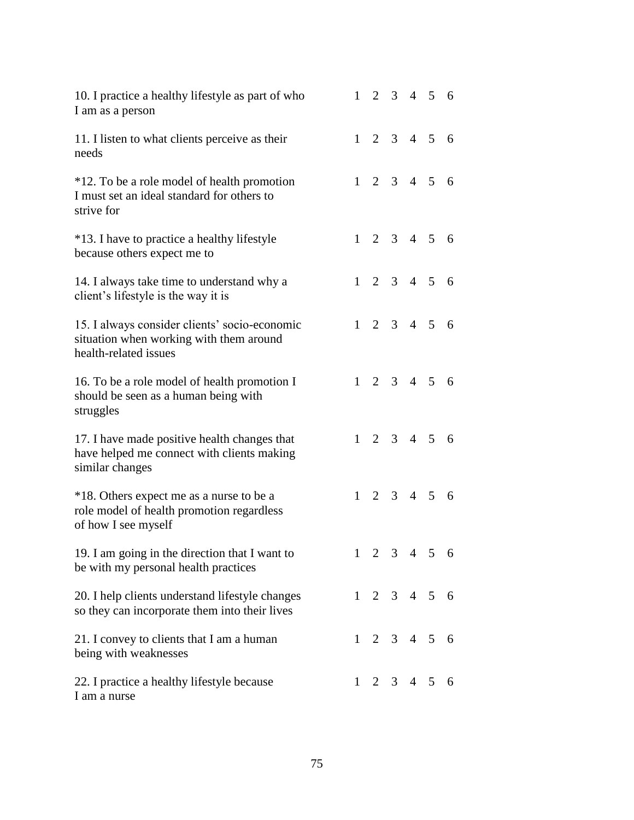| 10. I practice a healthy lifestyle as part of who<br>I am as a person                                             | 1         |            |  | 2 3 4 5 6               |  |
|-------------------------------------------------------------------------------------------------------------------|-----------|------------|--|-------------------------|--|
| 11. I listen to what clients perceive as their<br>needs                                                           |           |            |  | $1 \t2 \t3 \t4 \t5 \t6$ |  |
| *12. To be a role model of health promotion<br>I must set an ideal standard for others to<br>strive for           |           |            |  | $1 \t2 \t3 \t4 \t5 \t6$ |  |
| *13. I have to practice a healthy lifestyle<br>because others expect me to                                        | $1 \quad$ |            |  | $2 \t3 \t4 \t5 \t6$     |  |
| 14. I always take time to understand why a<br>client's lifestyle is the way it is                                 |           |            |  | $1 \t2 \t3 \t4 \t5 \t6$ |  |
| 15. I always consider clients' socio-economic<br>situation when working with them around<br>health-related issues |           | $1\quad 2$ |  | $3 \t4 \t5 \t6$         |  |
| 16. To be a role model of health promotion I<br>should be seen as a human being with<br>struggles                 |           |            |  | $1 \t2 \t3 \t4 \t5 \t6$ |  |
| 17. I have made positive health changes that<br>have helped me connect with clients making<br>similar changes     |           |            |  | $1 \t2 \t3 \t4 \t5 \t6$ |  |
| *18. Others expect me as a nurse to be a<br>role model of health promotion regardless<br>of how I see myself      | $1 \quad$ |            |  | 2 3 4 5 6               |  |
| 19. I am going in the direction that I want to<br>be with my personal health practices                            |           |            |  | $1 \t2 \t3 \t4 \t5 \t6$ |  |
| 20. I help clients understand lifestyle changes<br>so they can incorporate them into their lives                  |           |            |  | $1 \t2 \t3 \t4 \t5 \t6$ |  |
| 21. I convey to clients that I am a human<br>being with weaknesses                                                |           |            |  | $1 \t2 \t3 \t4 \t5 \t6$ |  |
| 22. I practice a healthy lifestyle because<br>I am a nurse                                                        |           |            |  | $1 \t2 \t3 \t4 \t5 \t6$ |  |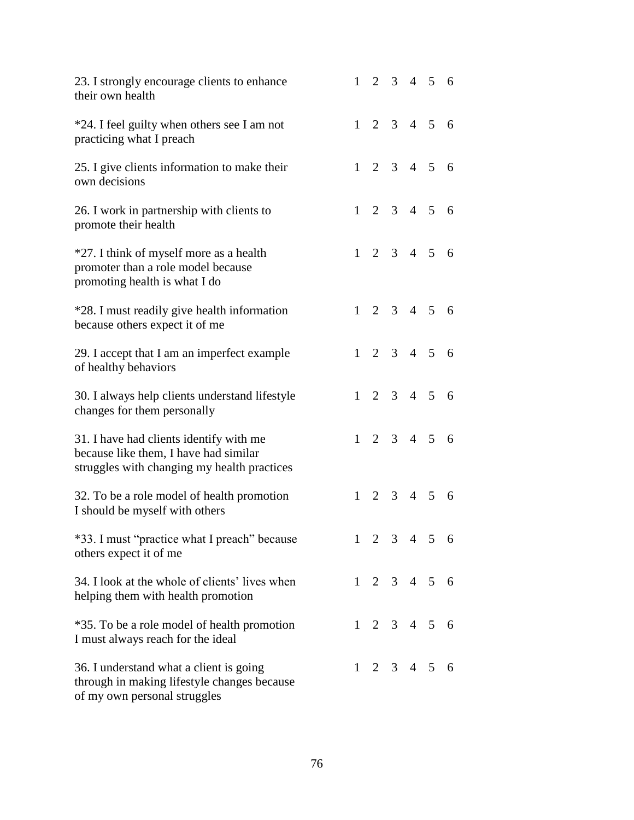| 23. I strongly encourage clients to enhance<br>their own health                                                                 | 1         |  | 2 3 4 5 6               |  |
|---------------------------------------------------------------------------------------------------------------------------------|-----------|--|-------------------------|--|
| *24. I feel guilty when others see I am not<br>practicing what I preach                                                         |           |  | $1 \t2 \t3 \t4 \t5 \t6$ |  |
| 25. I give clients information to make their<br>own decisions                                                                   |           |  | $1 \t2 \t3 \t4 \t5 \t6$ |  |
| 26. I work in partnership with clients to<br>promote their health                                                               | $1 \quad$ |  | $2 \t3 \t4 \t5 \t6$     |  |
| *27. I think of myself more as a health<br>promoter than a role model because<br>promoting health is what I do                  |           |  | $1 \t2 \t3 \t4 \t5 \t6$ |  |
| *28. I must readily give health information<br>because others expect it of me                                                   |           |  | $1 \t2 \t3 \t4 \t5 \t6$ |  |
| 29. I accept that I am an imperfect example<br>of healthy behaviors                                                             |           |  | $1 \t2 \t3 \t4 \t5 \t6$ |  |
| 30. I always help clients understand lifestyle<br>changes for them personally                                                   | 1         |  | $2 \t3 \t4 \t5 \t6$     |  |
| 31. I have had clients identify with me<br>because like them, I have had similar<br>struggles with changing my health practices |           |  | $1 \t2 \t3 \t4 \t5 \t6$ |  |
| 32. To be a role model of health promotion<br>I should be myself with others                                                    | 1         |  | 2 3 4 5 6               |  |
| *33. I must "practice what I preach" because<br>others expect it of me                                                          |           |  | $1 \t2 \t3 \t4 \t5 \t6$ |  |
| 34. I look at the whole of clients' lives when<br>helping them with health promotion                                            |           |  | $1 \t2 \t3 \t4 \t5 \t6$ |  |
| *35. To be a role model of health promotion<br>I must always reach for the ideal                                                |           |  | $1 \t2 \t3 \t4 \t5 \t6$ |  |
| 36. I understand what a client is going<br>through in making lifestyle changes because<br>of my own personal struggles          |           |  | $1 \t2 \t3 \t4 \t5 \t6$ |  |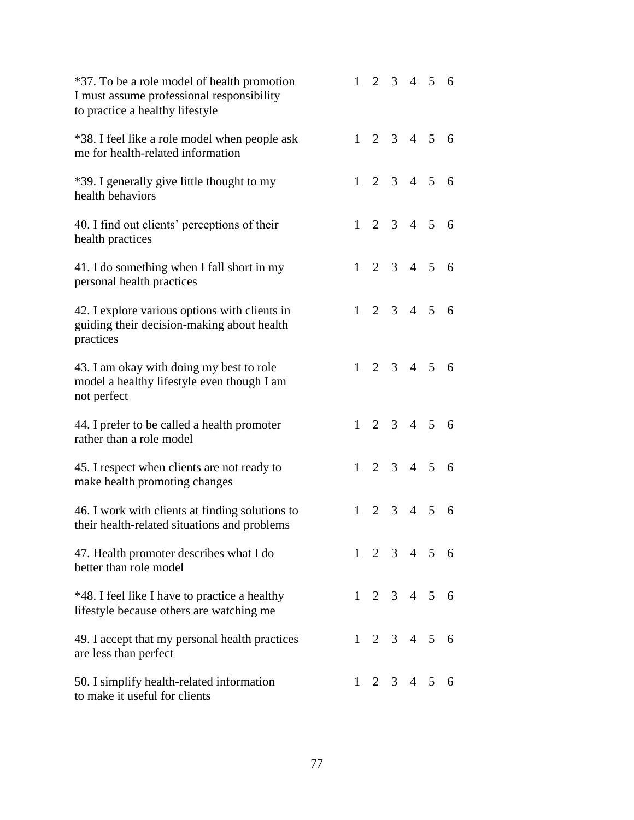| *37. To be a role model of health promotion<br>I must assume professional responsibility<br>to practice a healthy lifestyle |   |  | $1 \t2 \t3 \t4 \t5 \t6$ |  |
|-----------------------------------------------------------------------------------------------------------------------------|---|--|-------------------------|--|
| *38. I feel like a role model when people ask<br>me for health-related information                                          |   |  | $1 \t2 \t3 \t4 \t5 \t6$ |  |
| *39. I generally give little thought to my<br>health behaviors                                                              |   |  | $1 \t2 \t3 \t4 \t5 \t6$ |  |
| 40. I find out clients' perceptions of their<br>health practices                                                            |   |  | $1 \t2 \t3 \t4 \t5 \t6$ |  |
| 41. I do something when I fall short in my<br>personal health practices                                                     |   |  | $1 \t2 \t3 \t4 \t5 \t6$ |  |
| 42. I explore various options with clients in<br>guiding their decision-making about health<br>practices                    |   |  | $1 \t2 \t3 \t4 \t5 \t6$ |  |
| 43. I am okay with doing my best to role<br>model a healthy lifestyle even though I am<br>not perfect                       |   |  | $1 \t2 \t3 \t4 \t5 \t6$ |  |
| 44. I prefer to be called a health promoter<br>rather than a role model                                                     |   |  | $1 \t2 \t3 \t4 \t5 \t6$ |  |
| 45. I respect when clients are not ready to<br>make health promoting changes                                                |   |  | $1 \t2 \t3 \t4 \t5 \t6$ |  |
| 46. I work with clients at finding solutions to<br>their health-related situations and problems                             | 1 |  | 2 3 4 5 6               |  |
| 47. Health promoter describes what I do<br>better than role model                                                           |   |  | $1 \t2 \t3 \t4 \t5 \t6$ |  |
| *48. I feel like I have to practice a healthy<br>lifestyle because others are watching me                                   |   |  | $1 \t2 \t3 \t4 \t5 \t6$ |  |
| 49. I accept that my personal health practices<br>are less than perfect                                                     |   |  | $1 \t2 \t3 \t4 \t5 \t6$ |  |
| 50. I simplify health-related information<br>to make it useful for clients                                                  |   |  | $1 \t2 \t3 \t4 \t5 \t6$ |  |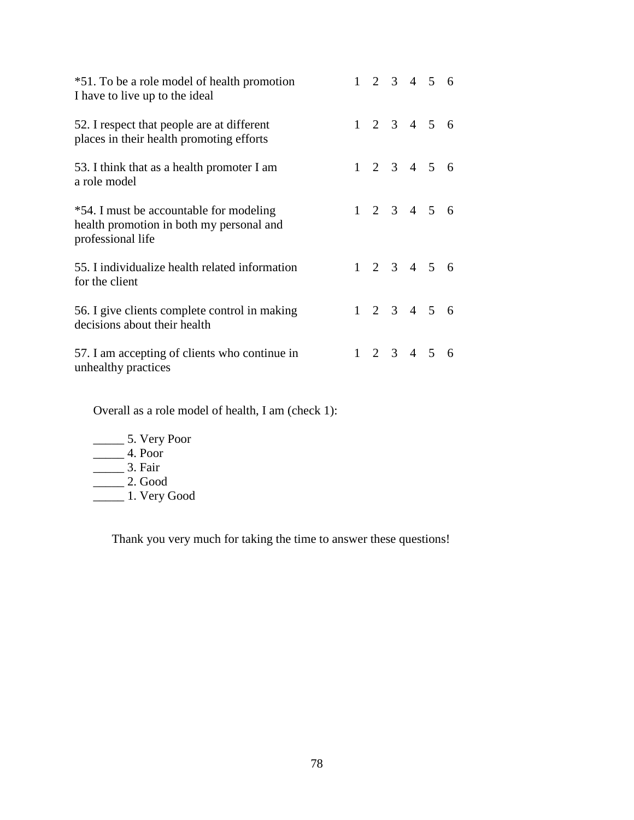| *51. To be a role model of health promotion<br>I have to live up to the ideal                            |  |  | $1 \t2 \t3 \t4 \t5 \t6$ |  |
|----------------------------------------------------------------------------------------------------------|--|--|-------------------------|--|
| 52. I respect that people are at different<br>places in their health promoting efforts                   |  |  | $1 \t2 \t3 \t4 \t5 \t6$ |  |
| 53. I think that as a health promoter I am<br>a role model                                               |  |  | $1 \t2 \t3 \t4 \t5 \t6$ |  |
| *54. I must be accountable for modeling<br>health promotion in both my personal and<br>professional life |  |  | $1 \t2 \t3 \t4 \t5 \t6$ |  |
| 55. I individualize health related information<br>for the client                                         |  |  | $1 \t2 \t3 \t4 \t5 \t6$ |  |
| 56. I give clients complete control in making<br>decisions about their health                            |  |  | $1 \t2 \t3 \t4 \t5 \t6$ |  |
| 57. I am accepting of clients who continue in<br>unhealthy practices                                     |  |  | $1 \t2 \t3 \t4 \t5 \t6$ |  |

Overall as a role model of health, I am (check 1):

- \_\_\_\_\_ 5. Very Poor
- $\frac{1}{2}$  4. Poor
- $\frac{1}{\sqrt{2}}$  3. Fair
- $\frac{1}{\sqrt{2}}$  2. Good
- \_\_\_\_\_ 1. Very Good

Thank you very much for taking the time to answer these questions!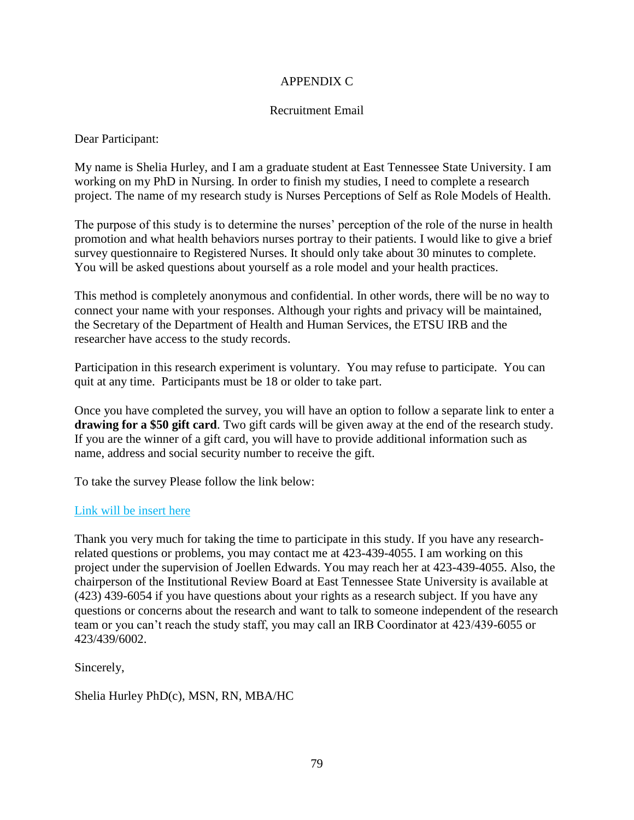### APPENDIX C

#### Recruitment Email

Dear Participant:

My name is Shelia Hurley, and I am a graduate student at East Tennessee State University. I am working on my PhD in Nursing. In order to finish my studies, I need to complete a research project. The name of my research study is Nurses Perceptions of Self as Role Models of Health.

The purpose of this study is to determine the nurses' perception of the role of the nurse in health promotion and what health behaviors nurses portray to their patients. I would like to give a brief survey questionnaire to Registered Nurses. It should only take about 30 minutes to complete. You will be asked questions about yourself as a role model and your health practices.

This method is completely anonymous and confidential. In other words, there will be no way to connect your name with your responses. Although your rights and privacy will be maintained, the Secretary of the Department of Health and Human Services, the ETSU IRB and the researcher have access to the study records.

Participation in this research experiment is voluntary. You may refuse to participate. You can quit at any time. Participants must be 18 or older to take part.

Once you have completed the survey, you will have an option to follow a separate link to enter a **drawing for a \$50 gift card**. Two gift cards will be given away at the end of the research study. If you are the winner of a gift card, you will have to provide additional information such as name, address and social security number to receive the gift.

To take the survey Please follow the link below:

## Link will be insert here

Thank you very much for taking the time to participate in this study. If you have any researchrelated questions or problems, you may contact me at 423-439-4055. I am working on this project under the supervision of Joellen Edwards. You may reach her at 423-439-4055. Also, the chairperson of the Institutional Review Board at East Tennessee State University is available at (423) 439-6054 if you have questions about your rights as a research subject. If you have any questions or concerns about the research and want to talk to someone independent of the research team or you can't reach the study staff, you may call an IRB Coordinator at 423/439-6055 or 423/439/6002.

Sincerely,

Shelia Hurley PhD(c), MSN, RN, MBA/HC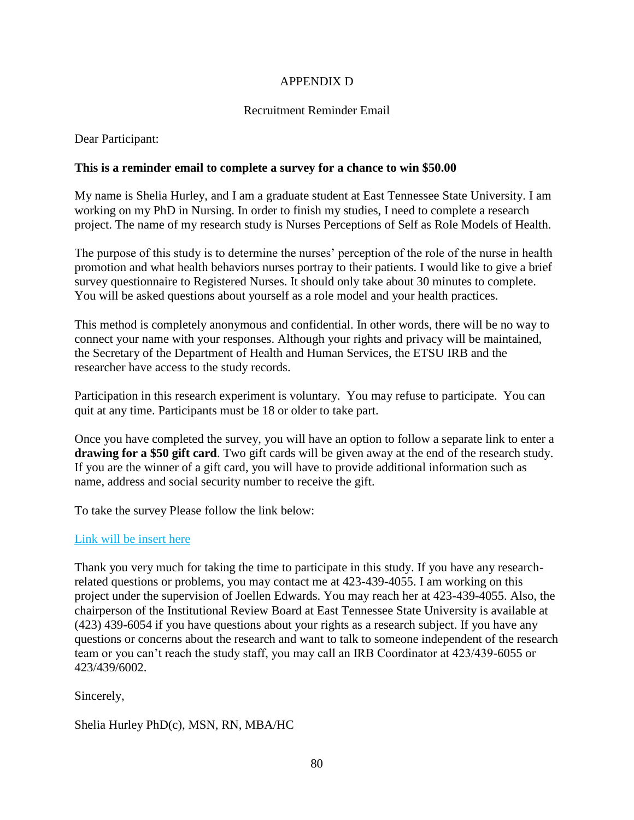#### APPENDIX D

### Recruitment Reminder Email

Dear Participant:

#### **This is a reminder email to complete a survey for a chance to win \$50.00**

My name is Shelia Hurley, and I am a graduate student at East Tennessee State University. I am working on my PhD in Nursing. In order to finish my studies, I need to complete a research project. The name of my research study is Nurses Perceptions of Self as Role Models of Health.

The purpose of this study is to determine the nurses' perception of the role of the nurse in health promotion and what health behaviors nurses portray to their patients. I would like to give a brief survey questionnaire to Registered Nurses. It should only take about 30 minutes to complete. You will be asked questions about yourself as a role model and your health practices.

This method is completely anonymous and confidential. In other words, there will be no way to connect your name with your responses. Although your rights and privacy will be maintained, the Secretary of the Department of Health and Human Services, the ETSU IRB and the researcher have access to the study records.

Participation in this research experiment is voluntary. You may refuse to participate. You can quit at any time. Participants must be 18 or older to take part.

Once you have completed the survey, you will have an option to follow a separate link to enter a **drawing for a \$50 gift card**. Two gift cards will be given away at the end of the research study. If you are the winner of a gift card, you will have to provide additional information such as name, address and social security number to receive the gift.

To take the survey Please follow the link below:

#### Link will be insert here

Thank you very much for taking the time to participate in this study. If you have any researchrelated questions or problems, you may contact me at 423-439-4055. I am working on this project under the supervision of Joellen Edwards. You may reach her at 423-439-4055. Also, the chairperson of the Institutional Review Board at East Tennessee State University is available at (423) 439-6054 if you have questions about your rights as a research subject. If you have any questions or concerns about the research and want to talk to someone independent of the research team or you can't reach the study staff, you may call an IRB Coordinator at 423/439-6055 or 423/439/6002.

Sincerely,

Shelia Hurley PhD(c), MSN, RN, MBA/HC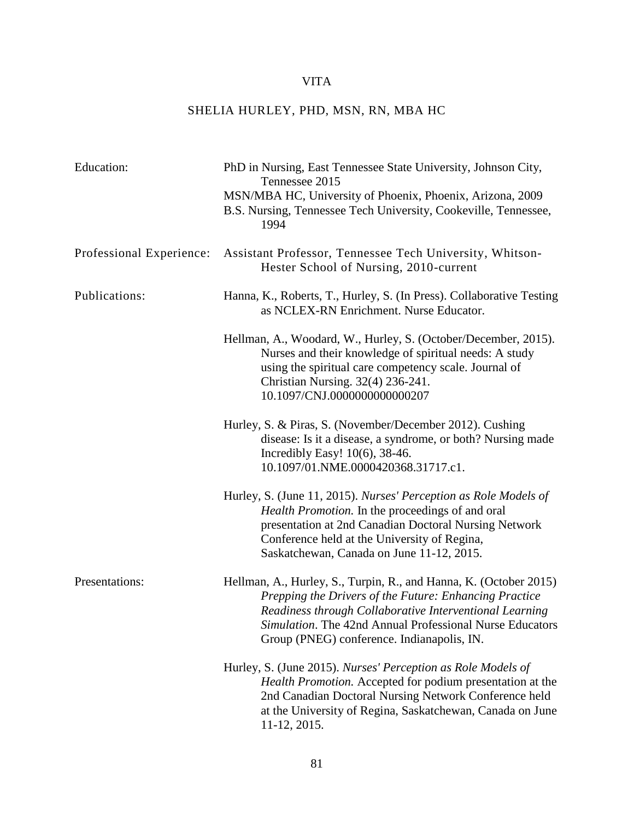# VITA

# SHELIA HURLEY, PHD, MSN, RN, MBA HC

| Education:               | PhD in Nursing, East Tennessee State University, Johnson City,<br>Tennessee 2015<br>MSN/MBA HC, University of Phoenix, Phoenix, Arizona, 2009<br>B.S. Nursing, Tennessee Tech University, Cookeville, Tennessee,<br>1994                                                                         |
|--------------------------|--------------------------------------------------------------------------------------------------------------------------------------------------------------------------------------------------------------------------------------------------------------------------------------------------|
| Professional Experience: | Assistant Professor, Tennessee Tech University, Whitson-<br>Hester School of Nursing, 2010-current                                                                                                                                                                                               |
| Publications:            | Hanna, K., Roberts, T., Hurley, S. (In Press). Collaborative Testing<br>as NCLEX-RN Enrichment. Nurse Educator.                                                                                                                                                                                  |
|                          | Hellman, A., Woodard, W., Hurley, S. (October/December, 2015).<br>Nurses and their knowledge of spiritual needs: A study<br>using the spiritual care competency scale. Journal of<br>Christian Nursing. 32(4) 236-241.<br>10.1097/CNJ.0000000000000207                                           |
|                          | Hurley, S. & Piras, S. (November/December 2012). Cushing<br>disease: Is it a disease, a syndrome, or both? Nursing made<br>Incredibly Easy! $10(6)$ , 38-46.<br>10.1097/01.NME.0000420368.31717.c1.                                                                                              |
|                          | Hurley, S. (June 11, 2015). Nurses' Perception as Role Models of<br>Health Promotion. In the proceedings of and oral<br>presentation at 2nd Canadian Doctoral Nursing Network<br>Conference held at the University of Regina,<br>Saskatchewan, Canada on June 11-12, 2015.                       |
| Presentations:           | Hellman, A., Hurley, S., Turpin, R., and Hanna, K. (October 2015)<br>Prepping the Drivers of the Future: Enhancing Practice<br>Readiness through Collaborative Interventional Learning<br>Simulation. The 42nd Annual Professional Nurse Educators<br>Group (PNEG) conference. Indianapolis, IN. |
|                          | Hurley, S. (June 2015). Nurses' Perception as Role Models of<br>Health Promotion. Accepted for podium presentation at the<br>2nd Canadian Doctoral Nursing Network Conference held<br>at the University of Regina, Saskatchewan, Canada on June<br>11-12, 2015.                                  |